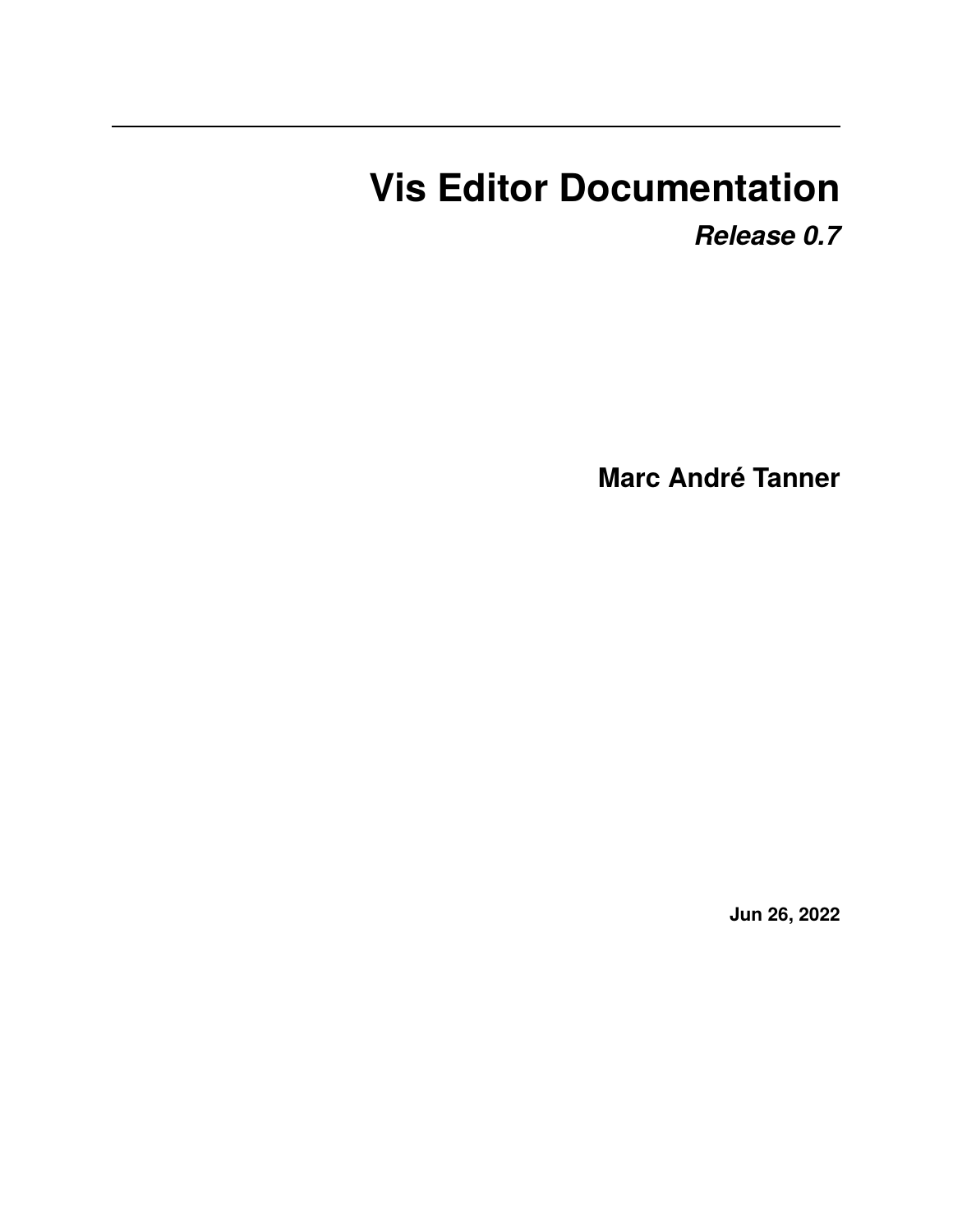# <span id="page-0-0"></span>**Vis Editor Documentation**

*Release 0.7*

**Marc André Tanner**

**Jun 26, 2022**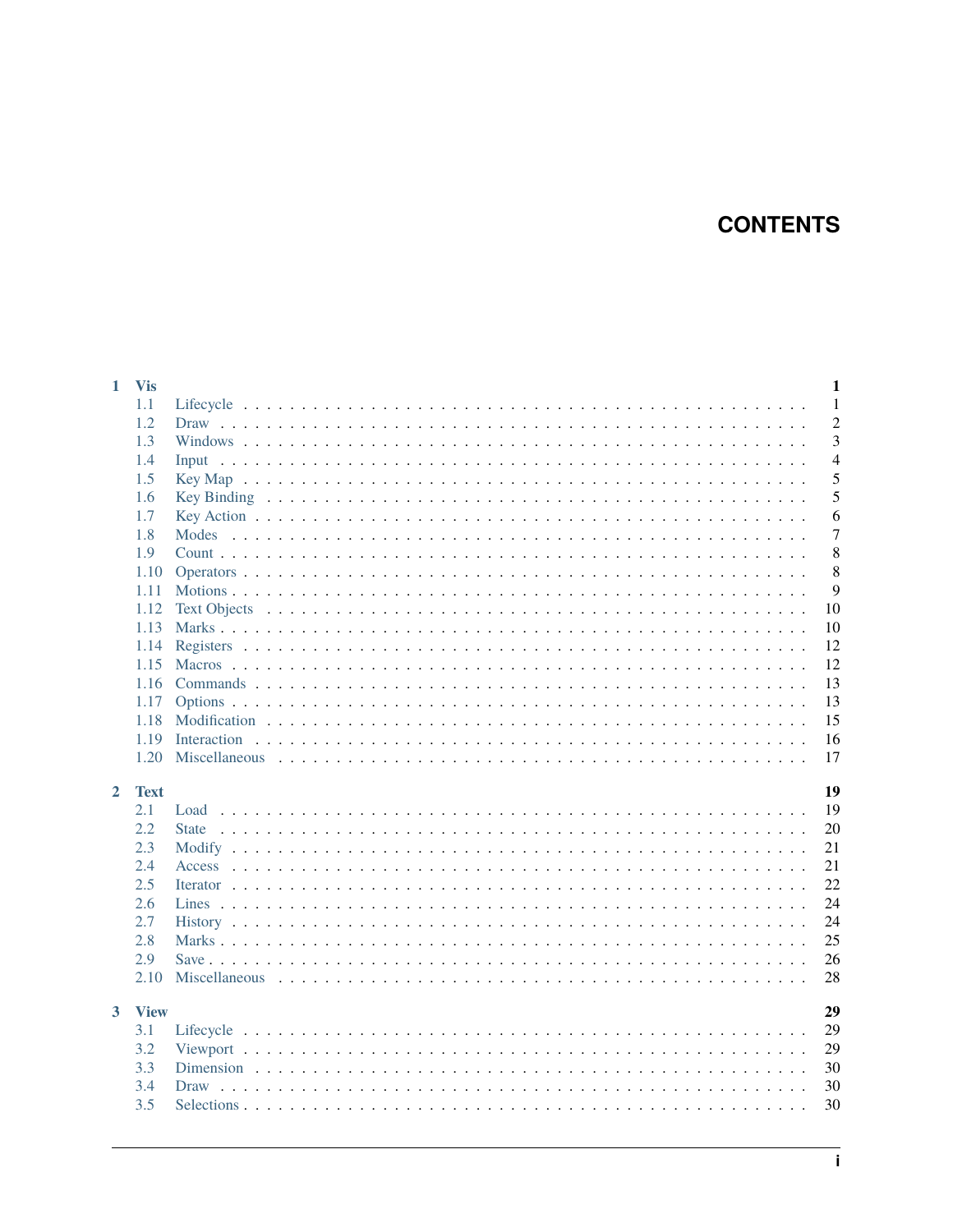# **CONTENTS**

| 1.1<br>1.2<br>1.3<br>1.4<br>Input<br>1.5<br>1.6<br>1.7<br>1.8<br>1.9<br>1.10<br>1.11 | $\mathbf{1}$<br>$\overline{2}$<br>3<br>$\overline{4}$<br>5<br>5<br>6<br>$\overline{7}$<br>8<br>8<br>9<br>10<br>10<br>12<br>12<br>13 |
|--------------------------------------------------------------------------------------|-------------------------------------------------------------------------------------------------------------------------------------|
|                                                                                      |                                                                                                                                     |
|                                                                                      |                                                                                                                                     |
|                                                                                      |                                                                                                                                     |
|                                                                                      |                                                                                                                                     |
|                                                                                      |                                                                                                                                     |
|                                                                                      |                                                                                                                                     |
|                                                                                      |                                                                                                                                     |
|                                                                                      |                                                                                                                                     |
|                                                                                      |                                                                                                                                     |
|                                                                                      |                                                                                                                                     |
|                                                                                      |                                                                                                                                     |
| 1.12                                                                                 |                                                                                                                                     |
| 1.13                                                                                 |                                                                                                                                     |
| 1.14                                                                                 |                                                                                                                                     |
| 1.15                                                                                 |                                                                                                                                     |
| 1.16                                                                                 |                                                                                                                                     |
| 1.17                                                                                 | 13                                                                                                                                  |
| 1.18                                                                                 | 15                                                                                                                                  |
| 1.19                                                                                 | 16                                                                                                                                  |
| 1.20                                                                                 | 17                                                                                                                                  |
|                                                                                      |                                                                                                                                     |
| 2<br><b>Text</b>                                                                     | 19                                                                                                                                  |
| 2.1                                                                                  | 19                                                                                                                                  |
| 2.2                                                                                  | 20                                                                                                                                  |
| 2.3                                                                                  | 21                                                                                                                                  |
| 2.4                                                                                  | 21                                                                                                                                  |
| 2.5                                                                                  | 22                                                                                                                                  |
| 2.6                                                                                  | 24                                                                                                                                  |
| 2.7                                                                                  | 24                                                                                                                                  |
| 2.8                                                                                  | 25                                                                                                                                  |
| 2.9                                                                                  | 26                                                                                                                                  |
| 2.10                                                                                 | 28                                                                                                                                  |
|                                                                                      |                                                                                                                                     |
| 3<br><b>View</b>                                                                     | 29                                                                                                                                  |
| 3.1                                                                                  | 29                                                                                                                                  |
| 3.2                                                                                  | 29                                                                                                                                  |
| 3.3                                                                                  | 30                                                                                                                                  |
| 3.4                                                                                  | 30                                                                                                                                  |
| 3.5                                                                                  | 30                                                                                                                                  |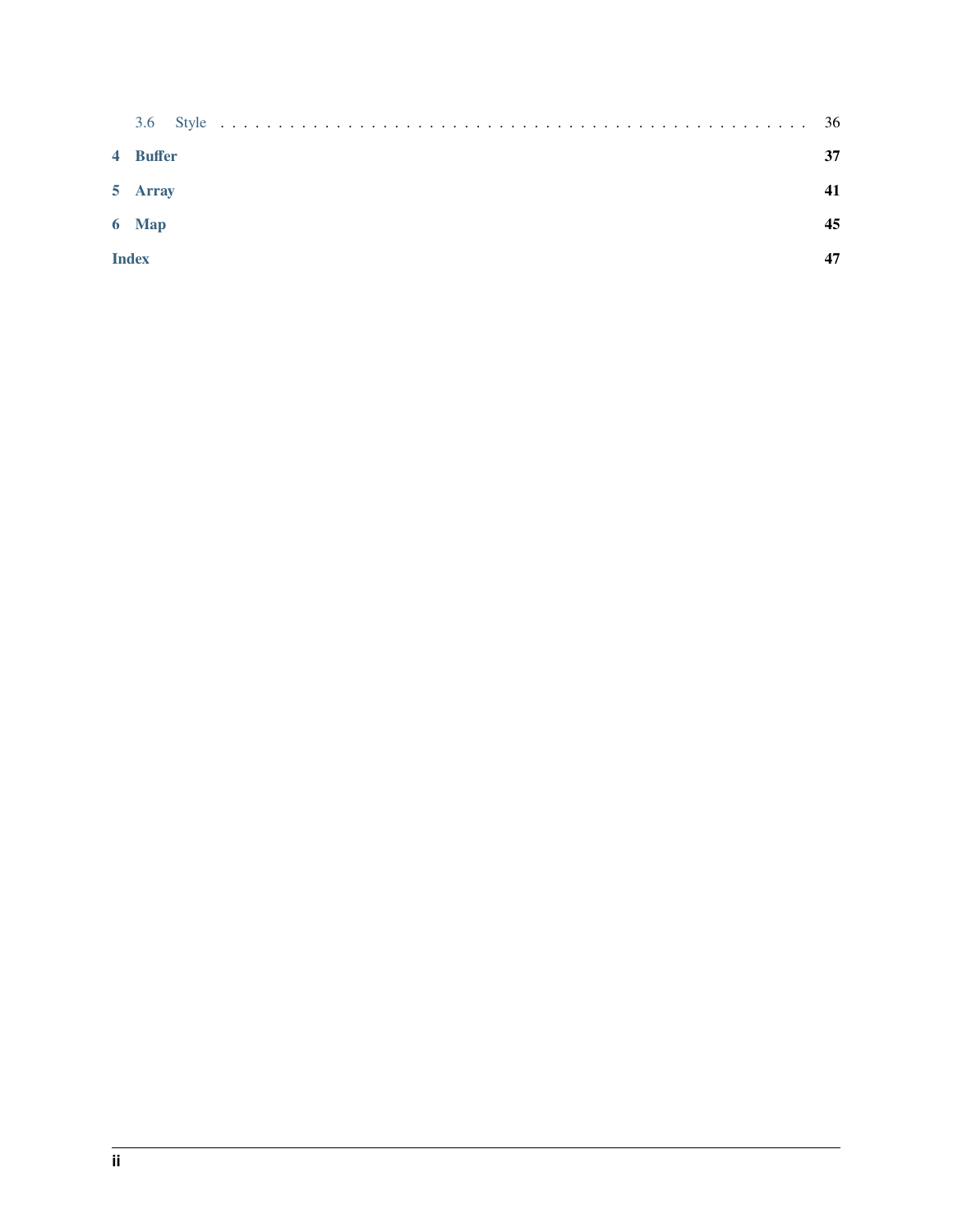| 4 Buffer     | 37 |
|--------------|----|
| 5 Array      |    |
| 6 Map        | 45 |
| <b>Index</b> |    |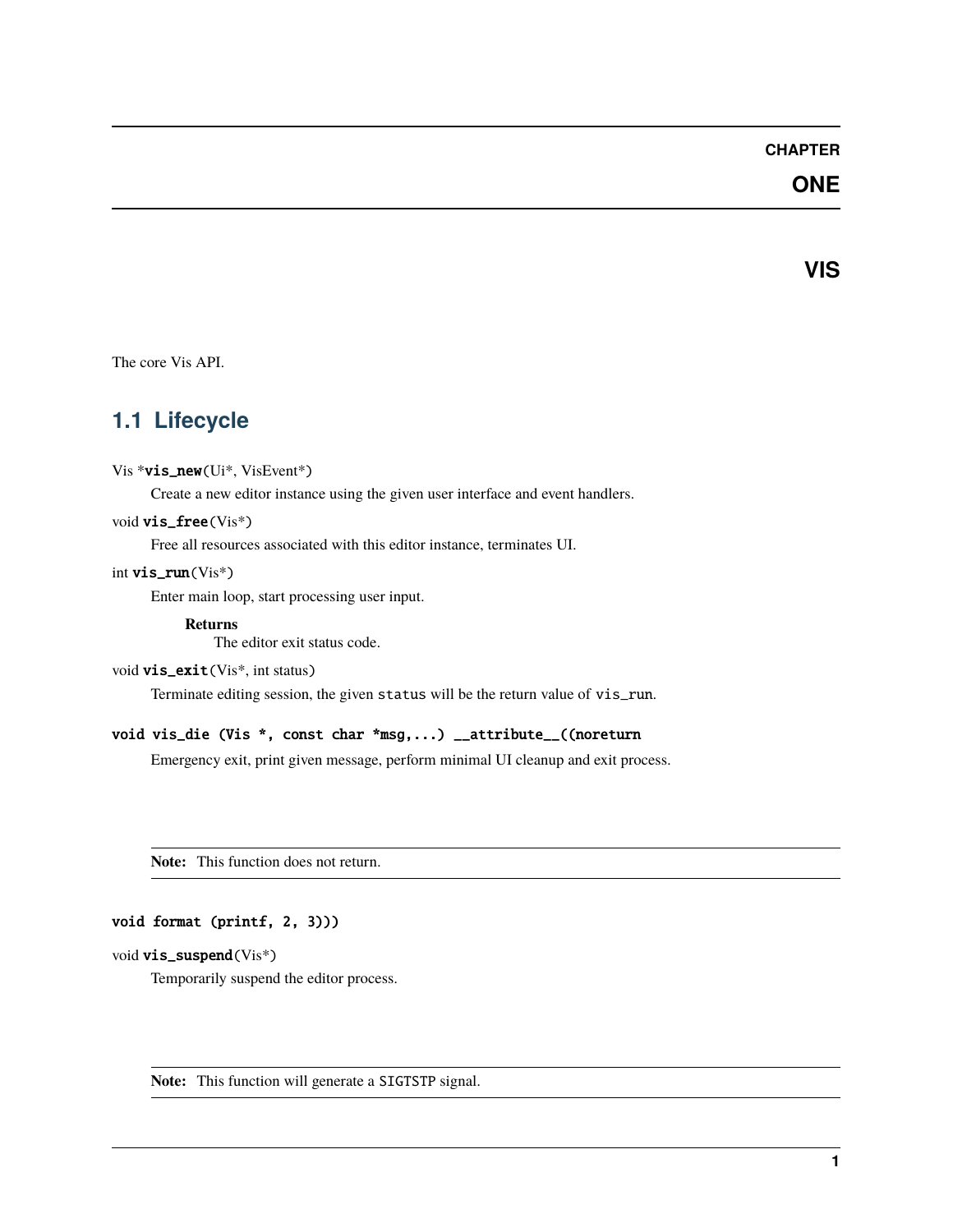### **CHAPTER**

# **ONE**

**VIS**

<span id="page-4-2"></span><span id="page-4-0"></span>The core Vis API.

# <span id="page-4-1"></span>**1.1 Lifecycle**

#### Vis \*vis\_new(Ui\*, VisEvent\*)

Create a new editor instance using the given user interface and event handlers.

#### void vis\_free(Vis\*)

Free all resources associated with this editor instance, terminates UI.

#### int vis\_run(Vis\*)

Enter main loop, start processing user input.

**Returns**

The editor exit status code.

```
void vis_exit(Vis*, int status)
```
Terminate editing session, the given status will be the return value of vis\_run.

#### void vis\_die (Vis \*, const char \*msg,...) \_\_attribute\_\_((noreturn

Emergency exit, print given message, perform minimal UI cleanup and exit process.

**Note:** This function does not return.

#### void format (printf, 2, 3)))

#### void vis\_suspend(Vis\*)

Temporarily suspend the editor process.

**Note:** This function will generate a SIGTSTP signal.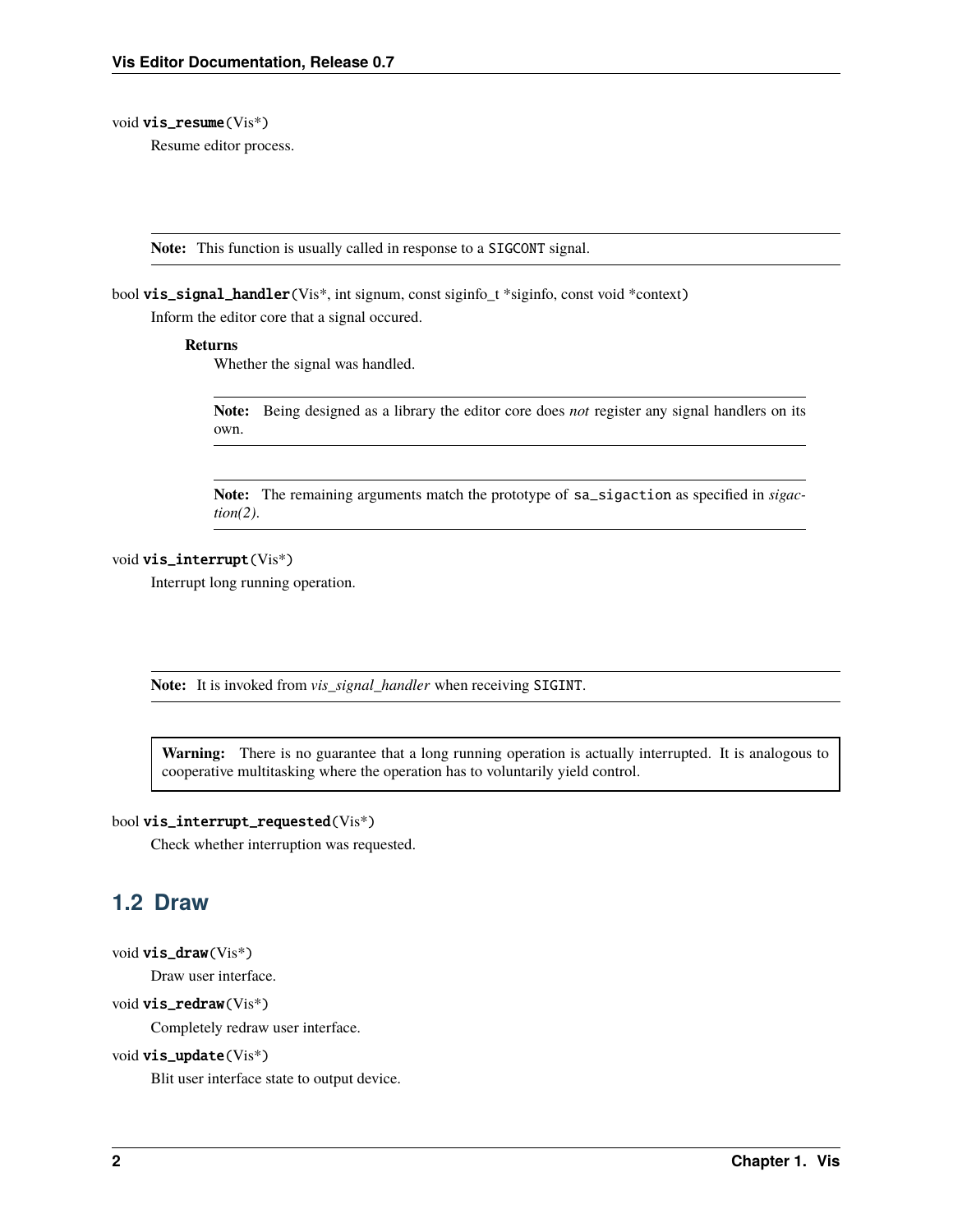#### <span id="page-5-1"></span>void vis\_resume(Vis\*)

Resume editor process.

**Note:** This function is usually called in response to a SIGCONT signal.

bool vis\_signal\_handler(Vis\*, int signum, const siginfo\_t \*siginfo, const void \*context)

Inform the editor core that a signal occured.

#### **Returns**

Whether the signal was handled.

**Note:** Being designed as a library the editor core does *not* register any signal handlers on its own.

**Note:** The remaining arguments match the prototype of sa\_sigaction as specified in *sigaction(2)*.

#### void vis\_interrupt(Vis\*)

Interrupt long running operation.

**Note:** It is invoked from *vis\_signal\_handler* when receiving SIGINT.

**Warning:** There is no guarantee that a long running operation is actually interrupted. It is analogous to cooperative multitasking where the operation has to voluntarily yield control.

#### bool vis\_interrupt\_requested(Vis\*)

Check whether interruption was requested.

# <span id="page-5-0"></span>**1.2 Draw**

void vis\_draw(Vis\*)

Draw user interface.

#### void vis\_redraw(Vis\*)

Completely redraw user interface.

#### void vis\_update(Vis\*)

Blit user interface state to output device.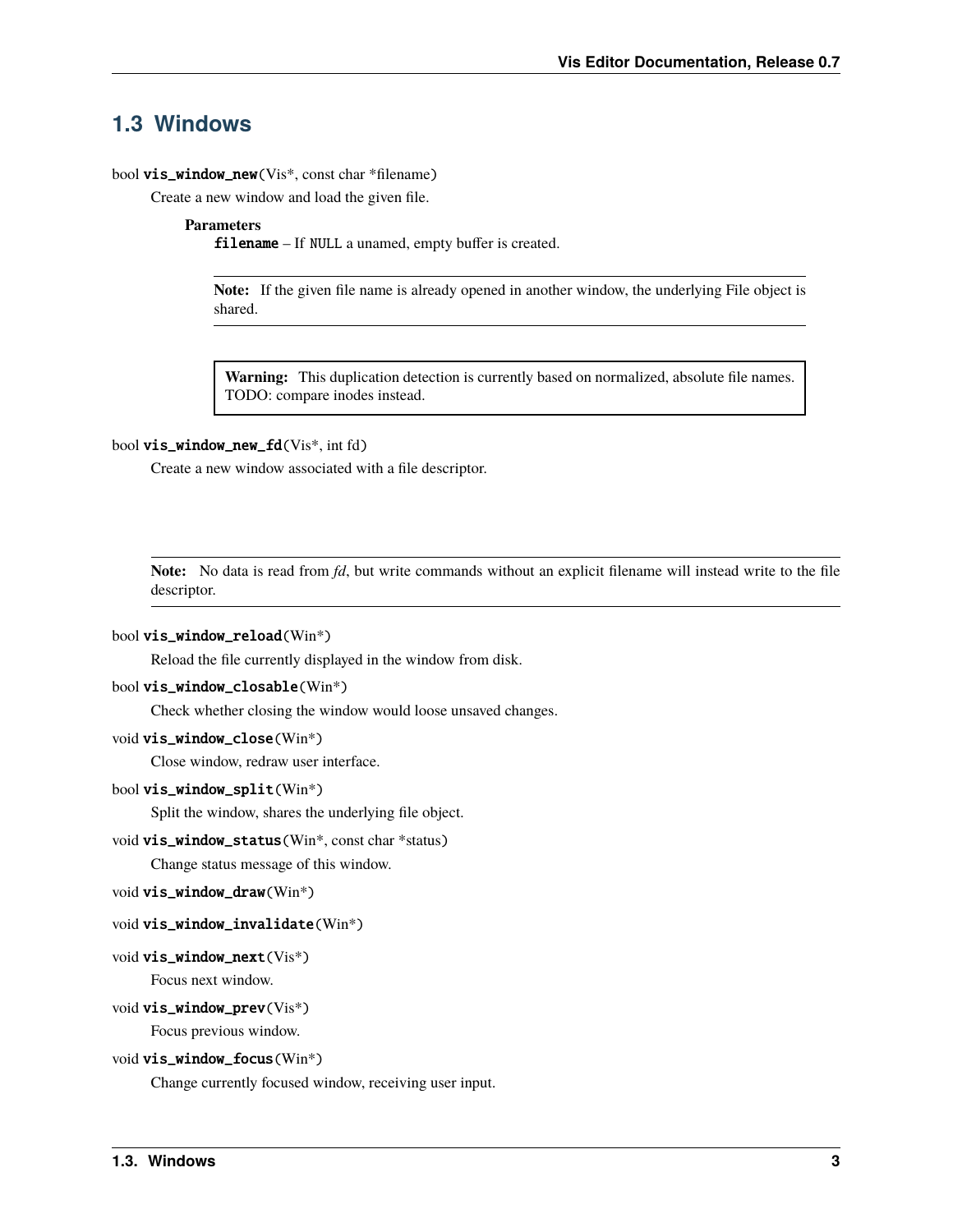# <span id="page-6-1"></span><span id="page-6-0"></span>**1.3 Windows**

#### bool vis\_window\_new(Vis<sup>\*</sup>, const char \*filename)

Create a new window and load the given file.

#### **Parameters**

filename – If NULL a unamed, empty buffer is created.

**Note:** If the given file name is already opened in another window, the underlying File object is shared.

**Warning:** This duplication detection is currently based on normalized, absolute file names. TODO: compare inodes instead.

#### bool vis\_window\_new\_fd(Vis\*, int fd)

Create a new window associated with a file descriptor.

**Note:** No data is read from *fd*, but write commands without an explicit filename will instead write to the file descriptor.

#### bool vis\_window\_reload(Win\*)

Reload the file currently displayed in the window from disk.

#### bool vis\_window\_closable(Win\*)

Check whether closing the window would loose unsaved changes.

#### void vis\_window\_close(Win\*)

Close window, redraw user interface.

#### bool vis\_window\_split(Win\*)

Split the window, shares the underlying file object.

#### void vis\_window\_status(Win\*, const char \*status)

Change status message of this window.

```
void vis_window_draw(Win*)
```
#### void vis\_window\_invalidate(Win\*)

#### void vis\_window\_next(Vis\*)

Focus next window.

#### void vis\_window\_prev(Vis\*)

Focus previous window.

#### void vis\_window\_focus(Win\*)

Change currently focused window, receiving user input.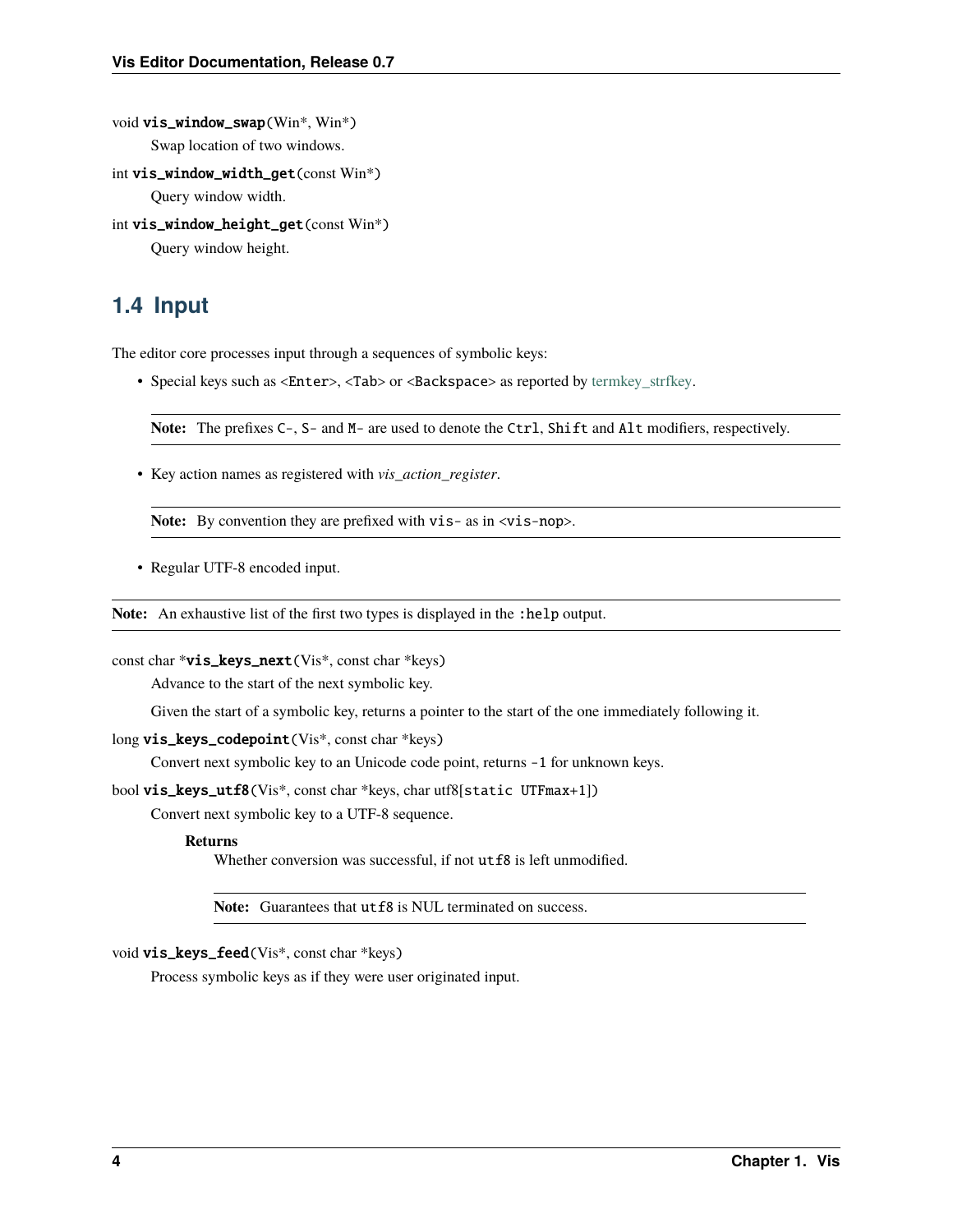```
void vis_window_swap(Win*, Win*)
```
Swap location of two windows.

```
int vis_window_width_get(const Win*)
     Query window width.
```

```
int vis_window_height_get(const Win*)
```
Query window height.

# <span id="page-7-0"></span>**1.4 Input**

The editor core processes input through a sequences of symbolic keys:

• Special keys such as <Enter>, <Tab> or <Backspace> as reported by [termkey\\_strfkey.](http://www.leonerd.org.uk/code/libtermkey/doc/termkey_strfkey.3.html)

**Note:** The prefixes C-, S- and M- are used to denote the Ctrl, Shift and Alt modifiers, respectively.

• Key action names as registered with *vis\_action\_register*.

Note: By convention they are prefixed with vis- as in  $\langle vis-nop \rangle$ .

• Regular UTF-8 encoded input.

Note: An exhaustive list of the first two types is displayed in the :help output.

```
const char *vis_keys_next(Vis*, const char *keys)
```
Advance to the start of the next symbolic key.

Given the start of a symbolic key, returns a pointer to the start of the one immediately following it.

```
long vis_keys_codepoint(Vis<sup>*</sup>, const char *keys)
```
Convert next symbolic key to an Unicode code point, returns -1 for unknown keys.

bool vis\_keys\_utf8(Vis\*, const char \*keys, char utf8[static UTFmax+1])

Convert next symbolic key to a UTF-8 sequence.

#### **Returns**

Whether conversion was successful, if not  $utf8$  is left unmodified.

Note: Guarantees that  $utf8$  is NUL terminated on success.

void vis\_keys\_feed(Vis\*, const char \*keys)

Process symbolic keys as if they were user originated input.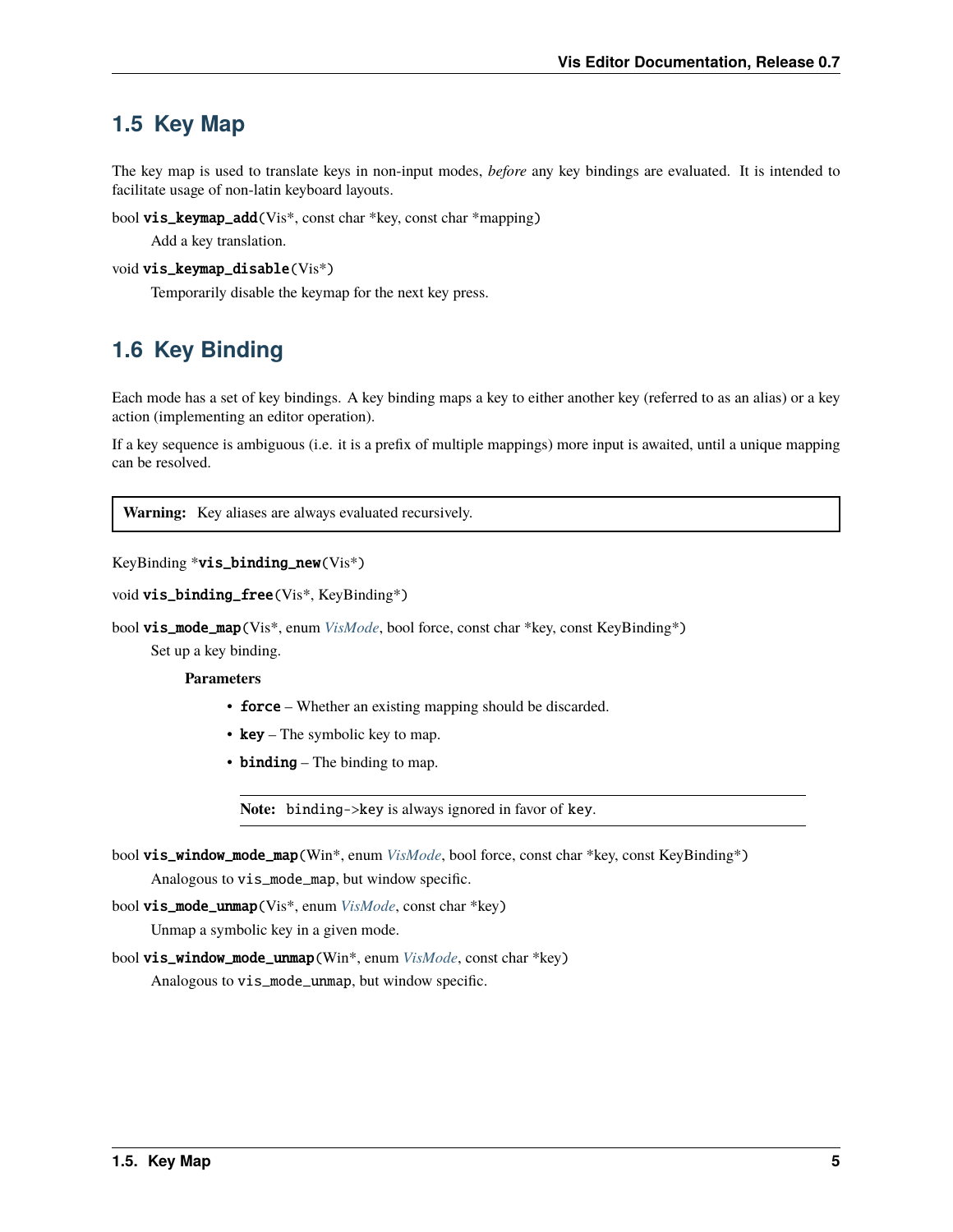# <span id="page-8-2"></span><span id="page-8-0"></span>**1.5 Key Map**

The key map is used to translate keys in non-input modes, *before* any key bindings are evaluated. It is intended to facilitate usage of non-latin keyboard layouts.

bool vis\_keymap\_add(Vis\*, const char \*key, const char \*mapping)

Add a key translation.

```
void vis_keymap_disable(Vis*)
```
Temporarily disable the keymap for the next key press.

# <span id="page-8-1"></span>**1.6 Key Binding**

Each mode has a set of key bindings. A key binding maps a key to either another key (referred to as an alias) or a key action (implementing an editor operation).

If a key sequence is ambiguous (i.e. it is a prefix of multiple mappings) more input is awaited, until a unique mapping can be resolved.

**Warning:** Key aliases are always evaluated recursively.

```
KeyBinding *vis_binding_new(Vis*)
```

```
void vis_binding_free(Vis*, KeyBinding*)
```
bool vis\_mode\_map(Vis\*, enum *[VisMode](#page-10-1)*, bool force, const char \*key, const KeyBinding\*)

Set up a key binding.

**Parameters**

- **force** Whether an existing mapping should be discarded.
- $key The symbolic key to map.$
- **binding** The binding to map.

**Note:** binding->key is always ignored in favor of key.

bool vis\_window\_mode\_map(Win\*, enum *[VisMode](#page-10-1)*, bool force, const char \*key, const KeyBinding\*) Analogous to vis\_mode\_map, but window specific.

bool vis\_mode\_unmap(Vis\*, enum *[VisMode](#page-10-1)*, const char \*key)

Unmap a symbolic key in a given mode.

bool vis\_window\_mode\_unmap(Win\*, enum *[VisMode](#page-10-1)*, const char \*key) Analogous to vis\_mode\_unmap, but window specific.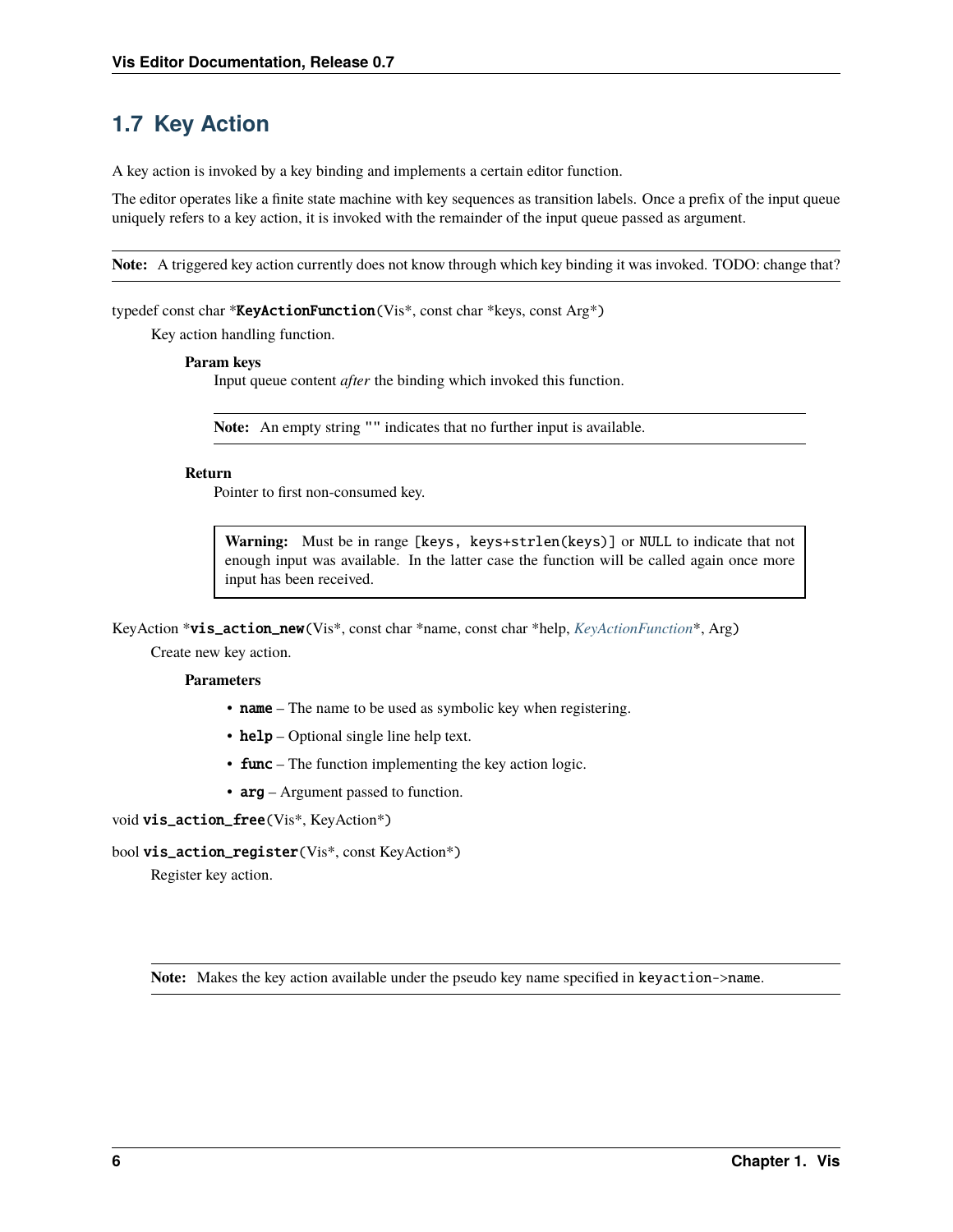# <span id="page-9-2"></span><span id="page-9-0"></span>**1.7 Key Action**

A key action is invoked by a key binding and implements a certain editor function.

The editor operates like a finite state machine with key sequences as transition labels. Once a prefix of the input queue uniquely refers to a key action, it is invoked with the remainder of the input queue passed as argument.

**Note:** A triggered key action currently does not know through which key binding it was invoked. TODO: change that?

#### <span id="page-9-1"></span>typedef const char \***KeyActionFunction**(Vis\*, const char \*keys, const Arg\*)

Key action handling function.

#### **Param keys**

Input queue content *after* the binding which invoked this function.

**Note:** An empty string "" indicates that no further input is available.

#### **Return**

Pointer to first non-consumed key.

**Warning:** Must be in range [keys, keys+strlen(keys)] or NULL to indicate that not enough input was available. In the latter case the function will be called again once more input has been received.

KeyAction \*vis\_action\_new(Vis\*, const char \*name, const char \*help, *[KeyActionFunction](#page-9-1)*\*, Arg)

Create new key action.

#### **Parameters**

- name The name to be used as symbolic key when registering.
- help Optional single line help text.
- **func** The function implementing the key action logic.
- $arg Argument$  passed to function.

void vis\_action\_free(Vis\*, KeyAction\*)

#### bool vis\_action\_register(Vis\*, const KeyAction\*)

Register key action.

**Note:** Makes the key action available under the pseudo key name specified in keyaction->name.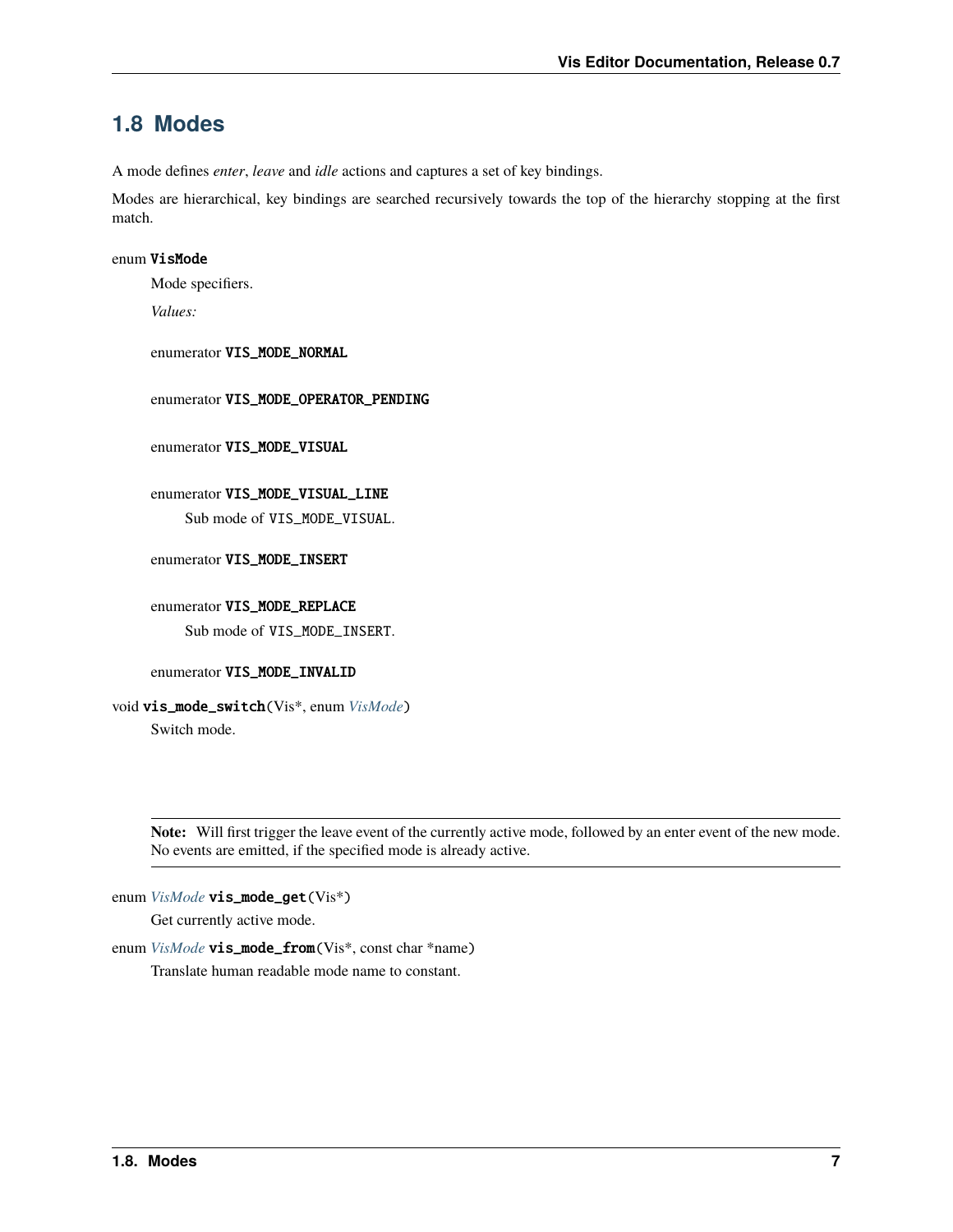# <span id="page-10-2"></span><span id="page-10-0"></span>**1.8 Modes**

A mode defines *enter*, *leave* and *idle* actions and captures a set of key bindings.

Modes are hierarchical, key bindings are searched recursively towards the top of the hierarchy stopping at the first match.

#### <span id="page-10-1"></span>enum VisMode

Mode specifiers.

*Values:*

enumerator VIS\_MODE\_NORMAL

enumerator VIS\_MODE\_OPERATOR\_PENDING

enumerator VIS\_MODE\_VISUAL

enumerator VIS\_MODE\_VISUAL\_LINE Sub mode of VIS\_MODE\_VISUAL.

enumerator VIS\_MODE\_INSERT

enumerator VIS\_MODE\_REPLACE Sub mode of VIS\_MODE\_INSERT.

enumerator VIS\_MODE\_INVALID

void vis\_mode\_switch(Vis\*, enum *[VisMode](#page-10-1)*) Switch mode.

> **Note:** Will first trigger the leave event of the currently active mode, followed by an enter event of the new mode. No events are emitted, if the specified mode is already active.

enum *[VisMode](#page-10-1)* vis\_mode\_get(Vis\*)

Get currently active mode.

enum *[VisMode](#page-10-1)* **vis\_mode\_from**(Vis<sup>\*</sup>, const char \*name)

Translate human readable mode name to constant.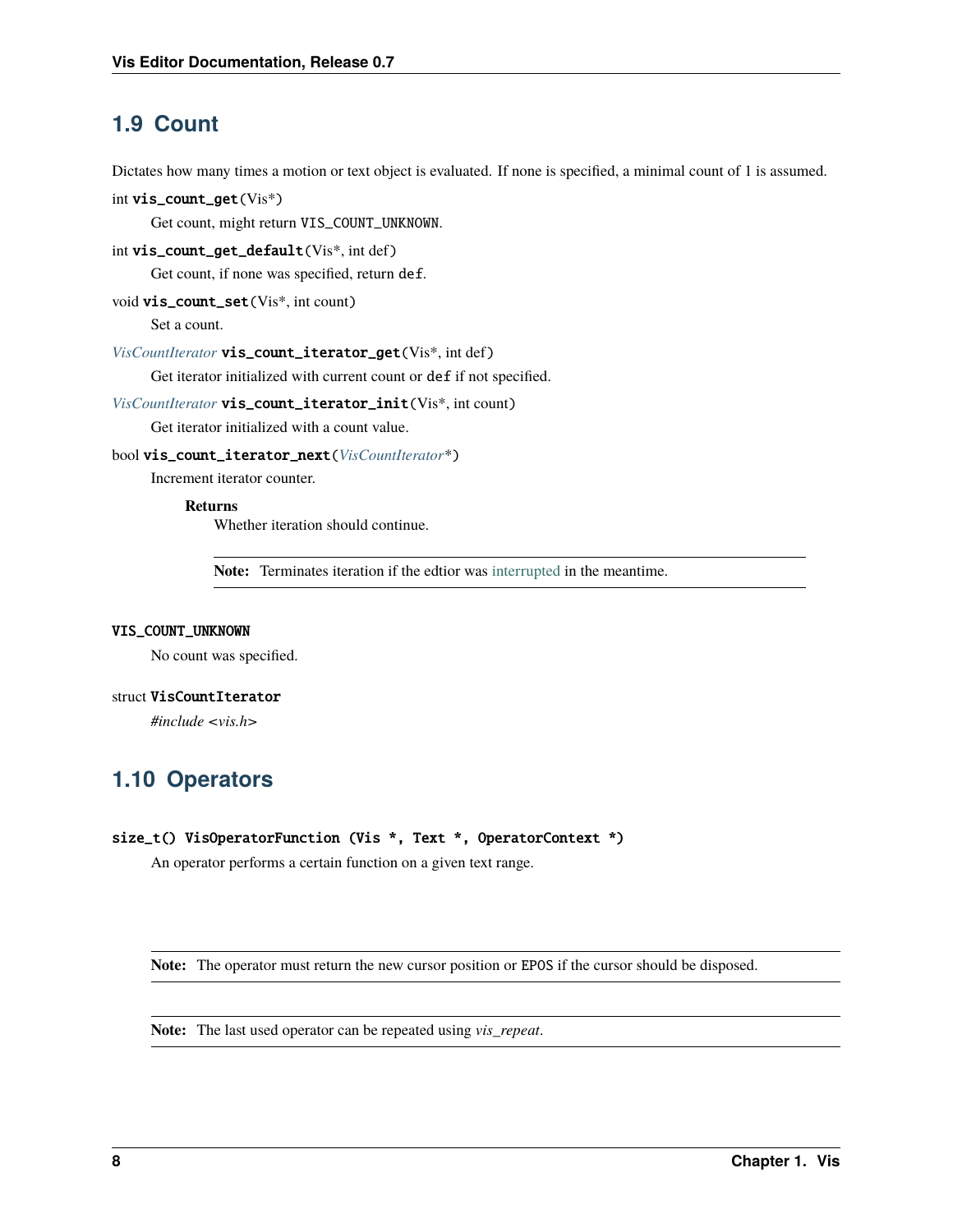# <span id="page-11-3"></span><span id="page-11-0"></span>**1.9 Count**

Dictates how many times a motion or text object is evaluated. If none is specified, a minimal count of 1 is assumed.

```
int vis_count_get(Vis*)
```
Get count, might return VIS\_COUNT\_UNKNOWN.

int vis\_count\_get\_default(Vis\*, int def)

Get count, if none was specified, return def.

```
void vis_count_set(Vis*, int count)
```
Set a count.

#### *[VisCountIterator](#page-11-2)* vis\_count\_iterator\_get(Vis\*, int def)

Get iterator initialized with current count or def if not specified.

### *[VisCountIterator](#page-11-2)* vis\_count\_iterator\_init(Vis\*, int count)

Get iterator initialized with a count value.

#### bool vis\_count\_iterator\_next(*[VisCountIterator](#page-11-2)*\*)

Increment iterator counter.

#### **Returns**

Whether iteration should continue.

**Note:** Terminates iteration if the edtior was [interrupted](#page-0-0) in the meantime.

#### VIS\_COUNT\_UNKNOWN

No count was specified.

#### <span id="page-11-2"></span>struct VisCountIterator

*#include <vis.h>*

# <span id="page-11-1"></span>**1.10 Operators**

#### size\_t() VisOperatorFunction (Vis \*, Text \*, OperatorContext \*)

An operator performs a certain function on a given text range.

**Note:** The operator must return the new cursor position or EPOS if the cursor should be disposed.

**Note:** The last used operator can be repeated using *vis\_repeat*.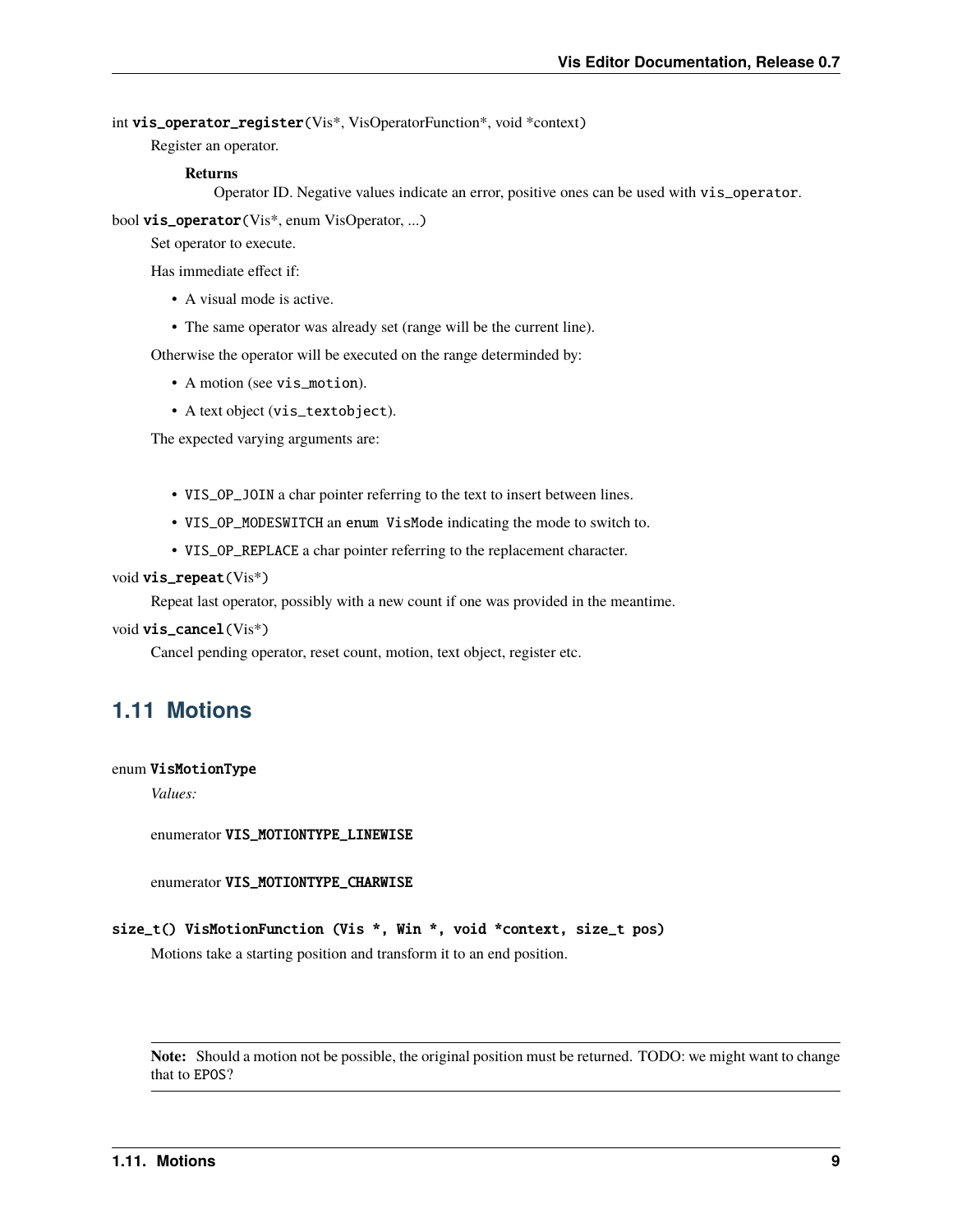<span id="page-12-2"></span>int vis\_operator\_register(Vis\*, VisOperatorFunction\*, void \*context)

Register an operator.

#### **Returns**

Operator ID. Negative values indicate an error, positive ones can be used with vis\_operator.

bool vis\_operator(Vis\*, enum VisOperator, ...)

Set operator to execute.

Has immediate effect if:

- A visual mode is active.
- The same operator was already set (range will be the current line).

Otherwise the operator will be executed on the range determinded by:

- A motion (see vis\_motion).
- A text object (vis\_textobject).

The expected varying arguments are:

- VIS\_OP\_JOIN a char pointer referring to the text to insert between lines.
- VIS\_OP\_MODESWITCH an enum VisMode indicating the mode to switch to.
- VIS\_OP\_REPLACE a char pointer referring to the replacement character.

#### void vis\_repeat(Vis\*)

Repeat last operator, possibly with a new count if one was provided in the meantime.

#### void vis\_cancel(Vis\*)

Cancel pending operator, reset count, motion, text object, register etc.

### <span id="page-12-0"></span>**1.11 Motions**

#### <span id="page-12-1"></span>enum VisMotionType

*Values:*

enumerator VIS\_MOTIONTYPE\_LINEWISE

enumerator VIS\_MOTIONTYPE\_CHARWISE

size\_t() VisMotionFunction (Vis \*, Win \*, void \*context, size\_t pos)

Motions take a starting position and transform it to an end position.

**Note:** Should a motion not be possible, the original position must be returned. TODO: we might want to change that to EPOS?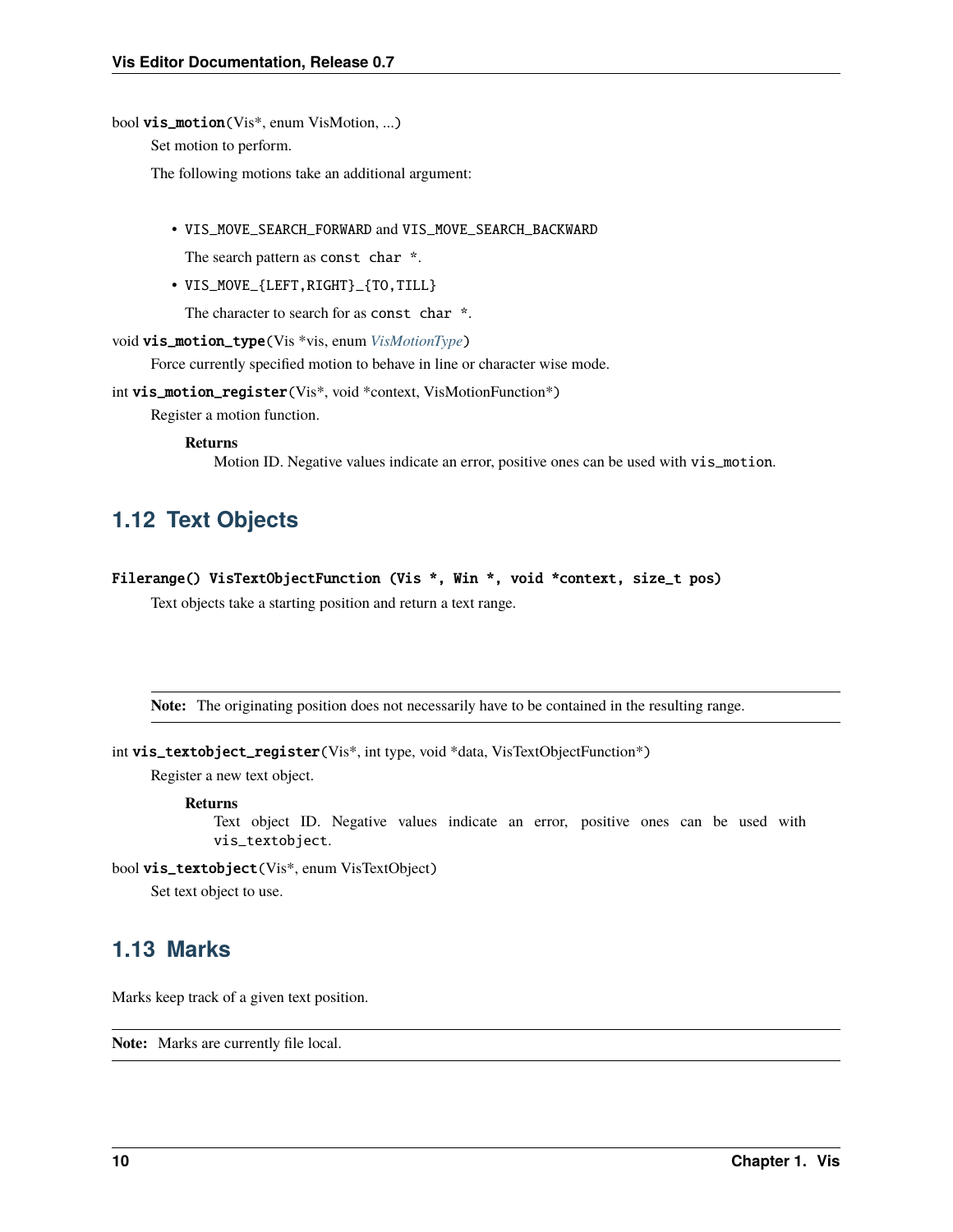#### <span id="page-13-2"></span>bool vis\_motion(Vis\*, enum VisMotion, ...)

Set motion to perform.

The following motions take an additional argument:

• VIS\_MOVE\_SEARCH\_FORWARD and VIS\_MOVE\_SEARCH\_BACKWARD

The search pattern as const char \*.

• VIS\_MOVE\_{LEFT,RIGHT}\_{TO,TILL}

The character to search for as const char  $*$ .

void vis\_motion\_type(Vis \*vis, enum *[VisMotionType](#page-12-1)*)

Force currently specified motion to behave in line or character wise mode.

int vis\_motion\_register(Vis\*, void \*context, VisMotionFunction\*)

Register a motion function.

#### **Returns**

Motion ID. Negative values indicate an error, positive ones can be used with vis\_motion.

# <span id="page-13-0"></span>**1.12 Text Objects**

Filerange() VisTextObjectFunction (Vis \*, Win \*, void \*context, size\_t pos)

Text objects take a starting position and return a text range.

**Note:** The originating position does not necessarily have to be contained in the resulting range.

```
int vis_textobject_register(Vis*, int type, void *data, VisTextObjectFunction*)
```
Register a new text object.

#### **Returns**

Text object ID. Negative values indicate an error, positive ones can be used with vis\_textobject.

bool vis\_textobject(Vis\*, enum VisTextObject)

Set text object to use.

### <span id="page-13-1"></span>**1.13 Marks**

Marks keep track of a given text position.

**Note:** Marks are currently file local.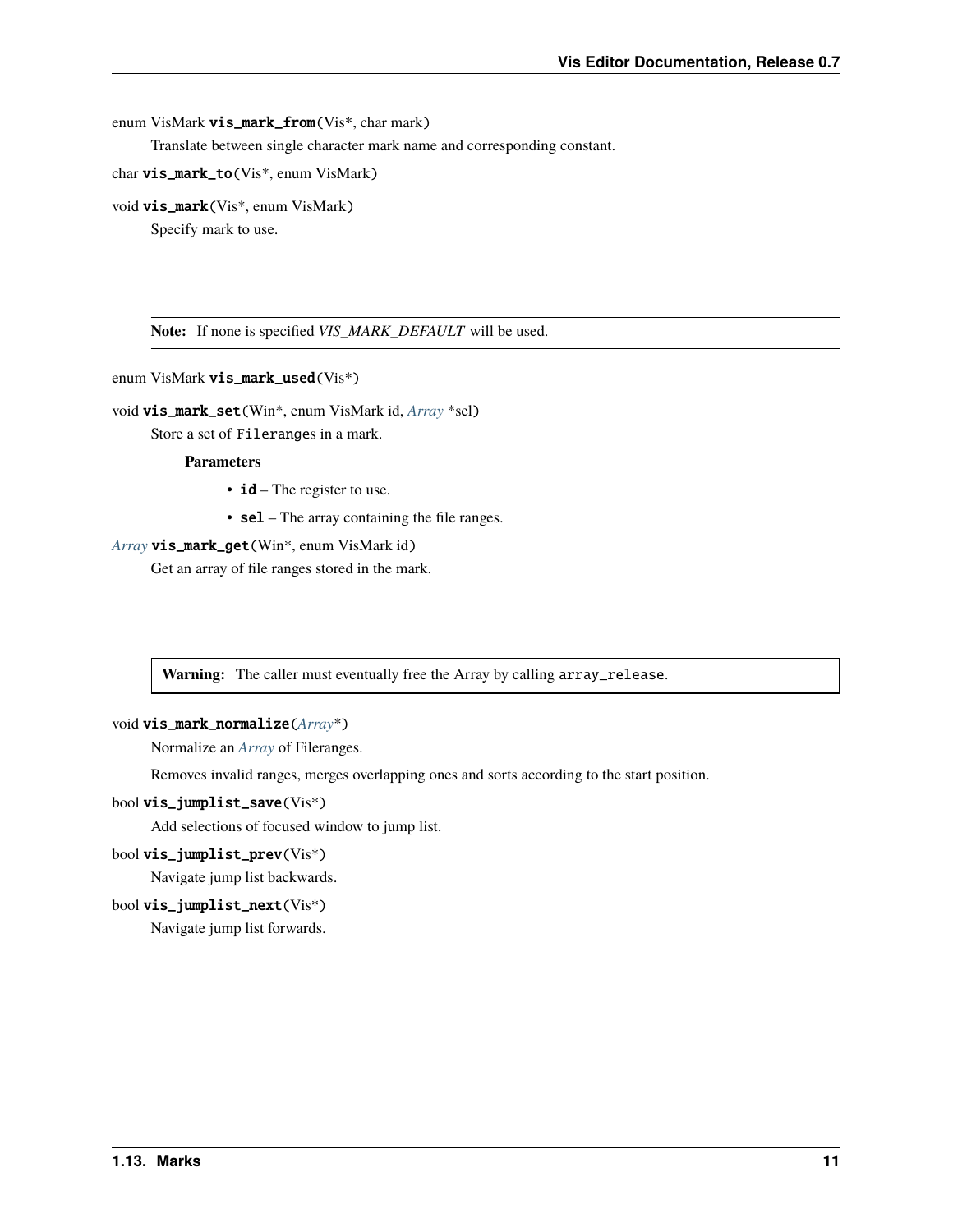<span id="page-14-0"></span>enum VisMark vis\_mark\_from(Vis<sup>\*</sup>, char mark)

Translate between single character mark name and corresponding constant.

char vis\_mark\_to(Vis\*, enum VisMark)

void vis\_mark(Vis\*, enum VisMark)

Specify mark to use.

**Note:** If none is specified *VIS\_MARK\_DEFAULT* will be used.

enum VisMark vis\_mark\_used(Vis\*)

void vis\_mark\_set(Win\*, enum VisMark id, *[Array](#page-46-0)* \*sel)

Store a set of Fileranges in a mark.

#### **Parameters**

- $\cdot$  **id** The register to use.
- sel The array containing the file ranges.

#### *[Array](#page-46-0)* vis\_mark\_get(Win\*, enum VisMark id)

Get an array of file ranges stored in the mark.

Warning: The caller must eventually free the Array by calling array\_release.

#### void vis\_mark\_normalize(*[Array](#page-46-0)*\*)

Normalize an *[Array](#page-46-1)* of Fileranges.

Removes invalid ranges, merges overlapping ones and sorts according to the start position.

#### bool vis\_jumplist\_save(Vis\*)

Add selections of focused window to jump list.

bool vis\_jumplist\_prev(Vis\*)

Navigate jump list backwards.

#### bool vis\_jumplist\_next(Vis\*)

Navigate jump list forwards.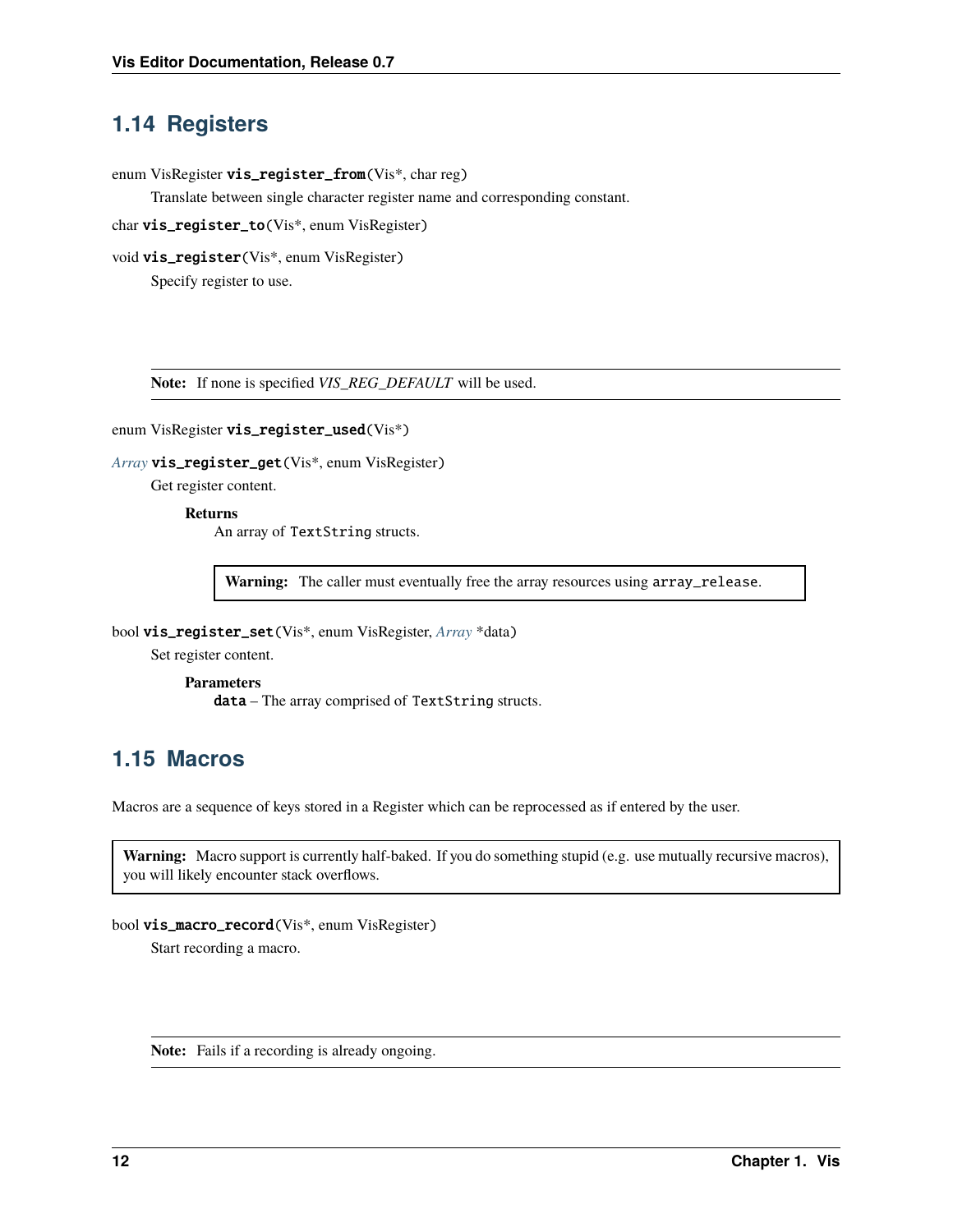### <span id="page-15-2"></span><span id="page-15-0"></span>**1.14 Registers**

enum VisRegister vis\_register\_from(Vis\*, char reg)

Translate between single character register name and corresponding constant.

char vis\_register\_to(Vis\*, enum VisRegister)

void vis\_register(Vis\*, enum VisRegister)

Specify register to use.

**Note:** If none is specified *VIS\_REG\_DEFAULT* will be used.

```
enum VisRegister vis_register_used(Vis*)
```
*[Array](#page-46-0)* vis\_register\_get(Vis\*, enum VisRegister)

Get register content.

#### **Returns**

An array of TextString structs.

**Warning:** The caller must eventually free the array resources using array\_release.

bool vis\_register\_set(Vis\*, enum VisRegister, *[Array](#page-46-0)* \*data)

Set register content.

**Parameters** data – The array comprised of TextString structs.

# <span id="page-15-1"></span>**1.15 Macros**

Macros are a sequence of keys stored in a Register which can be reprocessed as if entered by the user.

**Warning:** Macro support is currently half-baked. If you do something stupid (e.g. use mutually recursive macros), you will likely encounter stack overflows.

bool vis\_macro\_record(Vis\*, enum VisRegister)

Start recording a macro.

**Note:** Fails if a recording is already ongoing.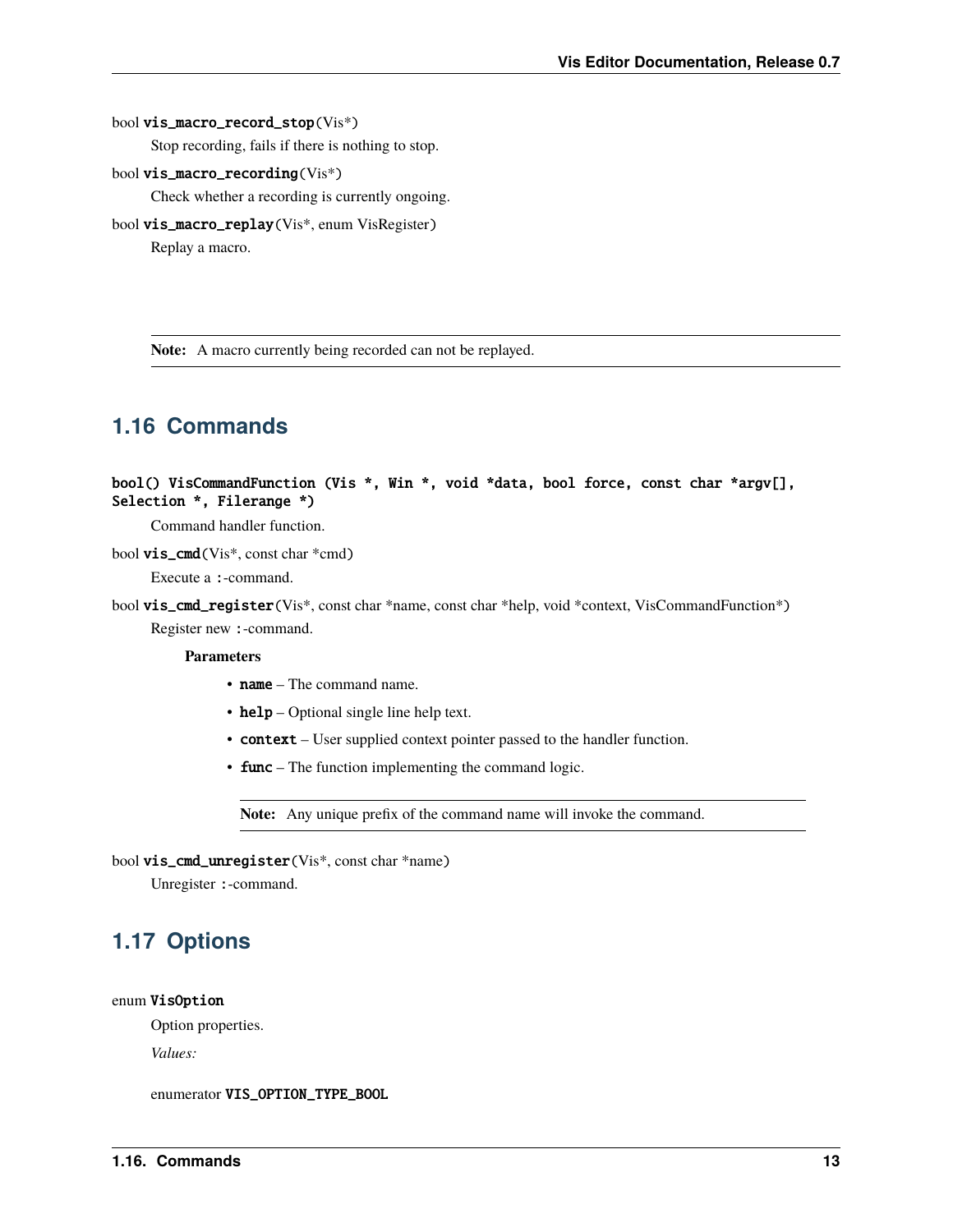#### <span id="page-16-3"></span>bool vis\_macro\_record\_stop(Vis\*)

Stop recording, fails if there is nothing to stop.

bool vis\_macro\_recording(Vis\*)

Check whether a recording is currently ongoing.

bool vis\_macro\_replay(Vis\*, enum VisRegister)

Replay a macro.

**Note:** A macro currently being recorded can not be replayed.

### <span id="page-16-0"></span>**1.16 Commands**

```
bool() VisCommandFunction (Vis *, Win *, void *data, bool force, const char *argv[],
Selection *, Filerange *)
```
Command handler function.

#### bool vis\_cmd(Vis\*, const char \*cmd)

Execute a :-command.

bool vis\_cmd\_register(Vis\*, const char \*name, const char \*help, void \*context, VisCommandFunction\*) Register new :-command.

#### **Parameters**

- name The command name.
- help Optional single line help text.
- context User supplied context pointer passed to the handler function.
- **func** The function implementing the command logic.

**Note:** Any unique prefix of the command name will invoke the command.

#### bool vis\_cmd\_unregister(Vis\*, const char \*name)

Unregister :-command.

# <span id="page-16-1"></span>**1.17 Options**

#### <span id="page-16-2"></span>enum VisOption

Option properties.

*Values:*

enumerator VIS\_OPTION\_TYPE\_BOOL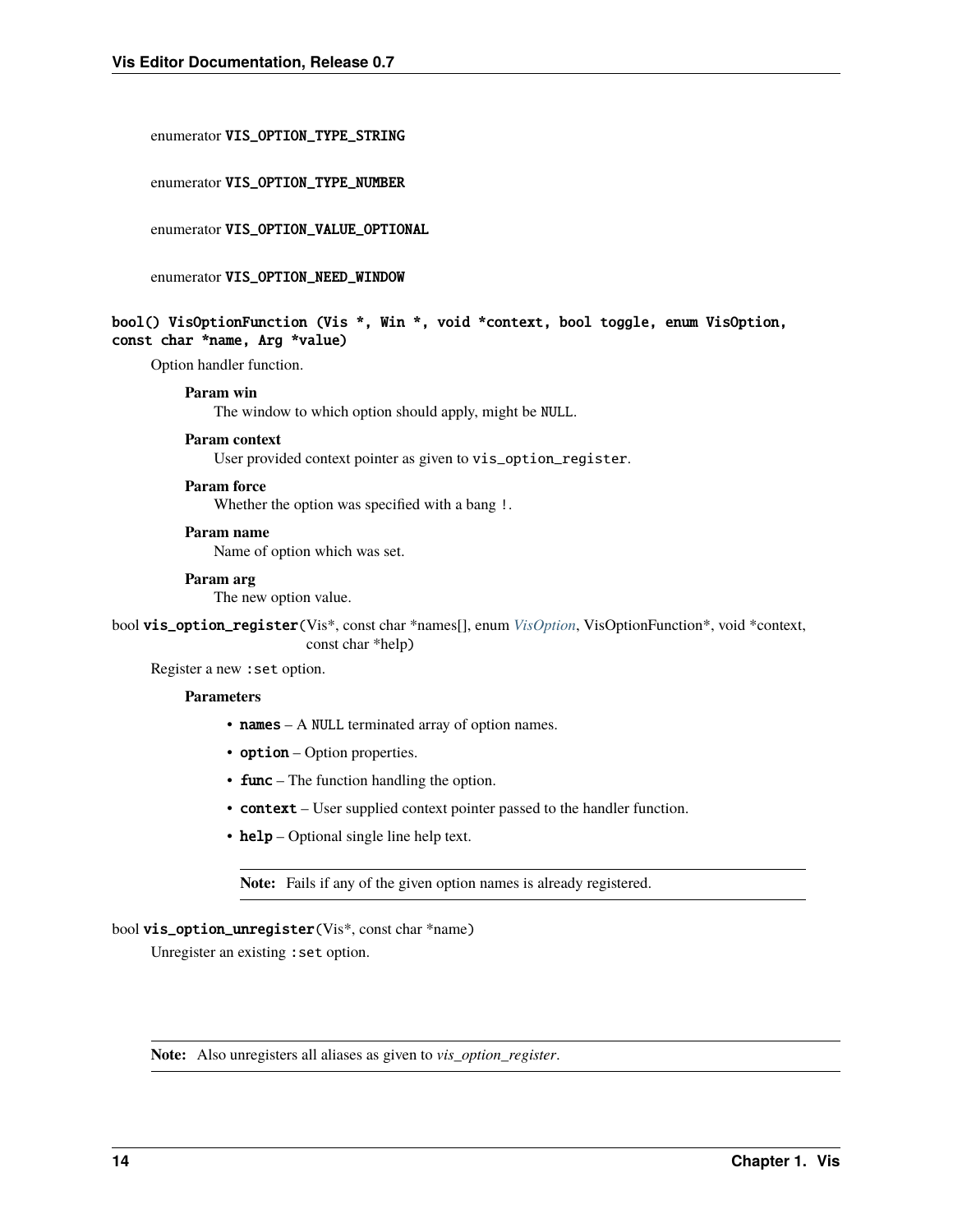#### <span id="page-17-0"></span>enumerator VIS\_OPTION\_TYPE\_STRING

#### enumerator VIS\_OPTION\_TYPE\_NUMBER

enumerator VIS\_OPTION\_VALUE\_OPTIONAL

enumerator VIS\_OPTION\_NEED\_WINDOW

#### bool() VisOptionFunction (Vis \*, Win \*, void \*context, bool toggle, enum VisOption, const char \*name, Arg \*value)

Option handler function.

#### **Param win**

The window to which option should apply, might be NULL.

#### **Param context**

User provided context pointer as given to vis\_option\_register.

#### **Param force**

Whether the option was specified with a bang !.

#### **Param name**

Name of option which was set.

#### **Param arg**

The new option value.

bool vis\_option\_register(Vis\*, const char \*names[], enum *[VisOption](#page-16-2)*, VisOptionFunction\*, void \*context, const char \*help)

Register a new :set option.

#### **Parameters**

- names A NULL terminated array of option names.
- option Option properties.
- **func** The function handling the option.
- context User supplied context pointer passed to the handler function.
- help Optional single line help text.

**Note:** Fails if any of the given option names is already registered.

#### bool vis\_option\_unregister(Vis\*, const char \*name)

Unregister an existing : set option.

**Note:** Also unregisters all aliases as given to *vis\_option\_register*.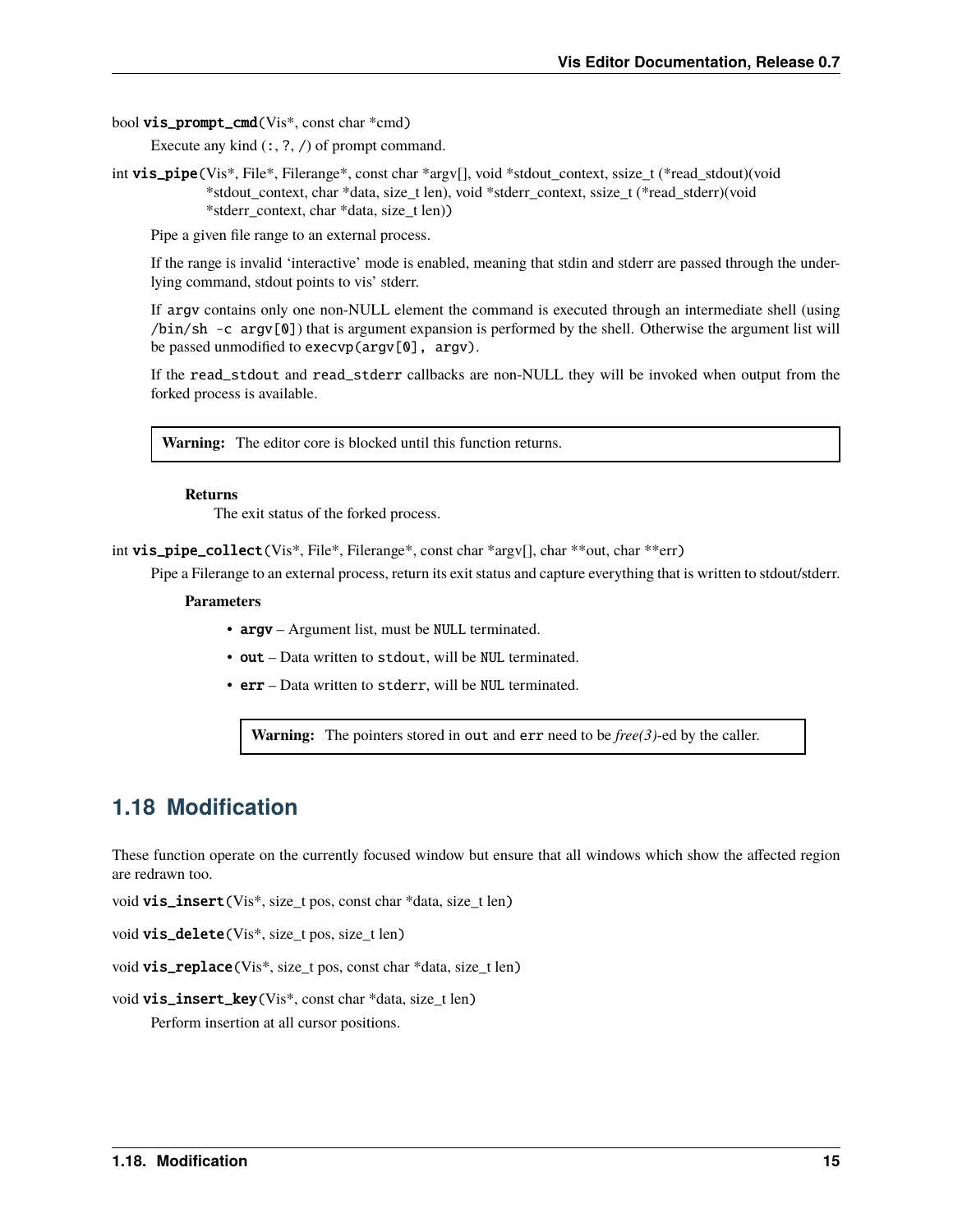<span id="page-18-1"></span>bool vis\_prompt\_cmd(Vis\*, const char \*cmd)

Execute any kind  $(:, ?, /)$  of prompt command.

int vis\_pipe(Vis\*, File\*, Filerange\*, const char \*argv[], void \*stdout\_context, ssize\_t (\*read\_stdout)(void \*stdout\_context, char \*data, size\_t len), void \*stderr\_context, ssize\_t (\*read\_stderr)(void \*stderr\_context, char \*data, size\_t len))

Pipe a given file range to an external process.

If the range is invalid 'interactive' mode is enabled, meaning that stdin and stderr are passed through the underlying command, stdout points to vis' stderr.

If argv contains only one non-NULL element the command is executed through an intermediate shell (using /bin/sh -c argv[0]) that is argument expansion is performed by the shell. Otherwise the argument list will be passed unmodified to execvp(argv[0], argv).

If the read\_stdout and read\_stderr callbacks are non-NULL they will be invoked when output from the forked process is available.

**Warning:** The editor core is blocked until this function returns.

#### **Returns**

The exit status of the forked process.

int vis\_pipe\_collect(Vis\*, File\*, Filerange\*, const char \*argv[], char \*\*out, char \*\*err)

Pipe a Filerange to an external process, return its exit status and capture everything that is written to stdout/stderr.

#### **Parameters**

- argv Argument list, must be NULL terminated.
- out Data written to stdout, will be NUL terminated.
- err Data written to stderr, will be NUL terminated.

**Warning:** The pointers stored in out and err need to be *free(3)*-ed by the caller.

### <span id="page-18-0"></span>**1.18 Modification**

These function operate on the currently focused window but ensure that all windows which show the affected region are redrawn too.

void vis\_insert(Vis\*, size\_t pos, const char \*data, size\_t len)

void vis\_delete(Vis\*, size\_t pos, size\_t len)

void vis\_replace(Vis\*, size\_t pos, const char \*data, size\_t len)

void vis\_insert\_key(Vis\*, const char \*data, size\_t len)

Perform insertion at all cursor positions.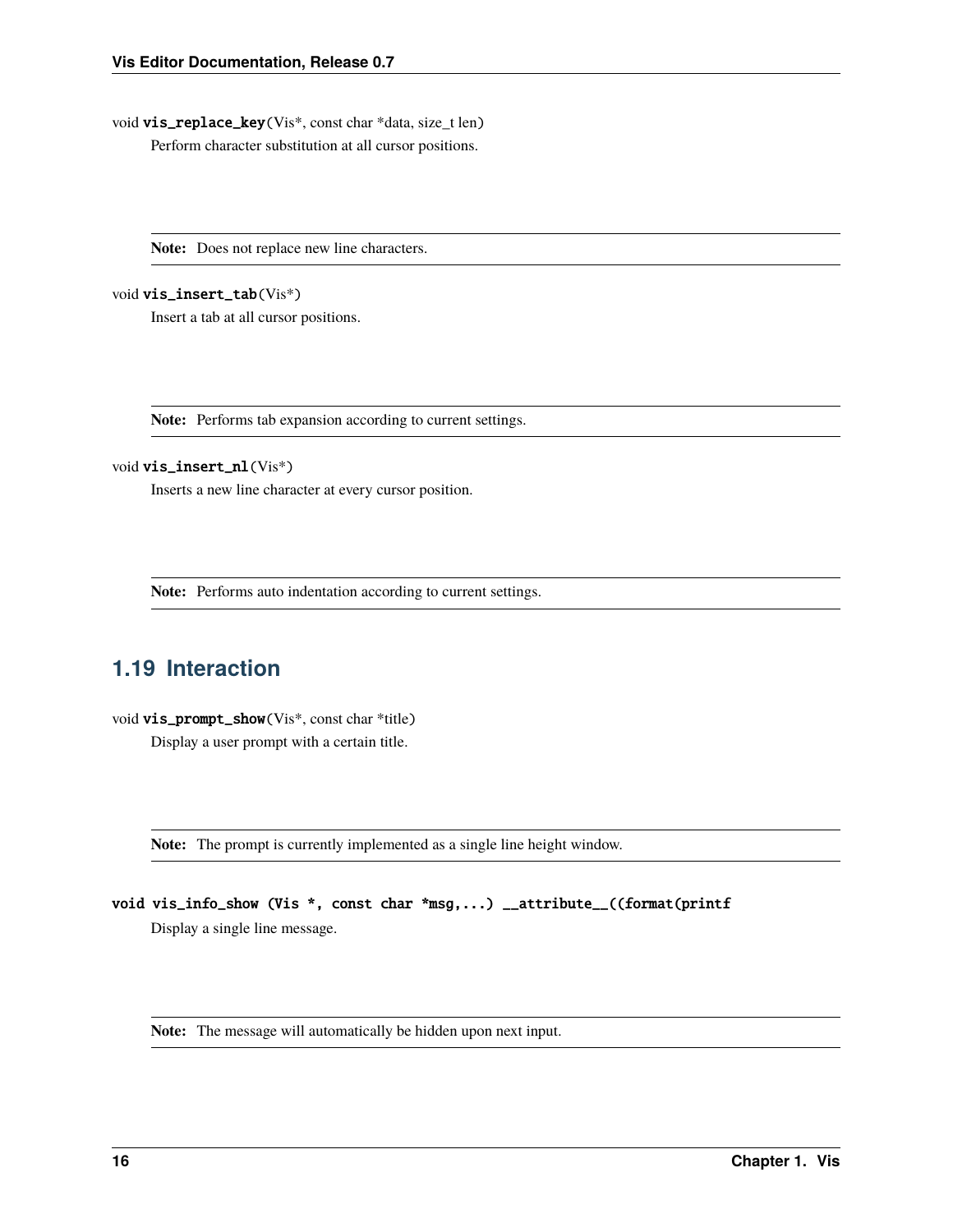<span id="page-19-1"></span>void vis\_replace\_key(Vis\*, const char \*data, size\_t len) Perform character substitution at all cursor positions.

**Note:** Does not replace new line characters.

void vis\_insert\_tab(Vis\*)

Insert a tab at all cursor positions.

**Note:** Performs tab expansion according to current settings.

#### void vis\_insert\_nl(Vis\*)

Inserts a new line character at every cursor position.

**Note:** Performs auto indentation according to current settings.

# <span id="page-19-0"></span>**1.19 Interaction**

void vis\_prompt\_show(Vis\*, const char \*title)

Display a user prompt with a certain title.

**Note:** The prompt is currently implemented as a single line height window.

void vis\_info\_show (Vis \*, const char \*msg,...) \_\_attribute\_\_((format(printf

Display a single line message.

**Note:** The message will automatically be hidden upon next input.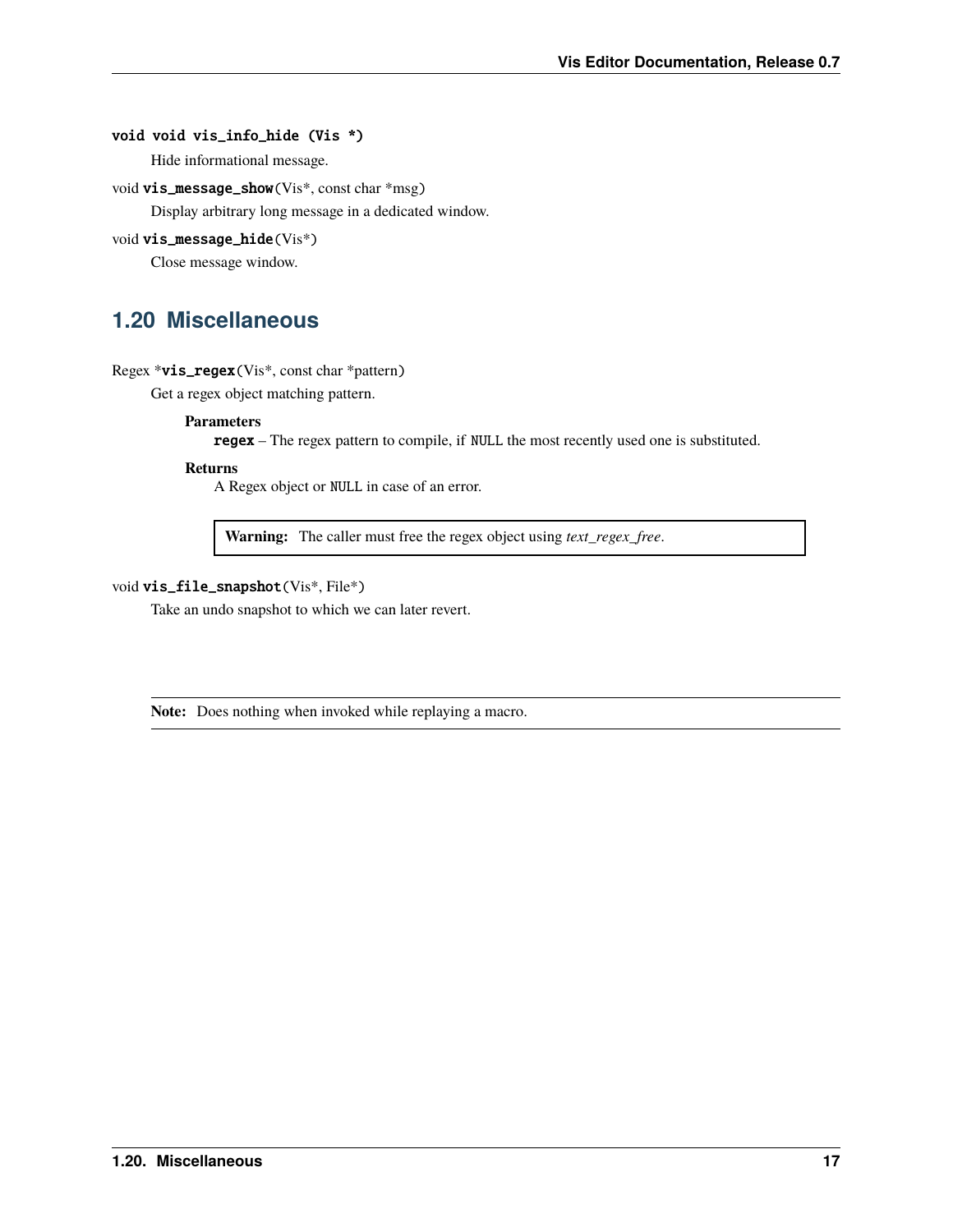#### <span id="page-20-1"></span>void void vis\_info\_hide (Vis \*)

Hide informational message.

```
void vis_message_show(Vis*, const char *msg)
```
Display arbitrary long message in a dedicated window.

#### void vis\_message\_hide(Vis\*)

Close message window.

# <span id="page-20-0"></span>**1.20 Miscellaneous**

#### Regex \*vis\_regex(Vis\*, const char \*pattern)

Get a regex object matching pattern.

#### **Parameters**

regex – The regex pattern to compile, if NULL the most recently used one is substituted.

#### **Returns**

A Regex object or NULL in case of an error.

**Warning:** The caller must free the regex object using *text\_regex\_free*.

#### void vis\_file\_snapshot(Vis\*, File\*)

Take an undo snapshot to which we can later revert.

**Note:** Does nothing when invoked while replaying a macro.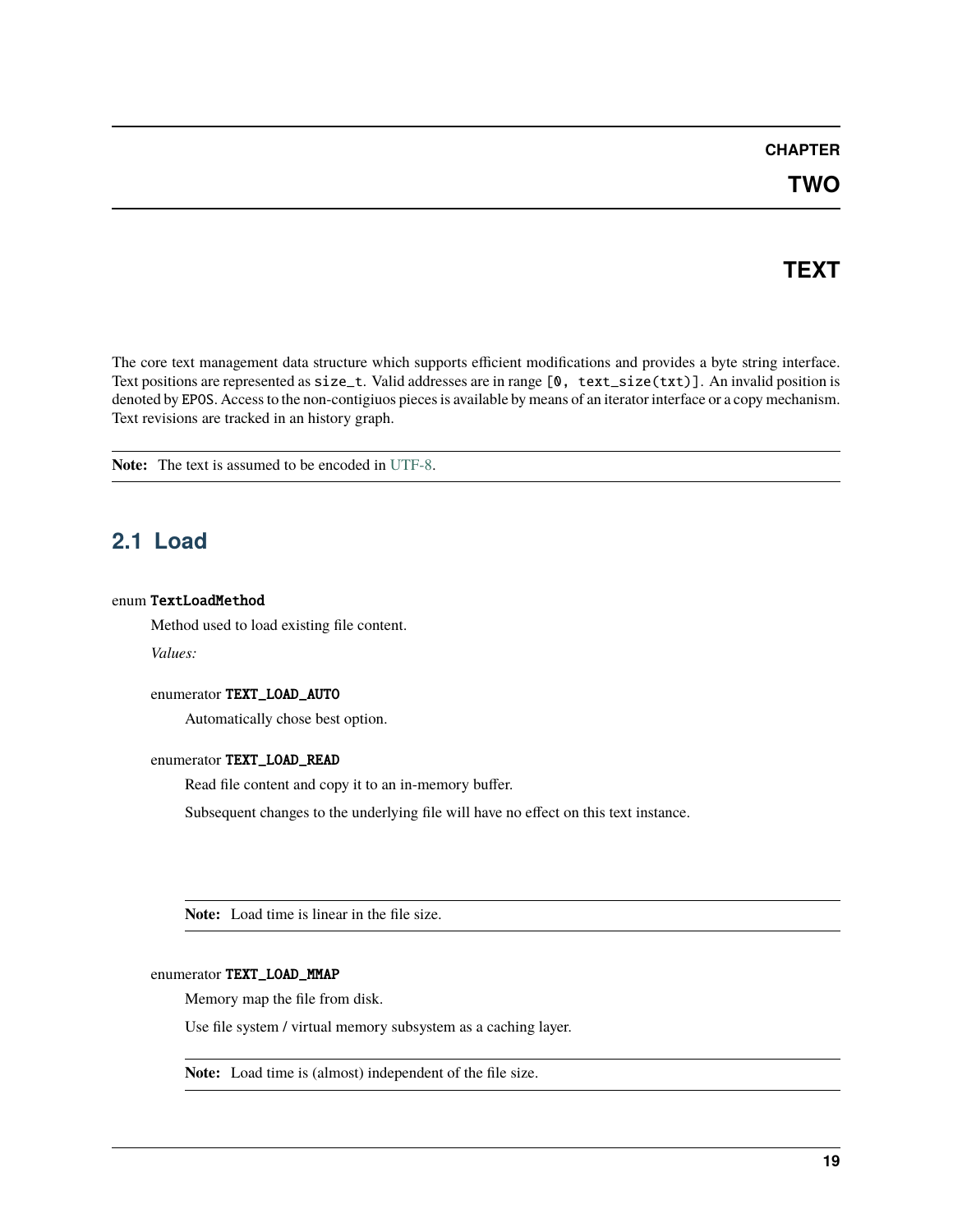### **CHAPTER**

# **TEXT**

<span id="page-22-3"></span><span id="page-22-0"></span>The core text management data structure which supports efficient modifications and provides a byte string interface. Text positions are represented as size\_t. Valid addresses are in range [0, text\_size(txt)]. An invalid position is denoted by EPOS. Access to the non-contigiuos pieces is available by means of an iterator interface or a copy mechanism. Text revisions are tracked in an history graph.

**Note:** The text is assumed to be encoded in [UTF-8.](https://tools.ietf.org/html/rfc3629)

# <span id="page-22-1"></span>**2.1 Load**

#### <span id="page-22-2"></span>enum TextLoadMethod

Method used to load existing file content.

*Values:*

#### enumerator TEXT\_LOAD\_AUTO

Automatically chose best option.

#### enumerator TEXT\_LOAD\_READ

Read file content and copy it to an in-memory buffer.

Subsequent changes to the underlying file will have no effect on this text instance.

**Note:** Load time is linear in the file size.

#### enumerator TEXT\_LOAD\_MMAP

Memory map the file from disk.

Use file system / virtual memory subsystem as a caching layer.

**Note:** Load time is (almost) independent of the file size.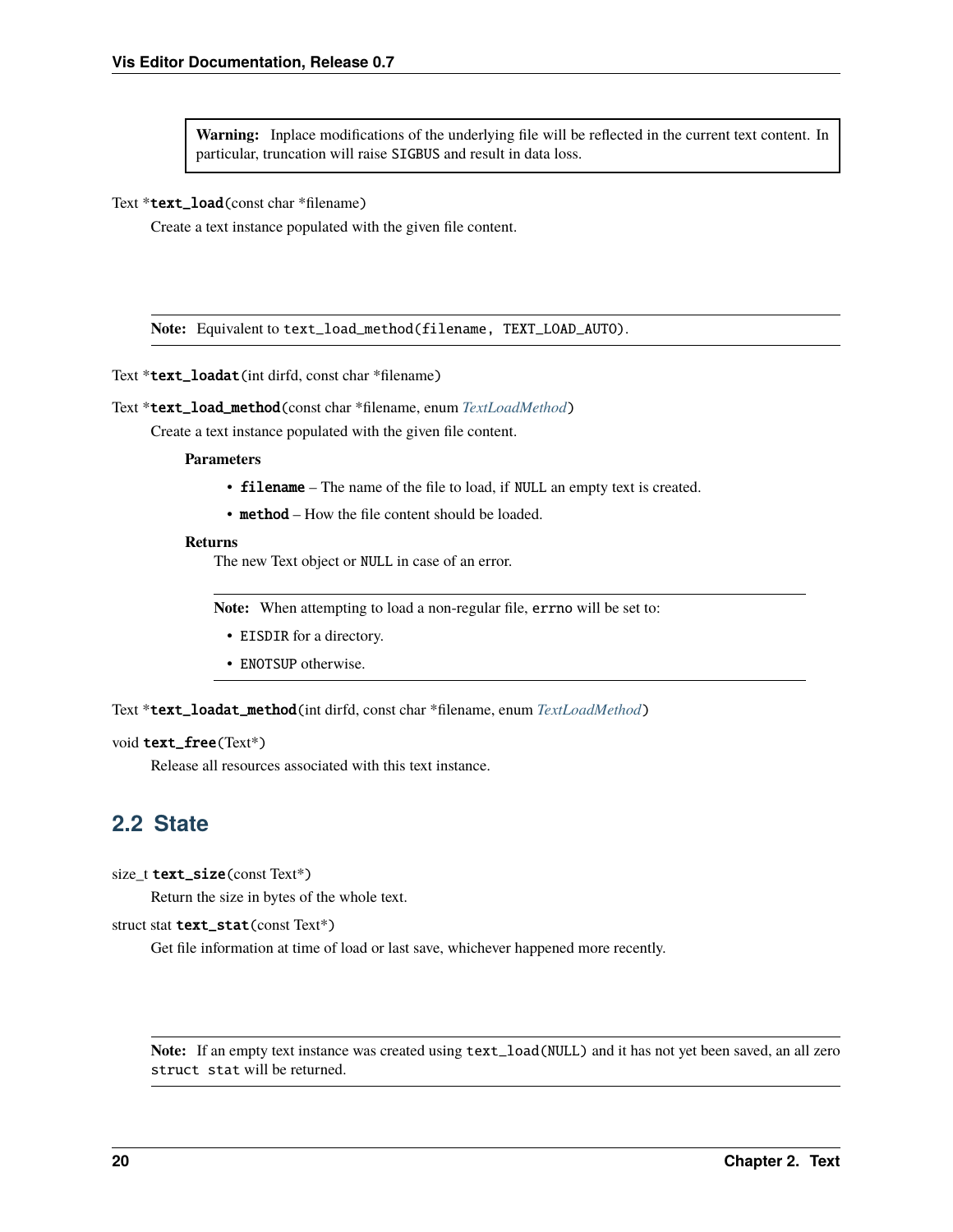<span id="page-23-1"></span>**Warning:** Inplace modifications of the underlying file will be reflected in the current text content. In particular, truncation will raise SIGBUS and result in data loss.

#### Text \*text\_load(const char \*filename)

Create a text instance populated with the given file content.

**Note:** Equivalent to text\_load\_method(filename, TEXT\_LOAD\_AUTO).

Text \*text\_loadat(int dirfd, const char \*filename)

Text \*text\_load\_method(const char \*filename, enum *[TextLoadMethod](#page-22-2)*)

Create a text instance populated with the given file content.

#### **Parameters**

- filename The name of the file to load, if NULL an empty text is created.
- method How the file content should be loaded.

#### **Returns**

The new Text object or NULL in case of an error.

**Note:** When attempting to load a non-regular file, errno will be set to:

- EISDIR for a directory.
- ENOTSUP otherwise.

Text \*text\_loadat\_method(int dirfd, const char \*filename, enum *[TextLoadMethod](#page-22-2)*)

#### void text\_free(Text\*)

Release all resources associated with this text instance.

### <span id="page-23-0"></span>**2.2 State**

size\_t text\_size(const Text\*)

Return the size in bytes of the whole text.

struct stat text\_stat(const Text\*)

Get file information at time of load or last save, whichever happened more recently.

**Note:** If an empty text instance was created using text\_load(NULL) and it has not yet been saved, an all zero struct stat will be returned.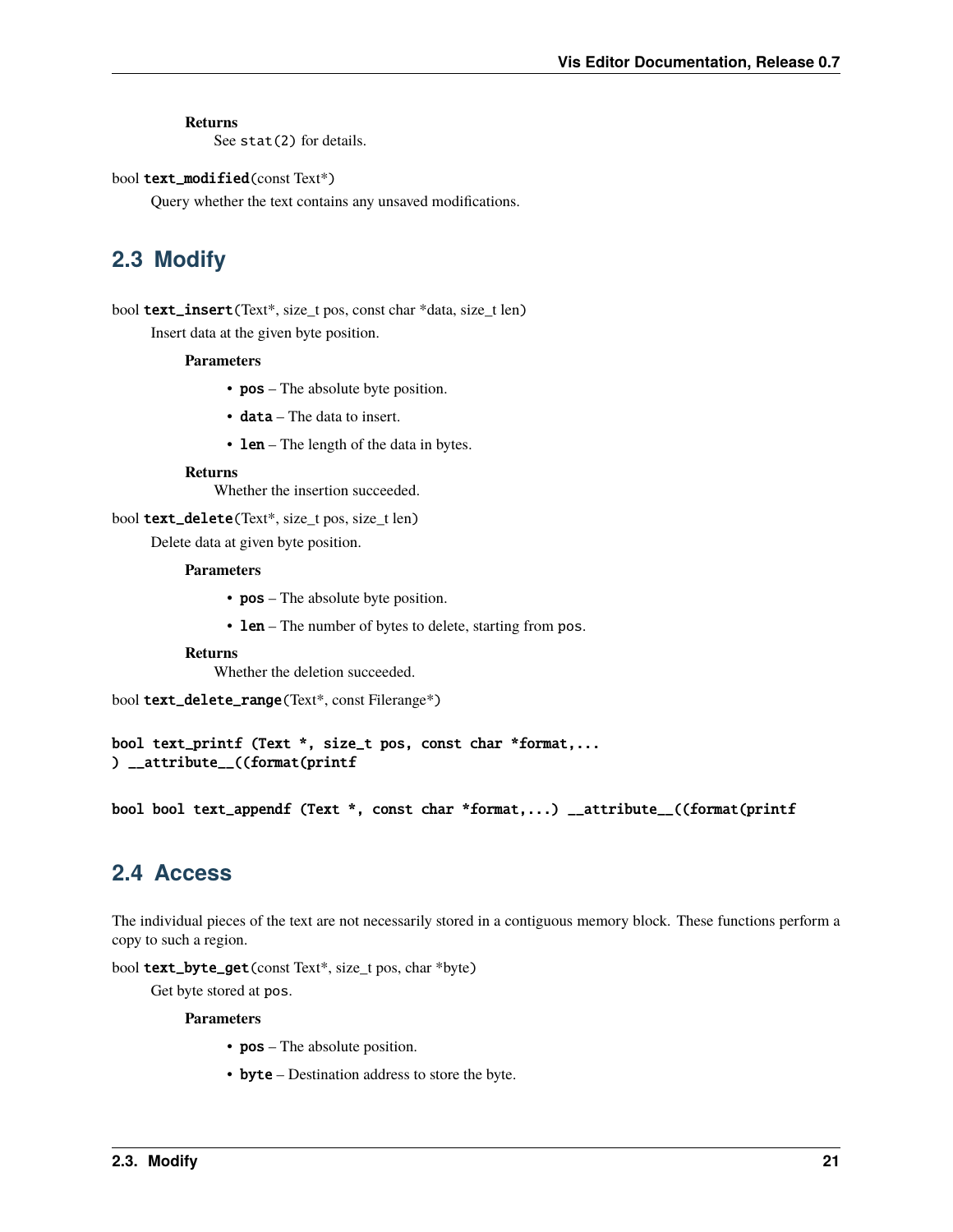#### <span id="page-24-2"></span>**Returns**

See stat(2) for details.

#### bool text\_modified(const Text\*)

Query whether the text contains any unsaved modifications.

# <span id="page-24-0"></span>**2.3 Modify**

bool text\_insert(Text\*, size\_t pos, const char \*data, size\_t len) Insert data at the given byte position.

#### **Parameters**

- **pos** The absolute byte position.
- data The data to insert.
- **len** The length of the data in bytes.

#### **Returns**

Whether the insertion succeeded.

bool text\_delete(Text\*, size\_t pos, size\_t len)

Delete data at given byte position.

#### **Parameters**

- **pos** The absolute byte position.
- **len** The number of bytes to delete, starting from pos.

#### **Returns**

Whether the deletion succeeded.

bool text\_delete\_range(Text\*, const Filerange\*)

bool text\_printf (Text \*, size\_t pos, const char \*format,... ) \_\_attribute\_\_((format(printf

bool bool text\_appendf (Text \*, const char \*format,...) \_\_attribute\_\_((format(printf

### <span id="page-24-1"></span>**2.4 Access**

The individual pieces of the text are not necessarily stored in a contiguous memory block. These functions perform a copy to such a region.

bool text\_byte\_get(const Text\*, size\_t pos, char \*byte)

Get byte stored at pos.

#### **Parameters**

- **pos** The absolute position.
- byte Destination address to store the byte.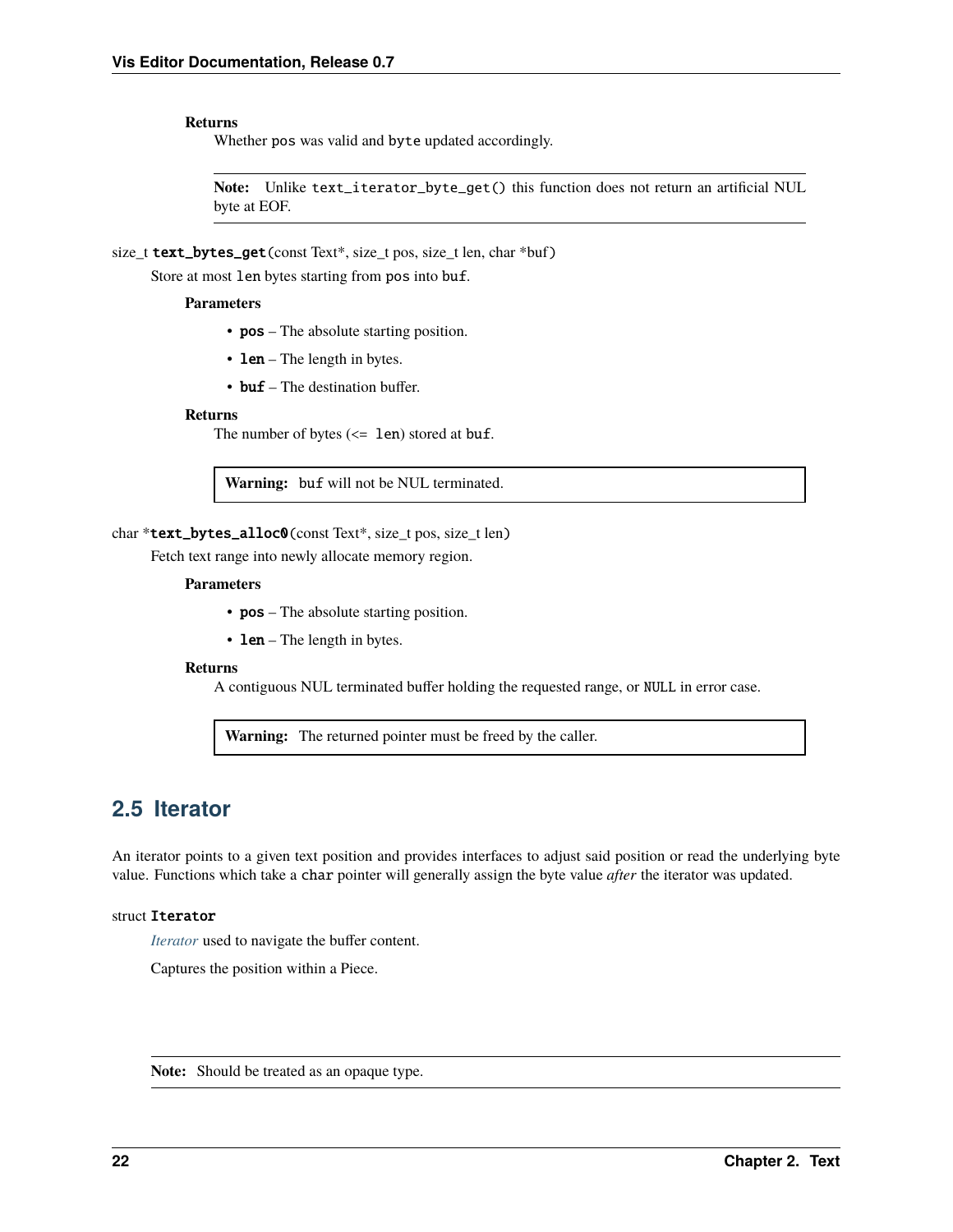#### <span id="page-25-3"></span>**Returns**

Whether pos was valid and byte updated accordingly.

**Note:** Unlike text\_iterator\_byte\_get() this function does not return an artificial NUL byte at EOF.

size\_t text\_bytes\_get(const Text\*, size\_t pos, size\_t len, char \*buf)

Store at most len bytes starting from pos into buf.

#### **Parameters**

- **pos** The absolute starting position.
- **len** The length in bytes.
- buf The destination buffer.

#### **Returns**

The number of bytes  $\left(\leq 1$ en) stored at buf.

**Warning:** buf will not be NUL terminated.

#### char \*text\_bytes\_alloc0(const Text\*, size t pos, size t len)

Fetch text range into newly allocate memory region.

#### **Parameters**

- **pos** The absolute starting position.
- $len The length in bytes.$

#### **Returns**

A contiguous NUL terminated buffer holding the requested range, or NULL in error case.

**Warning:** The returned pointer must be freed by the caller.

### <span id="page-25-0"></span>**2.5 Iterator**

An iterator points to a given text position and provides interfaces to adjust said position or read the underlying byte value. Functions which take a char pointer will generally assign the byte value *after* the iterator was updated.

#### <span id="page-25-2"></span><span id="page-25-1"></span>struct Iterator

*[Iterator](#page-25-1)* used to navigate the buffer content.

Captures the position within a Piece.

**Note:** Should be treated as an opaque type.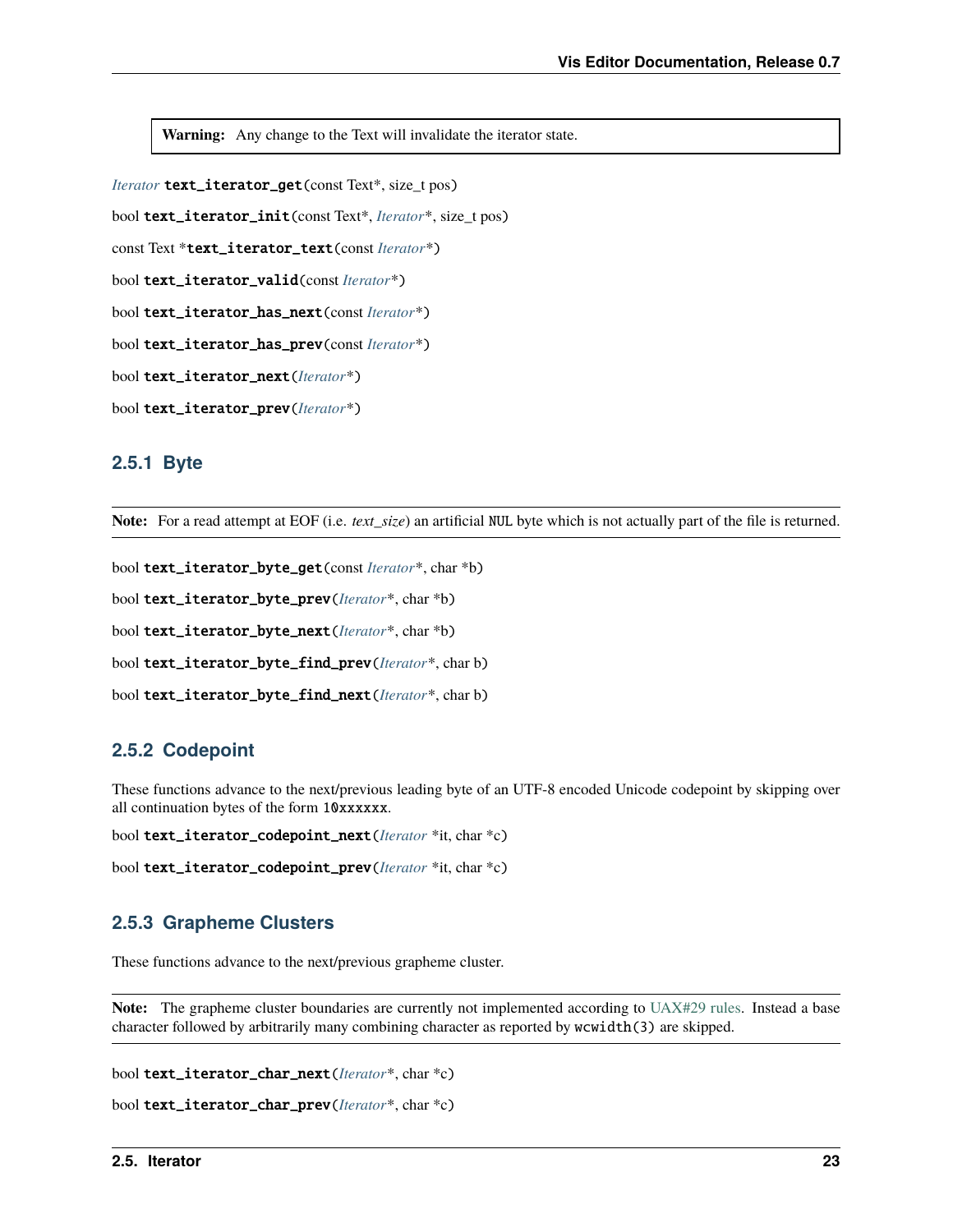<span id="page-26-0"></span>**Warning:** Any change to the Text will invalidate the iterator state.

*[Iterator](#page-25-2)* text\_iterator\_get(const Text\*, size\_t pos)

bool text\_iterator\_init(const Text\*, *[Iterator](#page-25-2)*\*, size\_t pos)

const Text \*text\_iterator\_text(const *[Iterator](#page-25-2)*\*)

```
bool text_iterator_valid(const Iterator*)
```
bool text\_iterator\_has\_next(const *[Iterator](#page-25-2)*\*)

bool text\_iterator\_has\_prev(const *[Iterator](#page-25-2)*\*)

bool text\_iterator\_next(*[Iterator](#page-25-2)*\*)

bool text\_iterator\_prev(*[Iterator](#page-25-2)*\*)

### **2.5.1 Byte**

**Note:** For a read attempt at EOF (i.e. *text\_size*) an artificial NUL byte which is not actually part of the file is returned.

```
bool text_iterator_byte_get(const Iterator*, char *b)
bool text_iterator_byte_prev(Iterator*, char *b)
bool text_iterator_byte_next(Iterator*, char *b)
bool text_iterator_byte_find_prev(Iterator*, char b)
bool text_iterator_byte_find_next(Iterator*, char b)
```
### **2.5.2 Codepoint**

These functions advance to the next/previous leading byte of an UTF-8 encoded Unicode codepoint by skipping over all continuation bytes of the form 10xxxxxx.

```
bool text_iterator_codepoint_next(Iterator *it, char *c)
```
bool text\_iterator\_codepoint\_prev(*[Iterator](#page-25-2)* \*it, char \*c)

### **2.5.3 Grapheme Clusters**

These functions advance to the next/previous grapheme cluster.

**Note:** The grapheme cluster boundaries are currently not implemented according to [UAX#29 rules.](http://unicode.org/reports/tr29) Instead a base character followed by arbitrarily many combining character as reported by wcwidth(3) are skipped.

```
bool text_iterator_char_next(Iterator*, char *c)
```

```
bool text_iterator_char_prev(Iterator*, char *c)
```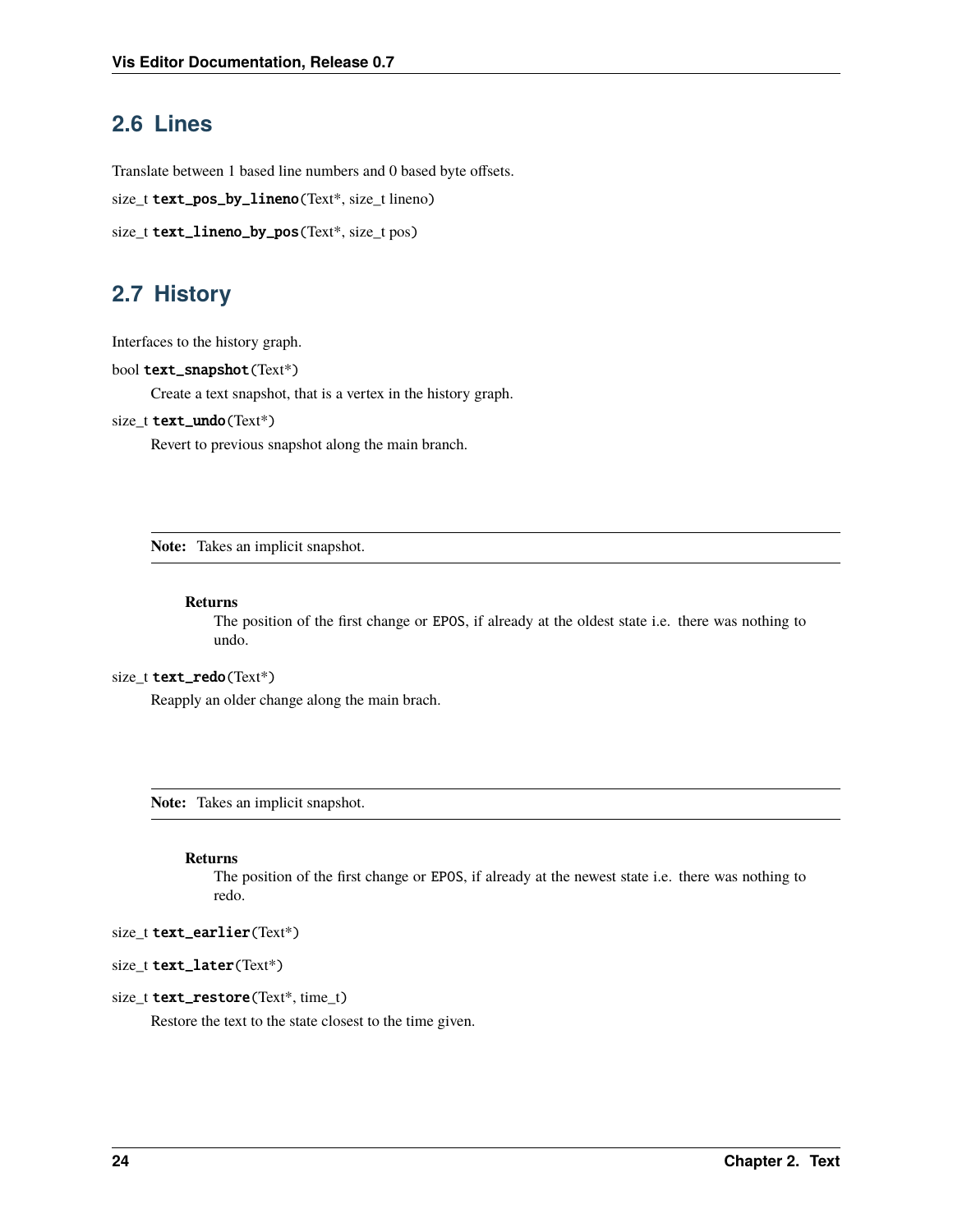# <span id="page-27-2"></span><span id="page-27-0"></span>**2.6 Lines**

Translate between 1 based line numbers and 0 based byte offsets.

```
size_t text_pos_by_lineno(Text*, size_t lineno)
```

```
size_t text_lineno_by_pos(Text*, size_t pos)
```
# <span id="page-27-1"></span>**2.7 History**

Interfaces to the history graph.

```
bool text_snapshot(Text*)
```
Create a text snapshot, that is a vertex in the history graph.

#### size\_t text\_undo(Text\*)

Revert to previous snapshot along the main branch.

**Note:** Takes an implicit snapshot.

#### **Returns**

The position of the first change or EPOS, if already at the oldest state i.e. there was nothing to undo.

#### size\_t text\_redo(Text\*)

Reapply an older change along the main brach.

**Note:** Takes an implicit snapshot.

#### **Returns**

The position of the first change or EPOS, if already at the newest state i.e. there was nothing to redo.

size\_t text\_earlier(Text\*)

#### size\_t text\_later(Text\*)

#### size\_t text\_restore(Text\*, time\_t)

Restore the text to the state closest to the time given.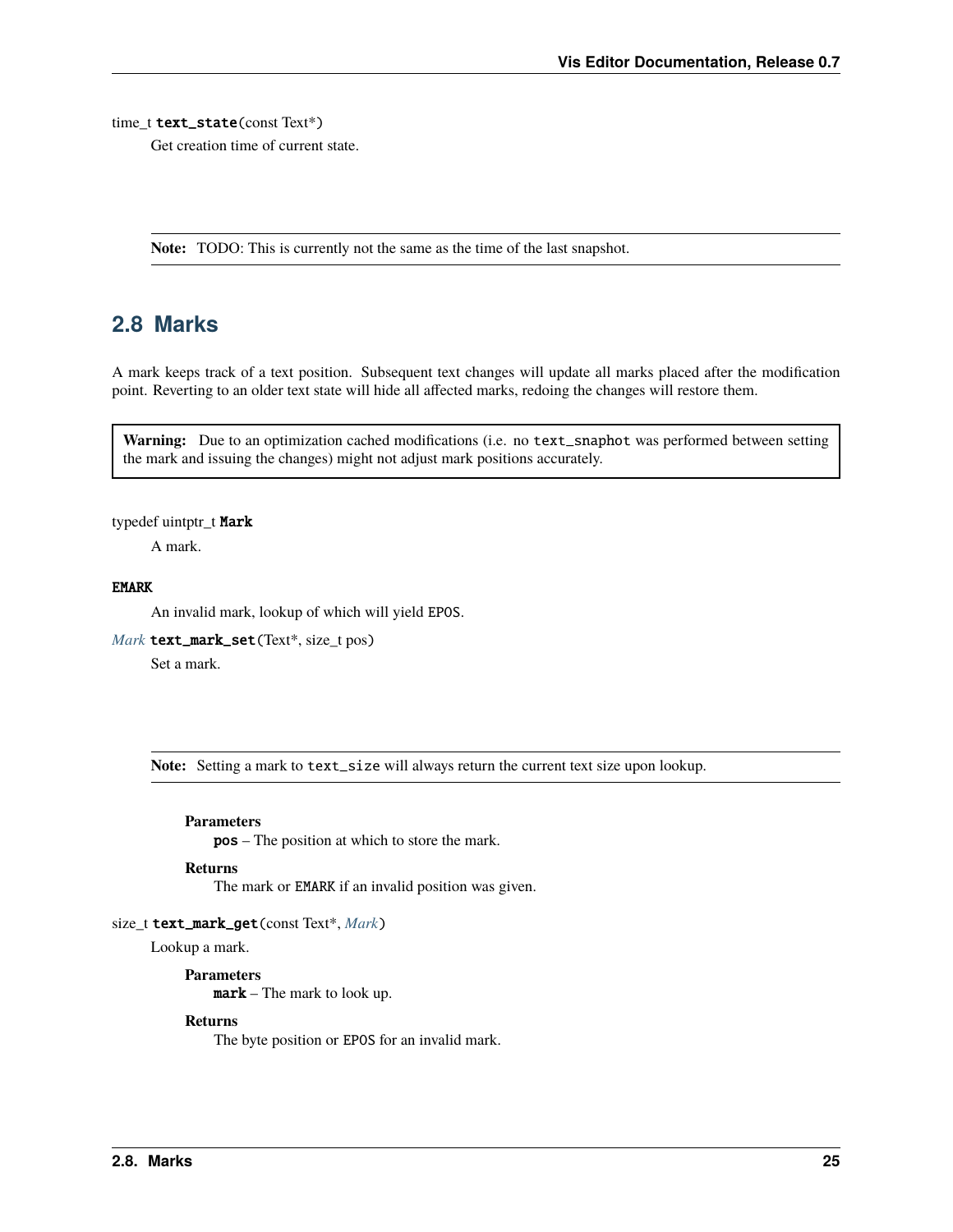#### <span id="page-28-2"></span>time t text\_state(const Text\*)

Get creation time of current state.

**Note:** TODO: This is currently not the same as the time of the last snapshot.

### <span id="page-28-0"></span>**2.8 Marks**

A mark keeps track of a text position. Subsequent text changes will update all marks placed after the modification point. Reverting to an older text state will hide all affected marks, redoing the changes will restore them.

Warning: Due to an optimization cached modifications (i.e. no text\_snaphot was performed between setting the mark and issuing the changes) might not adjust mark positions accurately.

#### <span id="page-28-1"></span>typedef uintptr\_t Mark

A mark.

#### EMARK

An invalid mark, lookup of which will yield EPOS.

*[Mark](#page-28-1)* text\_mark\_set(Text\*, size\_t pos)

Set a mark.

**Note:** Setting a mark to text\_size will always return the current text size upon lookup.

#### **Parameters**

pos – The position at which to store the mark.

#### **Returns**

The mark or EMARK if an invalid position was given.

#### size\_t text\_mark\_get(const Text\*, *[Mark](#page-28-1)*)

Lookup a mark.

**Parameters** mark – The mark to look up.

#### **Returns**

The byte position or EPOS for an invalid mark.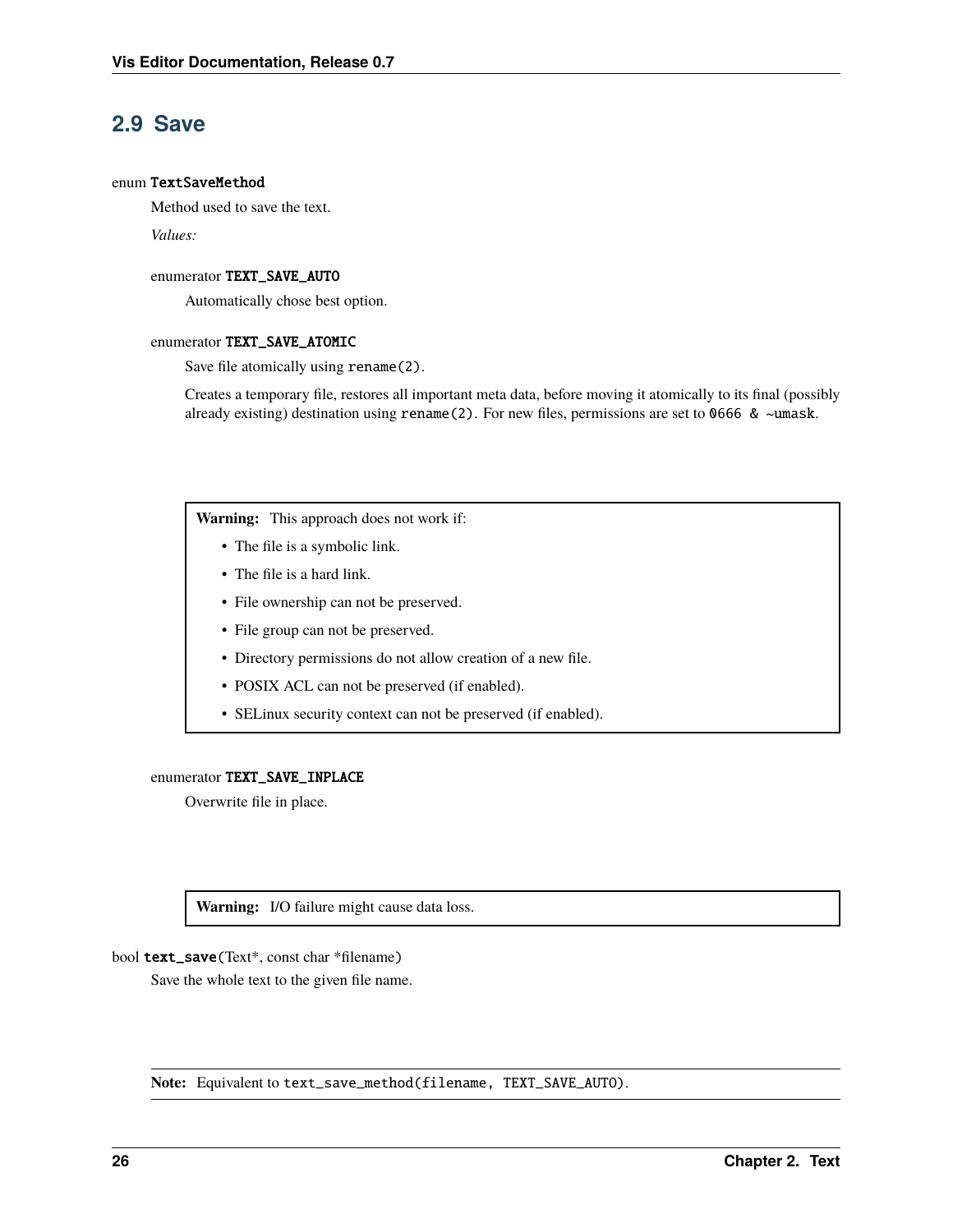# <span id="page-29-2"></span><span id="page-29-0"></span>**2.9 Save**

#### <span id="page-29-1"></span>enum TextSaveMethod

Method used to save the text.

*Values:*

#### enumerator TEXT\_SAVE\_AUTO

Automatically chose best option.

#### enumerator TEXT\_SAVE\_ATOMIC

Save file atomically using rename(2).

Creates a temporary file, restores all important meta data, before moving it atomically to its final (possibly already existing) destination using rename(2). For new files, permissions are set to 0666 & ~umask.

**Warning:** This approach does not work if:

- The file is a symbolic link.
- The file is a hard link.
- File ownership can not be preserved.
- File group can not be preserved.
- Directory permissions do not allow creation of a new file.
- POSIX ACL can not be preserved (if enabled).
- SELinux security context can not be preserved (if enabled).

#### enumerator TEXT\_SAVE\_INPLACE

Overwrite file in place.

**Warning:** I/O failure might cause data loss.

bool text\_save(Text\*, const char \*filename)

Save the whole text to the given file name.

**Note:** Equivalent to text\_save\_method(filename, TEXT\_SAVE\_AUTO).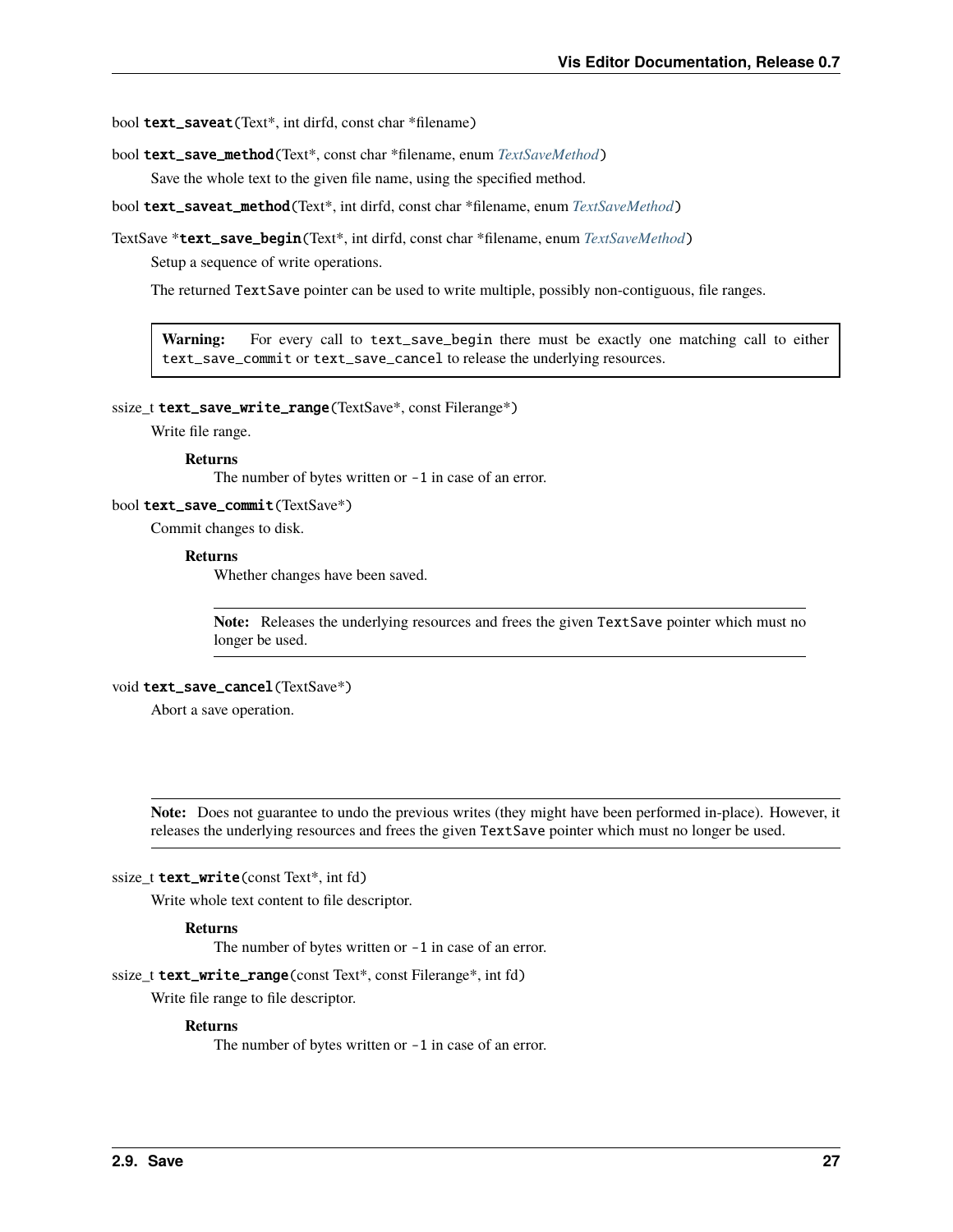<span id="page-30-0"></span>bool text\_saveat(Text\*, int dirfd, const char \*filename)

bool text\_save\_method(Text\*, const char \*filename, enum *[TextSaveMethod](#page-29-1)*)

Save the whole text to the given file name, using the specified method.

bool text\_saveat\_method(Text\*, int dirfd, const char \*filename, enum *[TextSaveMethod](#page-29-1)*)

TextSave \*text\_save\_begin(Text\*, int dirfd, const char \*filename, enum *[TextSaveMethod](#page-29-1)*)

Setup a sequence of write operations.

The returned TextSave pointer can be used to write multiple, possibly non-contiguous, file ranges.

**Warning:** For every call to text\_save\_begin there must be exactly one matching call to either text\_save\_commit or text\_save\_cancel to release the underlying resources.

ssize\_t text\_save\_write\_range(TextSave\*, const Filerange\*)

Write file range.

**Returns**

The number of bytes written or -1 in case of an error.

bool text\_save\_commit(TextSave\*)

Commit changes to disk.

#### **Returns**

Whether changes have been saved.

**Note:** Releases the underlying resources and frees the given TextSave pointer which must no longer be used.

#### void text\_save\_cancel(TextSave\*)

Abort a save operation.

**Note:** Does not guarantee to undo the previous writes (they might have been performed in-place). However, it releases the underlying resources and frees the given TextSave pointer which must no longer be used.

#### ssize\_t **text\_write**(const Text\*, int fd)

Write whole text content to file descriptor.

#### **Returns**

The number of bytes written or -1 in case of an error.

ssize\_t text\_write\_range(const Text\*, const Filerange\*, int fd)

Write file range to file descriptor.

#### **Returns**

The number of bytes written or -1 in case of an error.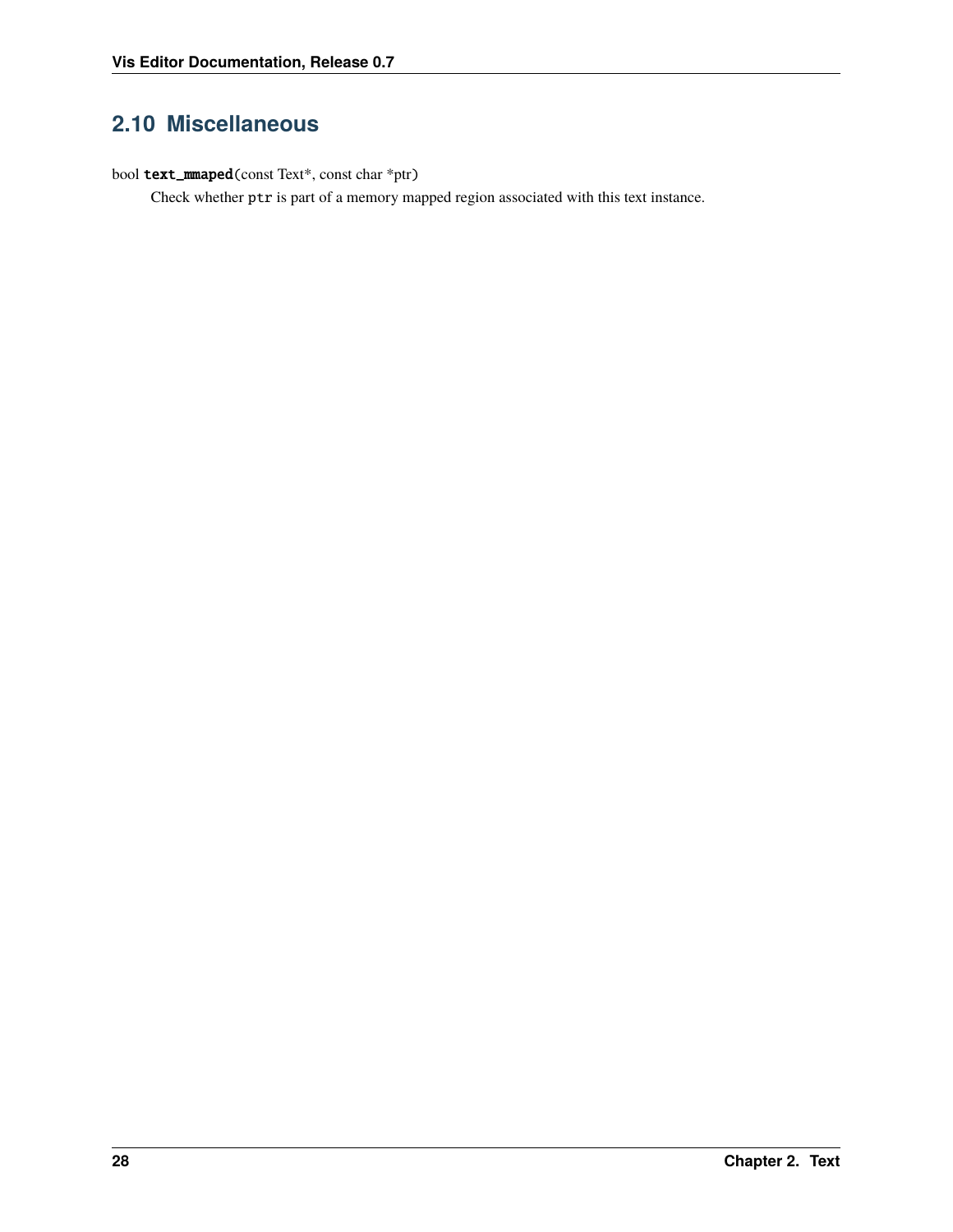# <span id="page-31-1"></span><span id="page-31-0"></span>**2.10 Miscellaneous**

bool text\_mmaped(const Text\*, const char \*ptr)

Check whether ptr is part of a memory mapped region associated with this text instance.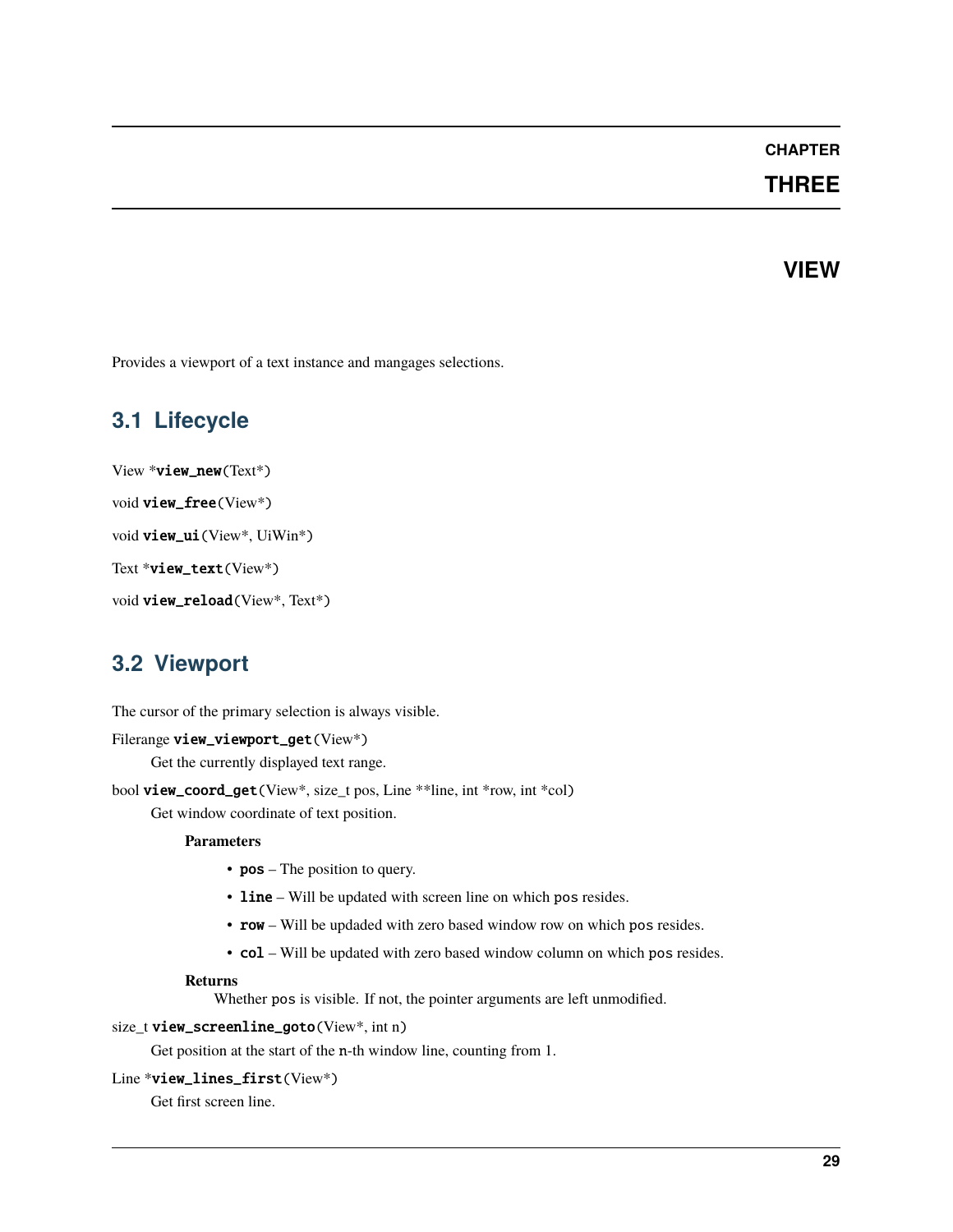### **CHAPTER**

### **THREE**

### **VIEW**

<span id="page-32-3"></span><span id="page-32-0"></span>Provides a viewport of a text instance and mangages selections.

# <span id="page-32-1"></span>**3.1 Lifecycle**

```
View *view_new(Text*)
void view_free(View*)
void view_ui(View*, UiWin*)
Text *view_text(View*)
void view_reload(View*, Text*)
```
# <span id="page-32-2"></span>**3.2 Viewport**

The cursor of the primary selection is always visible.

```
Filerange view_viewport_get(View*)
```
Get the currently displayed text range.

bool view\_coord\_get(View\*, size\_t pos, Line \*\*line, int \*row, int \*col)

Get window coordinate of text position.

#### **Parameters**

- **pos** The position to query.
- line Will be updated with screen line on which pos resides.
- row Will be updaded with zero based window row on which pos resides.
- col Will be updated with zero based window column on which pos resides.

#### **Returns**

Whether pos is visible. If not, the pointer arguments are left unmodified.

#### size\_t view\_screenline\_goto(View\*, int n)

Get position at the start of the n-th window line, counting from 1.

#### Line \*view\_lines\_first(View\*)

Get first screen line.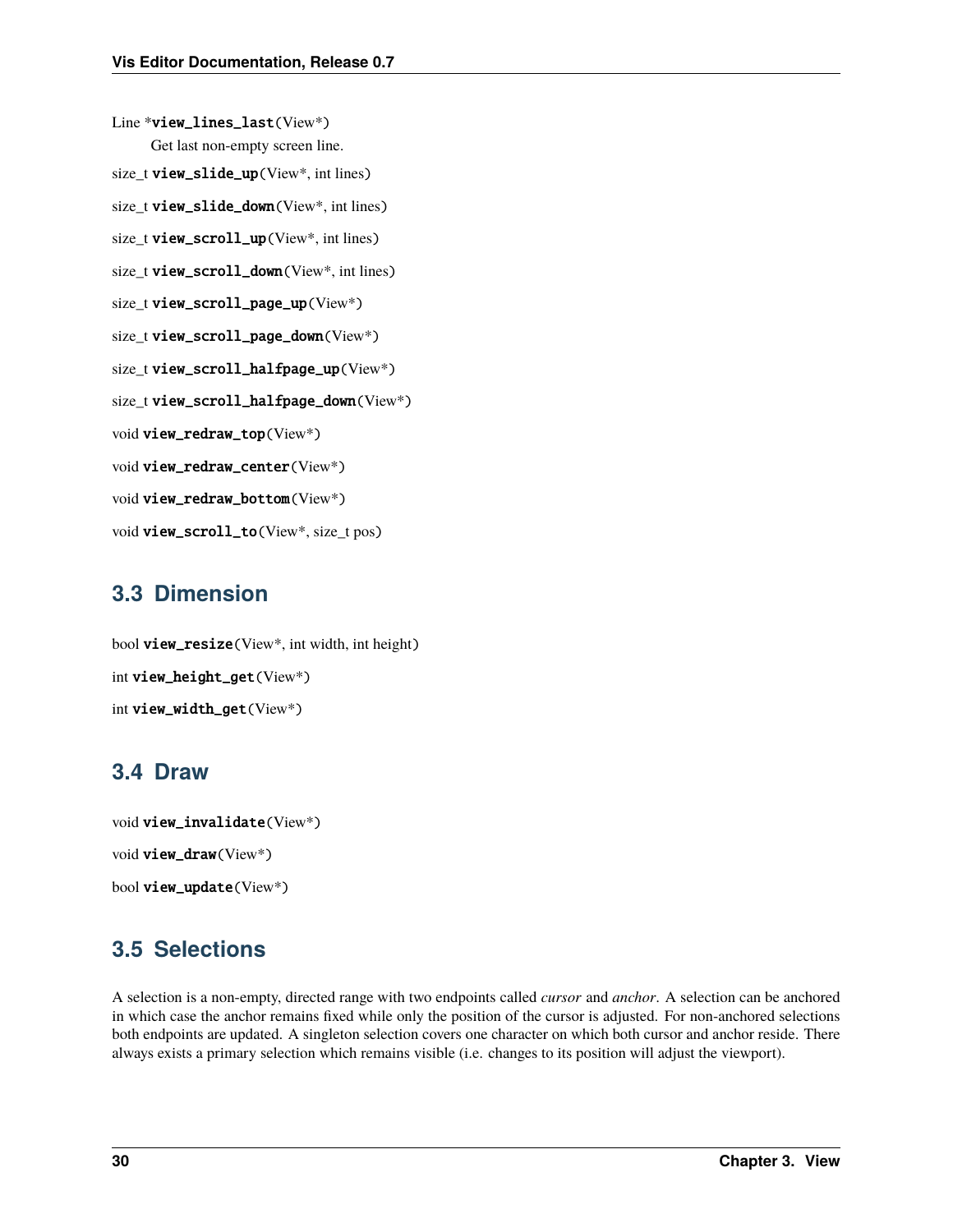<span id="page-33-3"></span>Line \*view\_lines\_last(View\*) Get last non-empty screen line. size\_t view\_slide\_up(View\*, int lines) size\_t view\_slide\_down(View\*, int lines) size\_t view\_scroll\_up(View\*, int lines) size\_t view\_scroll\_down(View\*, int lines) size\_t view\_scroll\_page\_up(View\*) size\_t view\_scroll\_page\_down(View\*) size\_t view\_scroll\_halfpage\_up(View\*) size\_t view\_scroll\_halfpage\_down(View\*) void view\_redraw\_top(View\*) void view\_redraw\_center(View\*) void view\_redraw\_bottom(View\*) void view\_scroll\_to(View\*, size\_t pos)

# <span id="page-33-0"></span>**3.3 Dimension**

bool view\_resize(View\*, int width, int height) int view\_height\_get(View\*) int view\_width\_get(View\*)

# <span id="page-33-1"></span>**3.4 Draw**

```
void view_invalidate(View*)
void view_draw(View*)
bool view_update(View*)
```
# <span id="page-33-2"></span>**3.5 Selections**

A selection is a non-empty, directed range with two endpoints called *cursor* and *anchor*. A selection can be anchored in which case the anchor remains fixed while only the position of the cursor is adjusted. For non-anchored selections both endpoints are updated. A singleton selection covers one character on which both cursor and anchor reside. There always exists a primary selection which remains visible (i.e. changes to its position will adjust the viewport).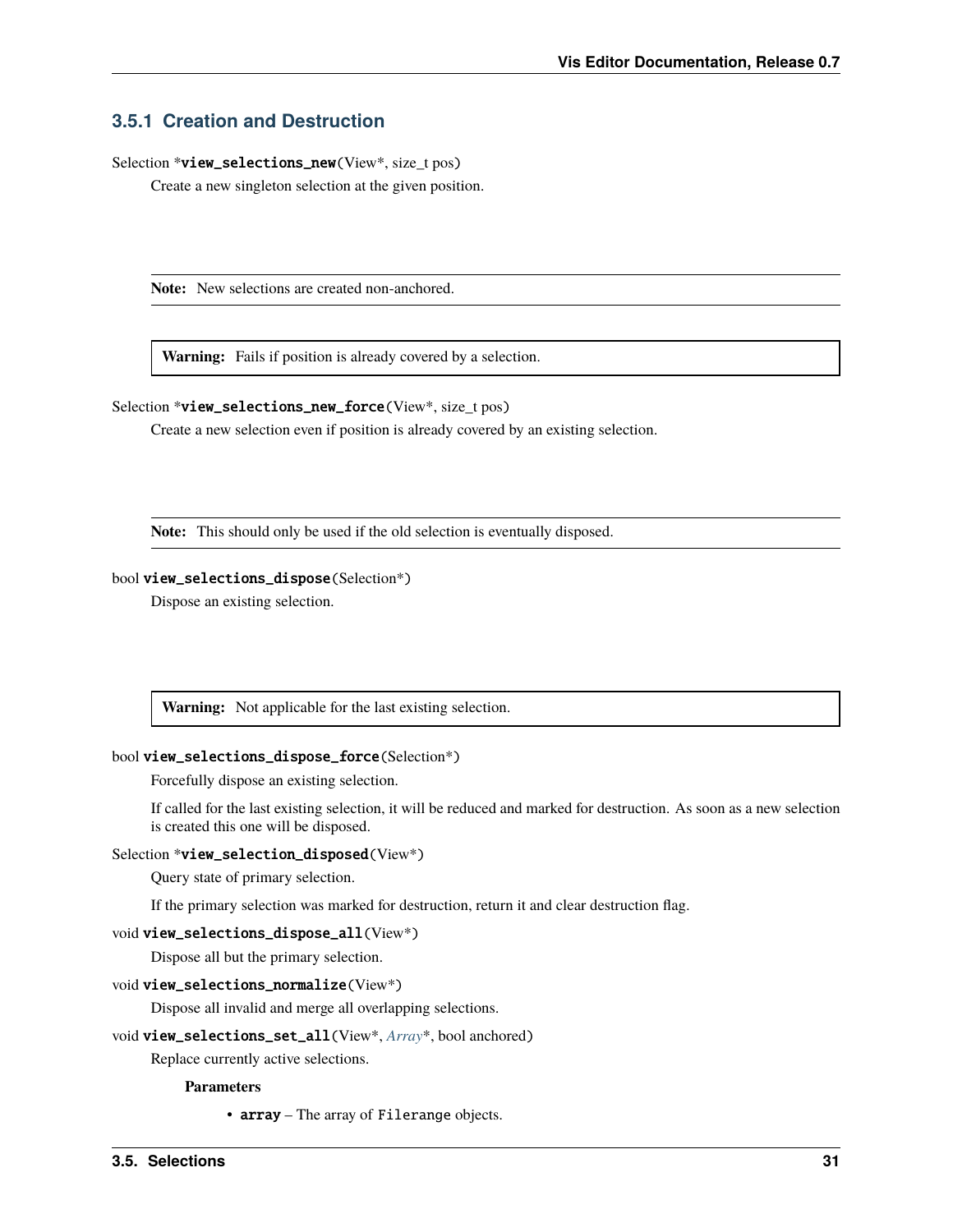### <span id="page-34-0"></span>**3.5.1 Creation and Destruction**

Selection \*view\_selections\_new(View\*, size\_t pos)

Create a new singleton selection at the given position.

**Note:** New selections are created non-anchored.

**Warning:** Fails if position is already covered by a selection.

Selection \*view\_selections\_new\_force(View\*, size\_t pos)

Create a new selection even if position is already covered by an existing selection.

**Note:** This should only be used if the old selection is eventually disposed.

#### bool view\_selections\_dispose(Selection\*)

Dispose an existing selection.

**Warning:** Not applicable for the last existing selection.

#### bool view\_selections\_dispose\_force(Selection\*)

Forcefully dispose an existing selection.

If called for the last existing selection, it will be reduced and marked for destruction. As soon as a new selection is created this one will be disposed.

#### Selection \*view\_selection\_disposed(View\*)

Query state of primary selection.

If the primary selection was marked for destruction, return it and clear destruction flag.

```
void view_selections_dispose_all(View*)
```
Dispose all but the primary selection.

#### void view\_selections\_normalize(View\*)

Dispose all invalid and merge all overlapping selections.

#### void view\_selections\_set\_all(View\*, *[Array](#page-46-0)*\*, bool anchored)

Replace currently active selections.

**Parameters**

• array – The array of Filerange objects.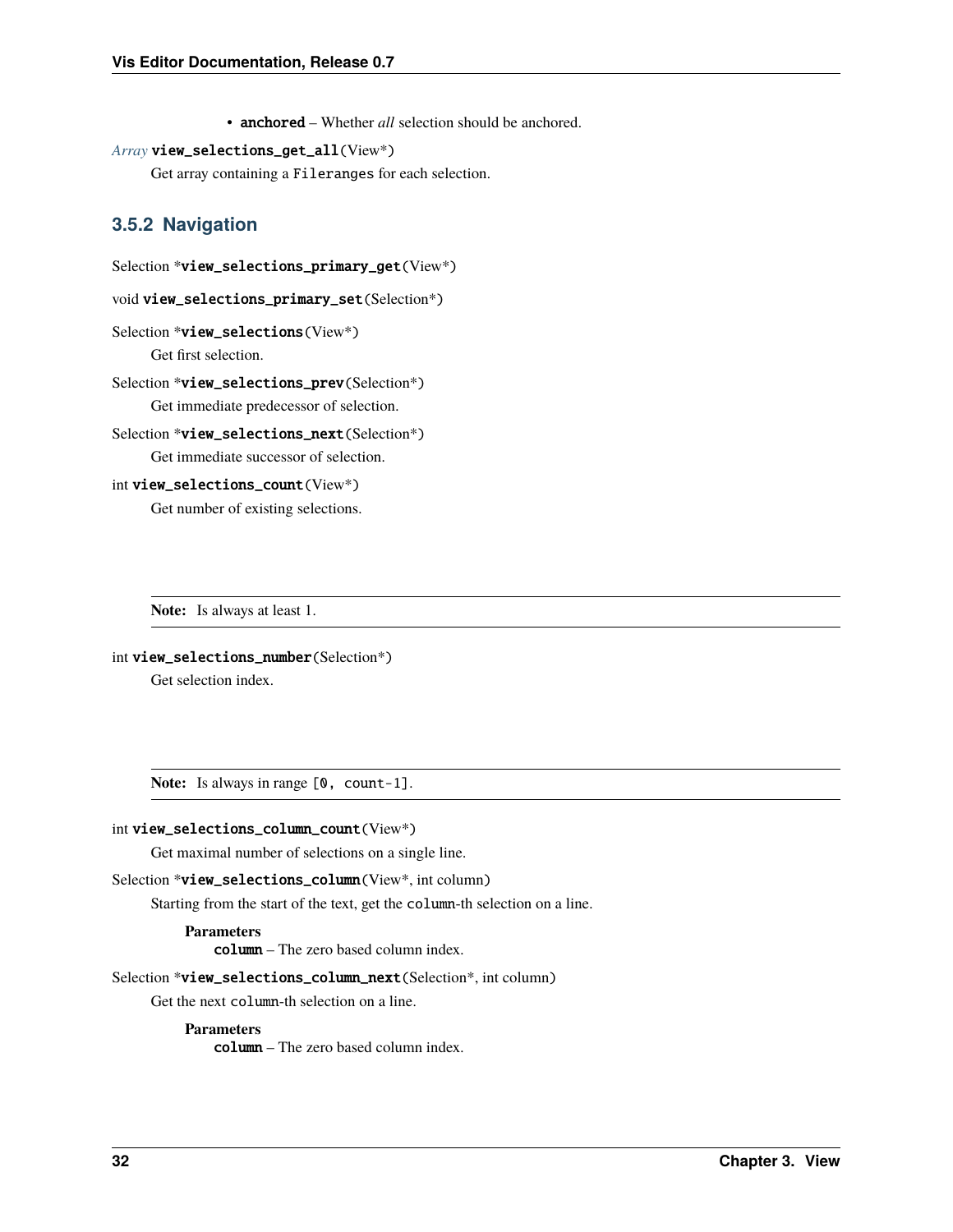• anchored – Whether *all* selection should be anchored.

#### <span id="page-35-0"></span>*[Array](#page-46-0)* view\_selections\_get\_all(View\*)

Get array containing a Fileranges for each selection.

### **3.5.2 Navigation**

```
Selection *view_selections_primary_get(View*)
```
void view\_selections\_primary\_set(Selection\*)

```
Selection *view_selections(View*)
```
Get first selection.

```
Selection *view_selections_prev(Selection*)
     Get immediate predecessor of selection.
```

```
Selection *view_selections_next(Selection*)
     Get immediate successor of selection.
```

```
int view_selections_count(View*)
```
Get number of existing selections.

**Note:** Is always at least 1.

```
int view_selections_number(Selection*)
```
Get selection index.

Note: Is always in range  $[0, \text{ count-1}]$ .

#### int view\_selections\_column\_count(View\*)

Get maximal number of selections on a single line.

#### Selection \*view\_selections\_column(View\*, int column)

Starting from the start of the text, get the column-th selection on a line.

#### **Parameters**

column – The zero based column index.

#### Selection \*view\_selections\_column\_next(Selection\*, int column)

Get the next column-th selection on a line.

#### **Parameters**

column – The zero based column index.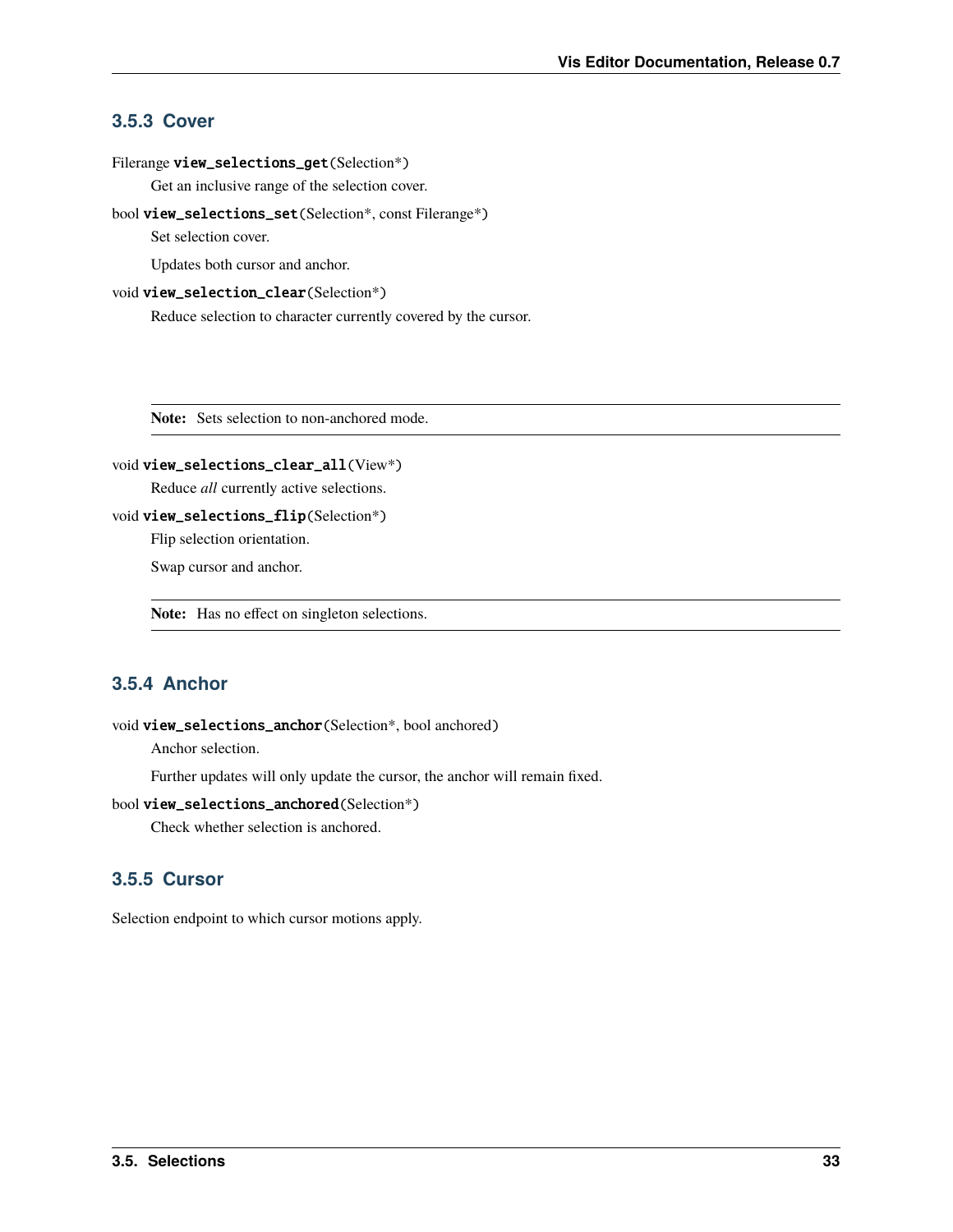### <span id="page-36-0"></span>**3.5.3 Cover**

#### Filerange view\_selections\_get(Selection\*)

Get an inclusive range of the selection cover.

#### bool view\_selections\_set(Selection\*, const Filerange\*)

Set selection cover.

Updates both cursor and anchor.

#### void view\_selection\_clear(Selection\*)

Reduce selection to character currently covered by the cursor.

**Note:** Sets selection to non-anchored mode.

#### void view\_selections\_clear\_all(View\*)

Reduce *all* currently active selections.

```
void view_selections_flip(Selection*)
```
Flip selection orientation.

Swap cursor and anchor.

**Note:** Has no effect on singleton selections.

### **3.5.4 Anchor**

#### void view\_selections\_anchor(Selection\*, bool anchored)

Anchor selection.

Further updates will only update the cursor, the anchor will remain fixed.

### bool view\_selections\_anchored(Selection\*)

Check whether selection is anchored.

### **3.5.5 Cursor**

Selection endpoint to which cursor motions apply.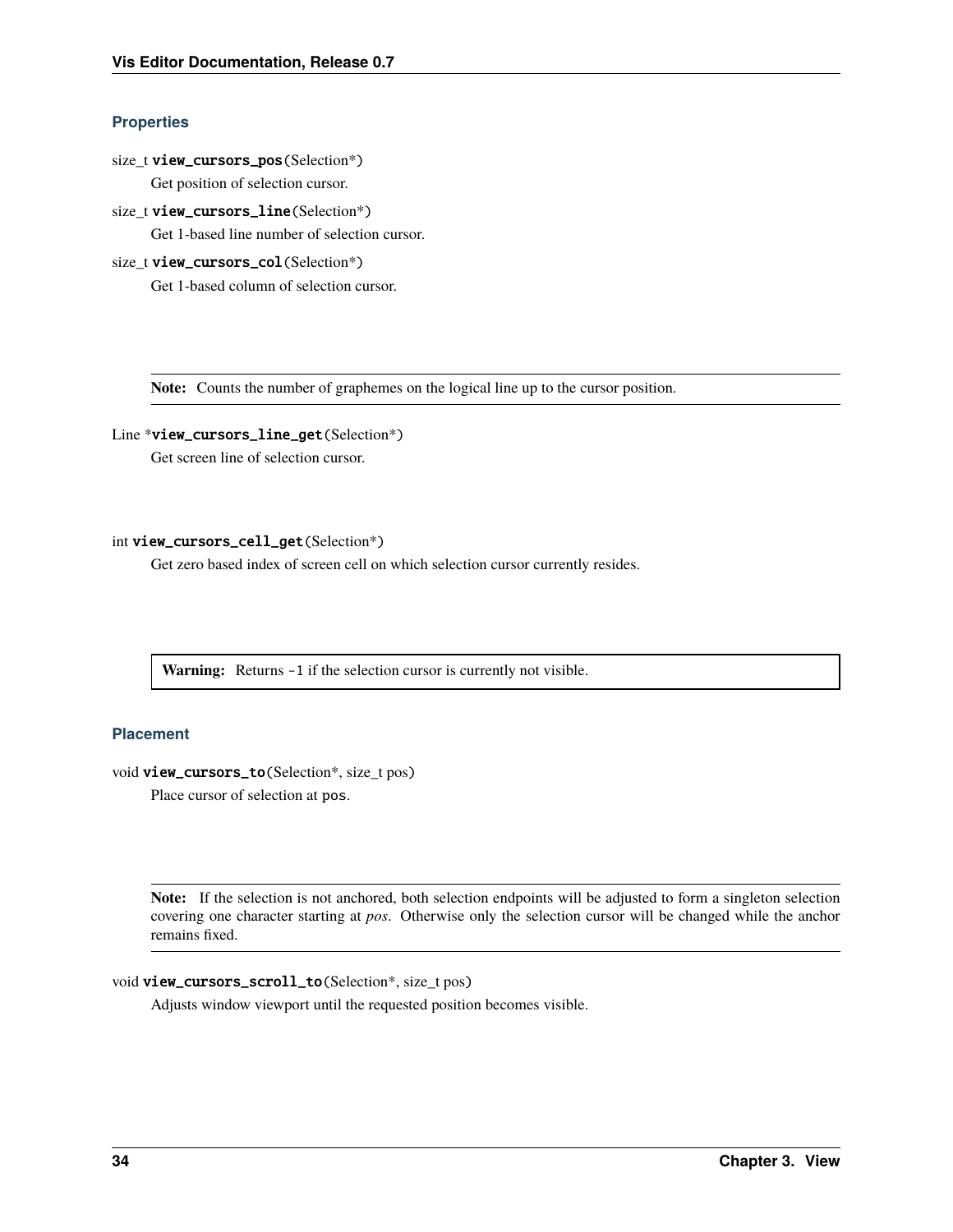#### <span id="page-37-0"></span>**Properties**

- size\_t view\_cursors\_pos(Selection\*) Get position of selection cursor.
- size\_t view\_cursors\_line(Selection\*)

Get 1-based line number of selection cursor.

size t view\_cursors\_col(Selection\*)

Get 1-based column of selection cursor.

**Note:** Counts the number of graphemes on the logical line up to the cursor position.

### Line \*view\_cursors\_line\_get(Selection\*)

Get screen line of selection cursor.

#### int view\_cursors\_cell\_get(Selection\*)

Get zero based index of screen cell on which selection cursor currently resides.

Warning: Returns -1 if the selection cursor is currently not visible.

#### **Placement**

void view\_cursors\_to(Selection\*, size\_t pos)

Place cursor of selection at pos.

**Note:** If the selection is not anchored, both selection endpoints will be adjusted to form a singleton selection covering one character starting at *pos*. Otherwise only the selection cursor will be changed while the anchor remains fixed.

```
void view_cursors_scroll_to(Selection*, size_t pos)
```
Adjusts window viewport until the requested position becomes visible.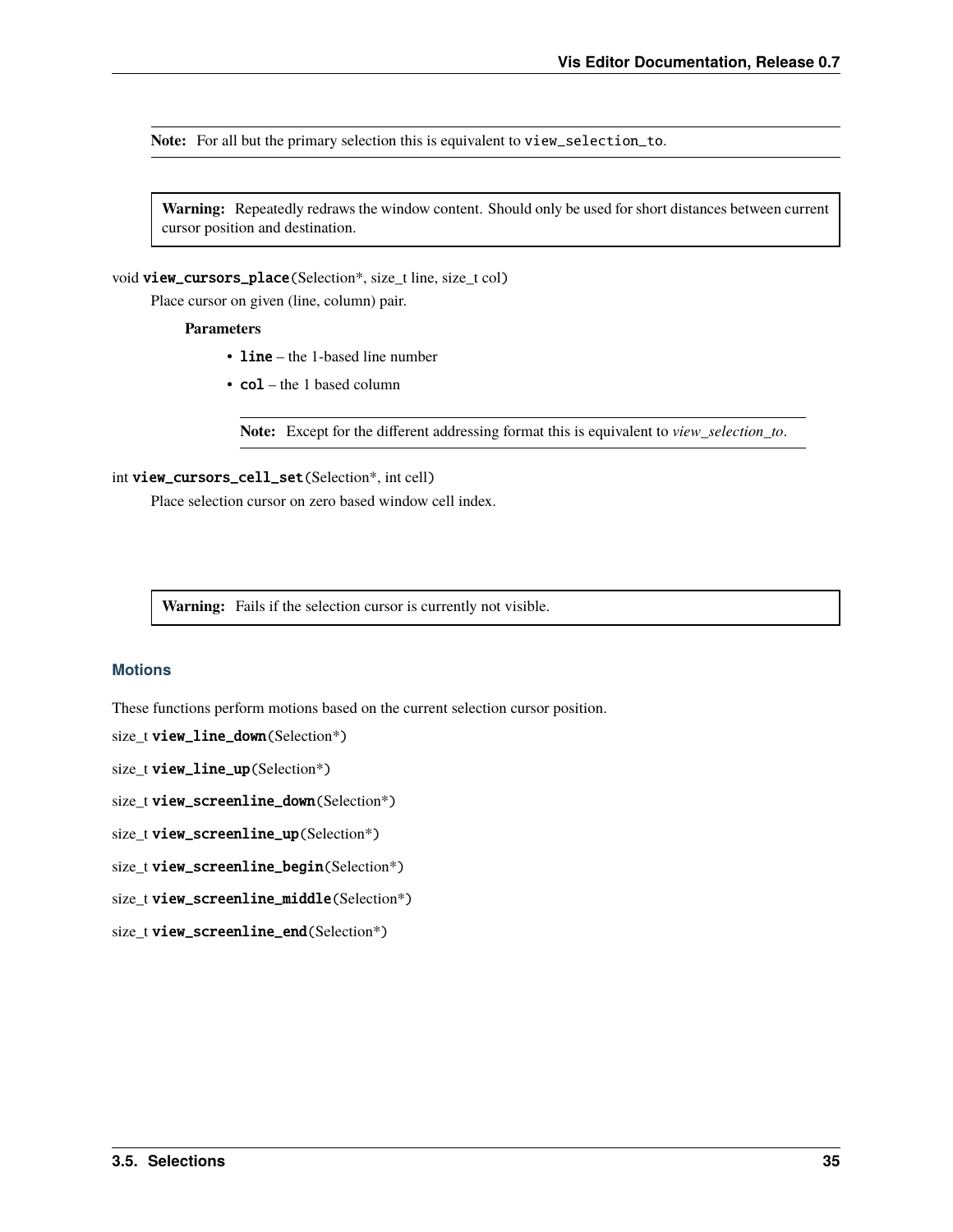<span id="page-38-0"></span>**Note:** For all but the primary selection this is equivalent to view\_selection\_to.

**Warning:** Repeatedly redraws the window content. Should only be used for short distances between current cursor position and destination.

void view\_cursors\_place(Selection\*, size\_t line, size\_t col)

Place cursor on given (line, column) pair.

#### **Parameters**

- **line** the 1-based line number
- col the 1 based column

Note: Except for the different addressing format this is equivalent to *view selection to*.

#### int view\_cursors\_cell\_set(Selection\*, int cell)

Place selection cursor on zero based window cell index.

**Warning:** Fails if the selection cursor is currently not visible.

#### **Motions**

These functions perform motions based on the current selection cursor position.

size\_t view\_line\_down(Selection\*)

size\_t view\_line\_up(Selection\*)

size\_t view\_screenline\_down(Selection\*)

size\_t view\_screenline\_up(Selection\*)

size\_t view\_screenline\_begin(Selection\*)

size\_t view\_screenline\_middle(Selection\*)

size\_t view\_screenline\_end(Selection\*)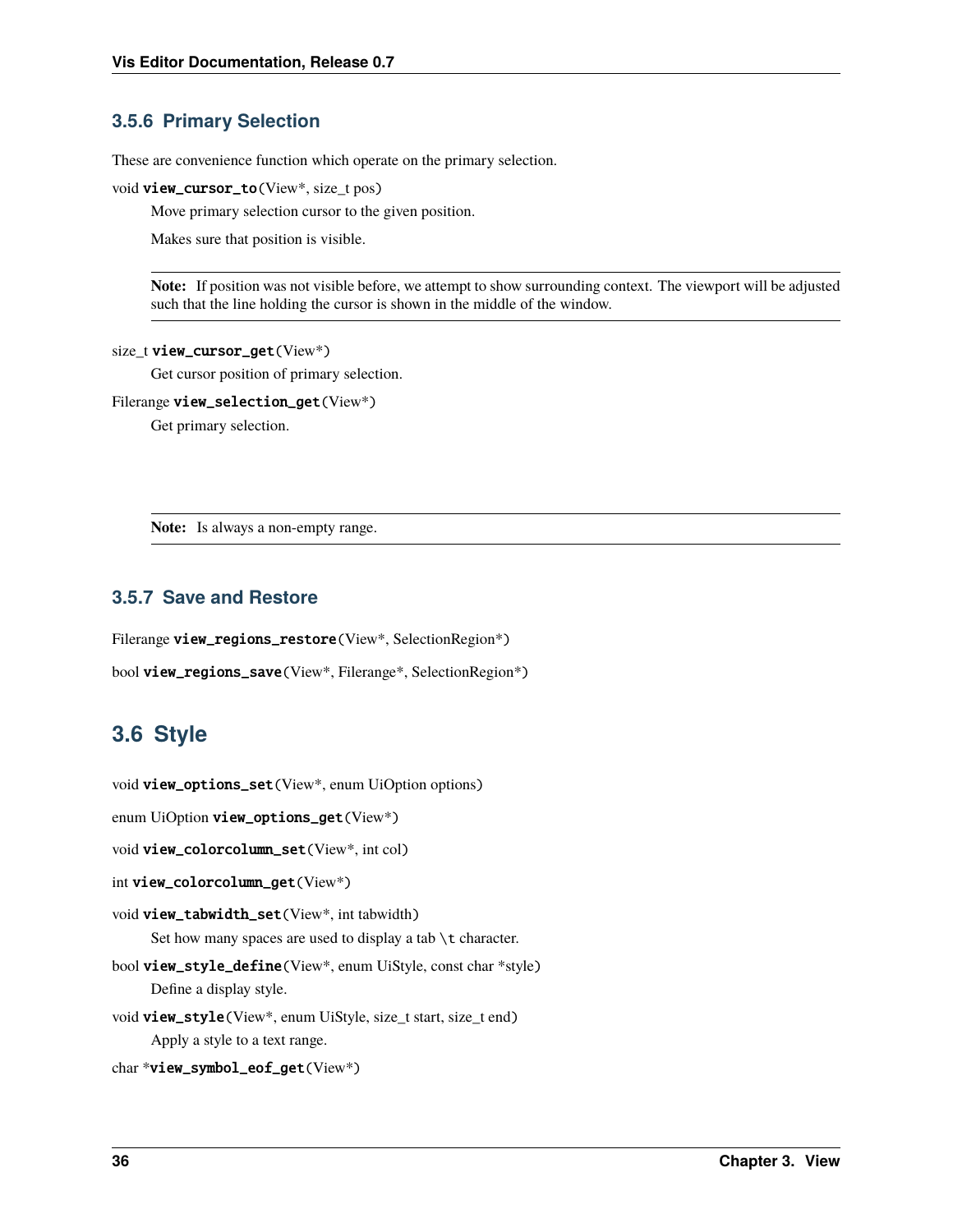### <span id="page-39-1"></span>**3.5.6 Primary Selection**

These are convenience function which operate on the primary selection.

void view\_cursor\_to(View\*, size\_t pos)

Move primary selection cursor to the given position.

Makes sure that position is visible.

**Note:** If position was not visible before, we attempt to show surrounding context. The viewport will be adjusted such that the line holding the cursor is shown in the middle of the window.

#### size\_t view\_cursor\_get(View\*)

Get cursor position of primary selection.

Filerange view\_selection\_get(View\*)

Get primary selection.

**Note:** Is always a non-empty range.

### **3.5.7 Save and Restore**

Filerange view\_regions\_restore(View\*, SelectionRegion\*)

```
bool view_regions_save(View*, Filerange*, SelectionRegion*)
```
# <span id="page-39-0"></span>**3.6 Style**

void view\_options\_set(View\*, enum UiOption options)

enum UiOption view\_options\_get(View\*)

```
void view_colorcolumn_set(View*, int col)
```

```
int view_colorcolumn_get(View*)
```
void view\_tabwidth\_set(View\*, int tabwidth) Set how many spaces are used to display a tab \t character.

- bool view\_style\_define(View\*, enum UiStyle, const char \*style) Define a display style.
- void view\_style(View\*, enum UiStyle, size\_t start, size\_t end) Apply a style to a text range.

char \*view\_symbol\_eof\_get(View\*)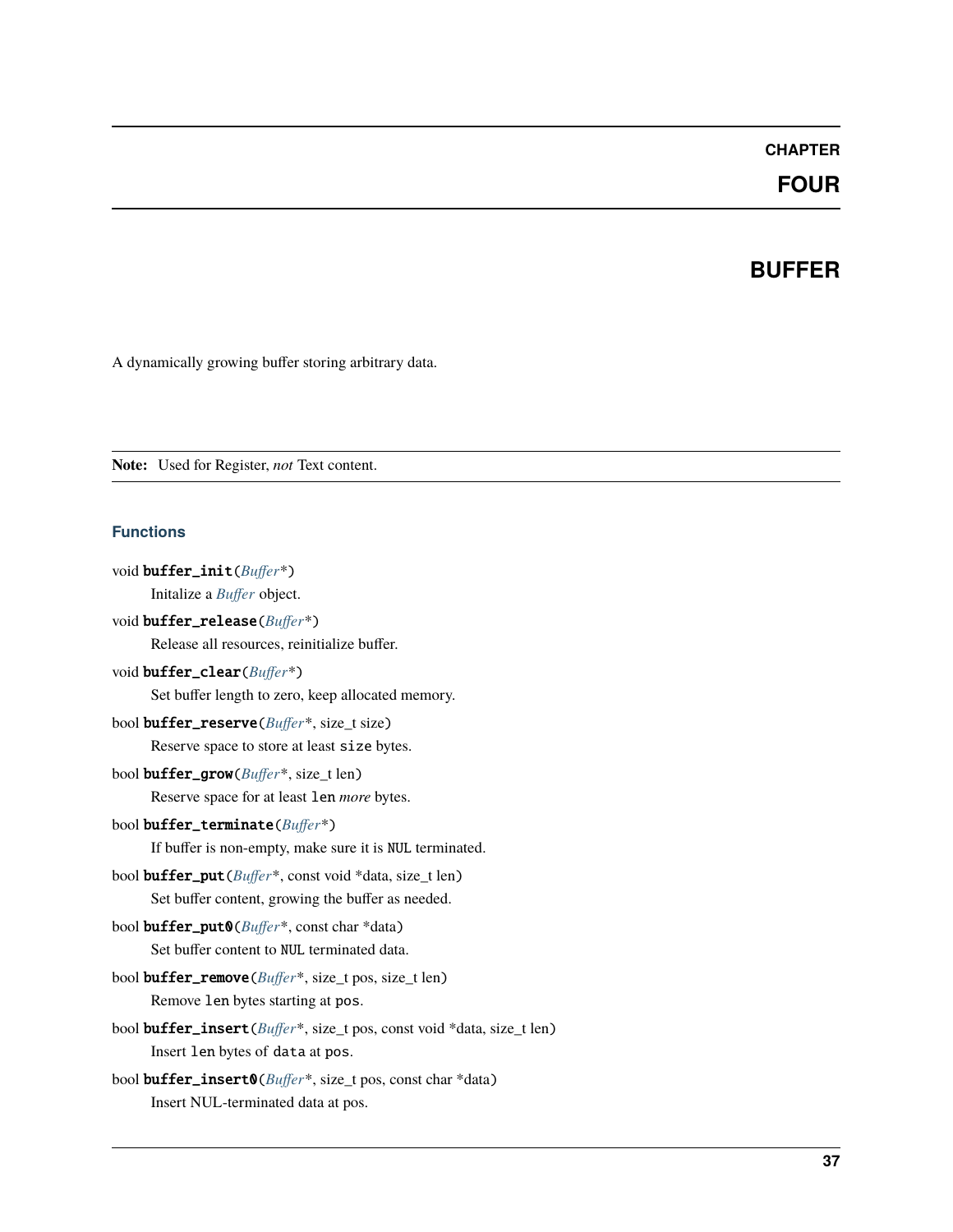### **CHAPTER**

### **FOUR**

### **BUFFER**

<span id="page-40-1"></span><span id="page-40-0"></span>A dynamically growing buffer storing arbitrary data.

**Note:** Used for Register, *not* Text content.

#### **Functions**

```
void buffer_init(Buffer*)
      Initalize a Buffer object.
void buffer_release(Buffer*)
      Release all resources, reinitialize buffer.
void buffer_clear(Buffer*)
      Set buffer length to zero, keep allocated memory.
bool buffer_reserve(Buffer*, size_t size)
      Reserve space to store at least size bytes.
bool buffer_grow(Buffer*, size_t len)
      Reserve space for at least len more bytes.
bool buffer_terminate(Buffer*)
      If buffer is non-empty, make sure it is NUL terminated.
bool buffer_put(Buffer*, const void *data, size_t len)
      Set buffer content, growing the buffer as needed.
bool buffer_put0(Buffer*, const char *data)
      Set buffer content to NUL terminated data.
bool buffer_remove(Buffer*, size_t pos, size_t len)
      Remove len bytes starting at pos.
bool buffer_insert(Buffer*, size_t pos, const void *data, size_t len)
      Insert len bytes of data at pos.
bool buffer_insert0(Buffer*, size_t pos, const char *data)
```
Insert NUL-terminated data at pos.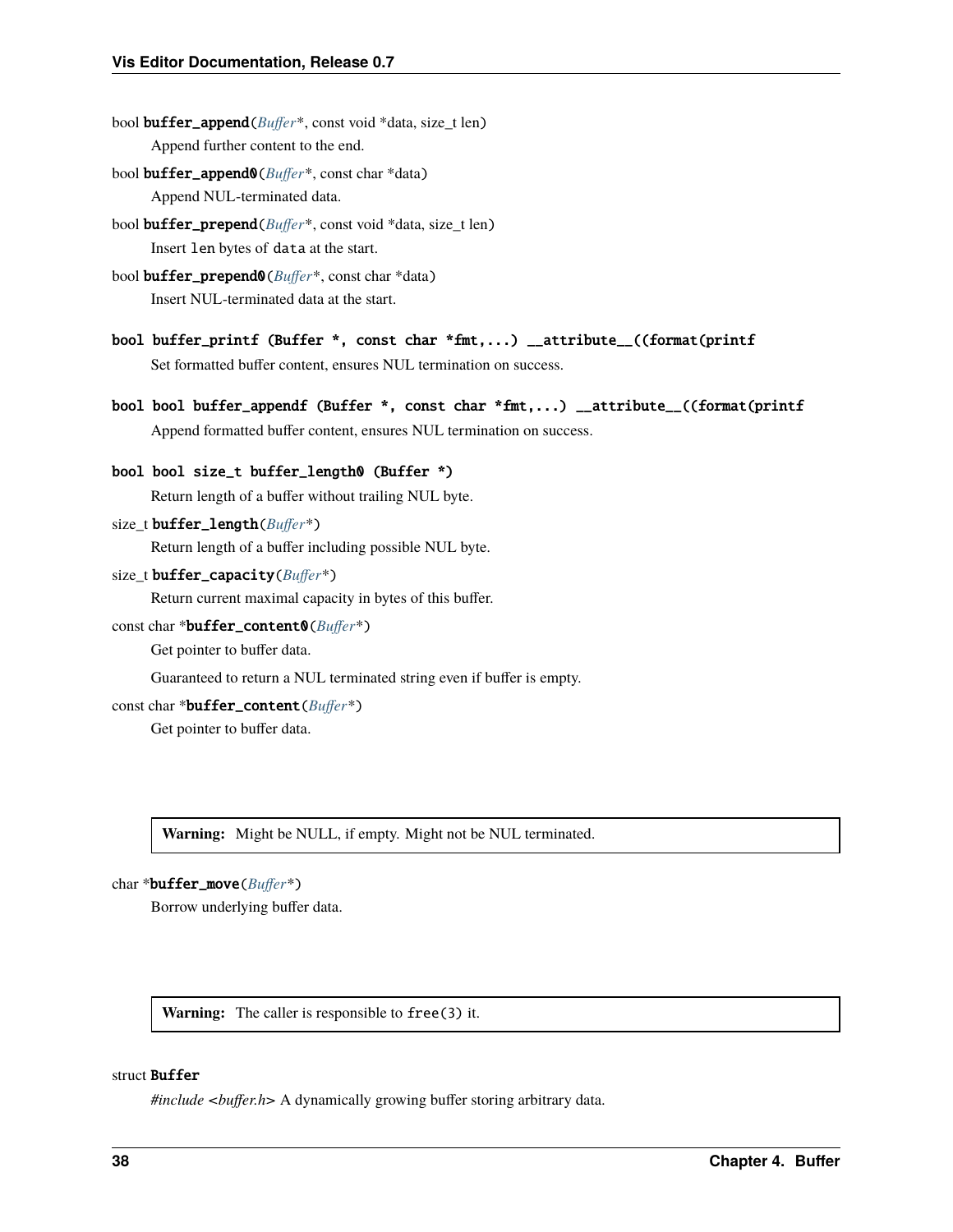- <span id="page-41-2"></span>bool buffer\_append(*[Buffer](#page-41-0)*\*, const void \*data, size\_t len) Append further content to the end.
- bool buffer\_append0(*[Buffer](#page-41-0)*\*, const char \*data) Append NUL-terminated data.
- bool buffer\_prepend(*[Buffer](#page-41-0)*\*, const void \*data, size\_t len) Insert len bytes of data at the start.
- bool buffer\_prepend0(*[Buffer](#page-41-0)*\*, const char \*data) Insert NUL-terminated data at the start.
- bool buffer\_printf (Buffer \*, const char \*fmt,...) \_\_attribute\_\_((format(printf Set formatted buffer content, ensures NUL termination on success.
- bool bool buffer\_appendf (Buffer \*, const char \*fmt,...) \_\_attribute\_\_((format(printf Append formatted buffer content, ensures NUL termination on success.

```
bool bool size_t buffer_length0 (Buffer *)
     Return length of a buffer without trailing NUL byte.
```
size\_t buffer\_length(*[Buffer](#page-41-0)*\*)

Return length of a buffer including possible NUL byte.

size t **buffer\_capacity**( $Buffer^*$  $Buffer^*$ )

Return current maximal capacity in bytes of this buffer.

const char \*buffer\_content0(*[Buffer](#page-41-0)*\*)

Get pointer to buffer data.

Guaranteed to return a NUL terminated string even if buffer is empty.

const char \*buffer\_content(*[Buffer](#page-41-0)*\*)

Get pointer to buffer data.

**Warning:** Might be NULL, if empty. Might not be NUL terminated.

```
char *buffer_move(Buffer*)
```
Borrow underlying buffer data.

**Warning:** The caller is responsible to free(3) it.

#### <span id="page-41-1"></span><span id="page-41-0"></span>struct Buffer

*#include <buffer.h>* A dynamically growing buffer storing arbitrary data.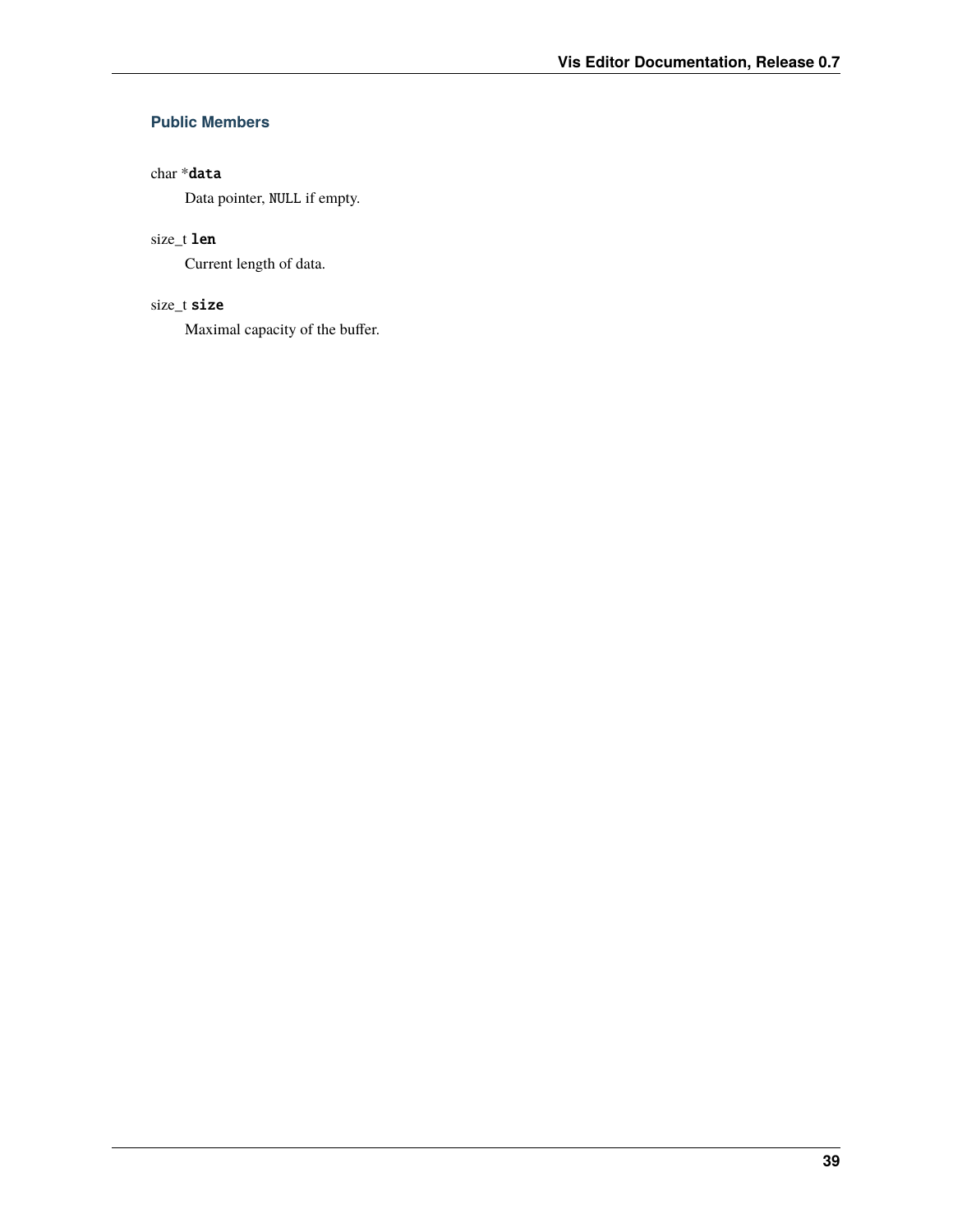### <span id="page-42-0"></span>**Public Members**

### char \*data

Data pointer, NULL if empty.

### size\_t len

Current length of data.

### size\_t size

Maximal capacity of the buffer.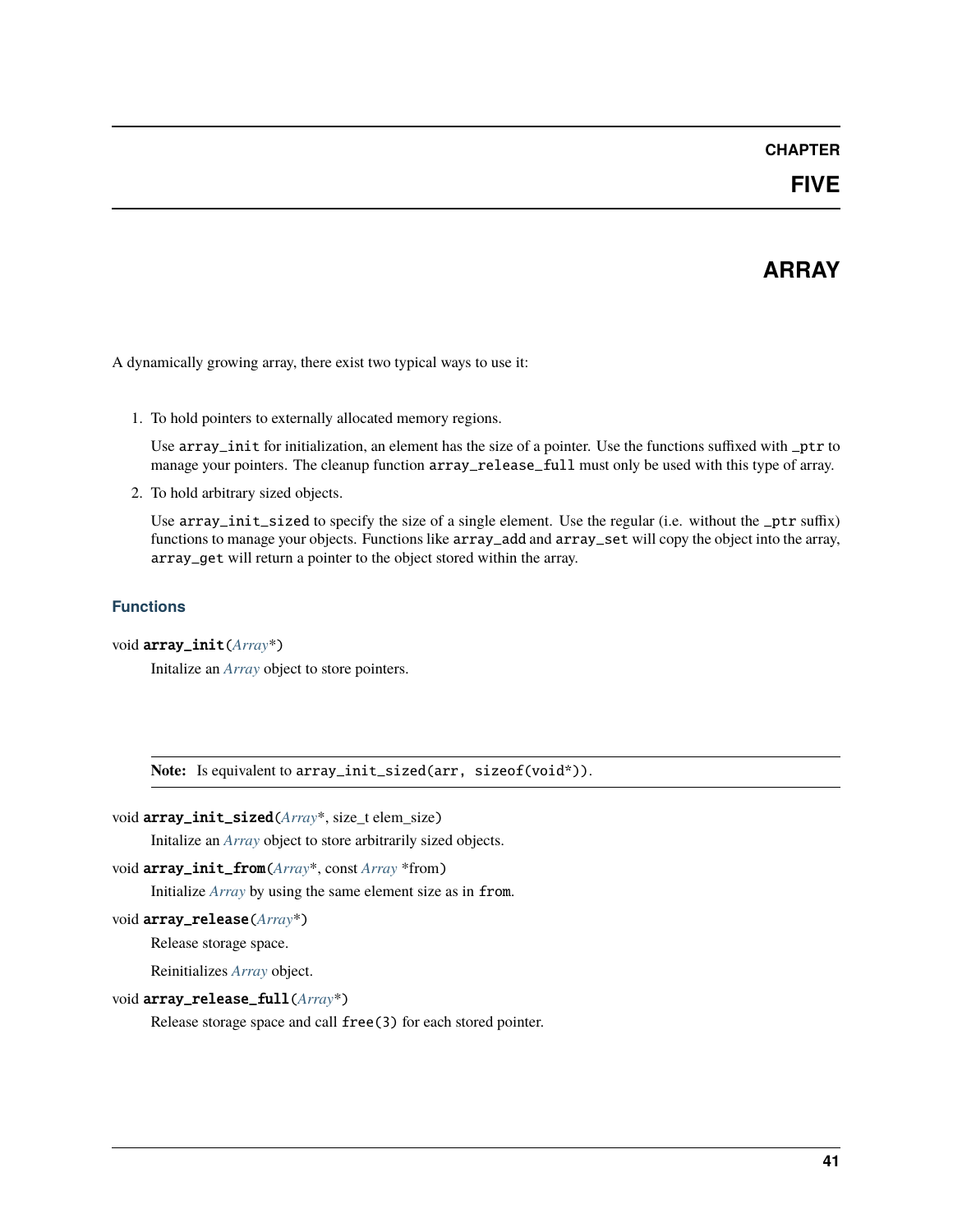### **CHAPTER**

### **FIVE**

# **ARRAY**

<span id="page-44-1"></span><span id="page-44-0"></span>A dynamically growing array, there exist two typical ways to use it:

1. To hold pointers to externally allocated memory regions.

Use array\_init for initialization, an element has the size of a pointer. Use the functions suffixed with \_ptr to manage your pointers. The cleanup function array\_release\_full must only be used with this type of array.

2. To hold arbitrary sized objects.

Use array\_init\_sized to specify the size of a single element. Use the regular (i.e. without the \_ptr suffix) functions to manage your objects. Functions like array\_add and array\_set will copy the object into the array, array\_get will return a pointer to the object stored within the array.

### **Functions**

void array\_init(*[Array](#page-46-0)*\*)

Initalize an *[Array](#page-46-1)* object to store pointers.

**Note:** Is equivalent to array\_init\_sized(arr, sizeof(void\*)).

```
void array_init_sized(Array*, size_t elem_size)
```
Initalize an *[Array](#page-46-1)* object to store arbitrarily sized objects.

void array\_init\_from(*[Array](#page-46-0)*\*, const *[Array](#page-46-0)* \*from)

Initialize *[Array](#page-46-1)* by using the same element size as in from.

void array\_release(*[Array](#page-46-0)*\*)

Release storage space.

Reinitializes *[Array](#page-46-1)* object.

void array\_release\_full(*[Array](#page-46-0)*\*)

Release storage space and call free(3) for each stored pointer.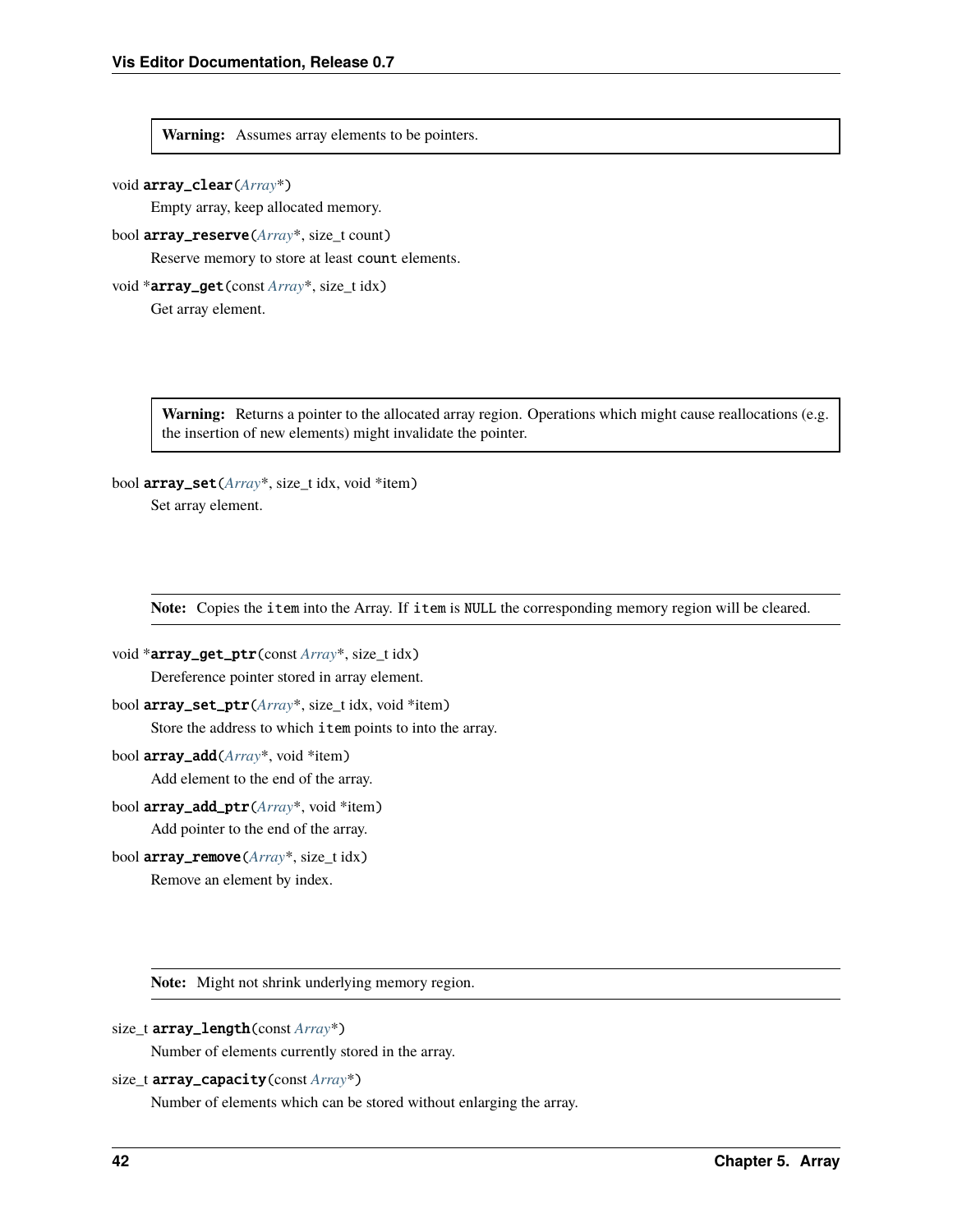#### <span id="page-45-0"></span>**Warning:** Assumes array elements to be pointers.

#### void array\_clear(*[Array](#page-46-0)*\*)

Empty array, keep allocated memory.

#### bool array\_reserve(*[Array](#page-46-0)*\*, size\_t count)

Reserve memory to store at least count elements.

void \*array\_get(const *[Array](#page-46-0)*\*, size\_t idx) Get array element.

> **Warning:** Returns a pointer to the allocated array region. Operations which might cause reallocations (e.g. the insertion of new elements) might invalidate the pointer.

#### bool array\_set(*[Array](#page-46-0)*\*, size\_t idx, void \*item)

Set array element.

**Note:** Copies the item into the Array. If item is NULL the corresponding memory region will be cleared.

- void \*array\_get\_ptr(const *[Array](#page-46-0)*\*, size\_t idx) Dereference pointer stored in array element.
- bool array\_set\_ptr(*[Array](#page-46-0)*\*, size\_t idx, void \*item) Store the address to which item points to into the array.
- bool array\_add(*[Array](#page-46-0)*\*, void \*item)

Add element to the end of the array.

- bool array\_add\_ptr(*[Array](#page-46-0)*\*, void \*item) Add pointer to the end of the array.
- bool array\_remove(*[Array](#page-46-0)*\*, size\_t idx) Remove an element by index.

**Note:** Might not shrink underlying memory region.

```
size_t array_length(const Array*)
```
Number of elements currently stored in the array.

```
size_t array_capacity(const Array*)
```
Number of elements which can be stored without enlarging the array.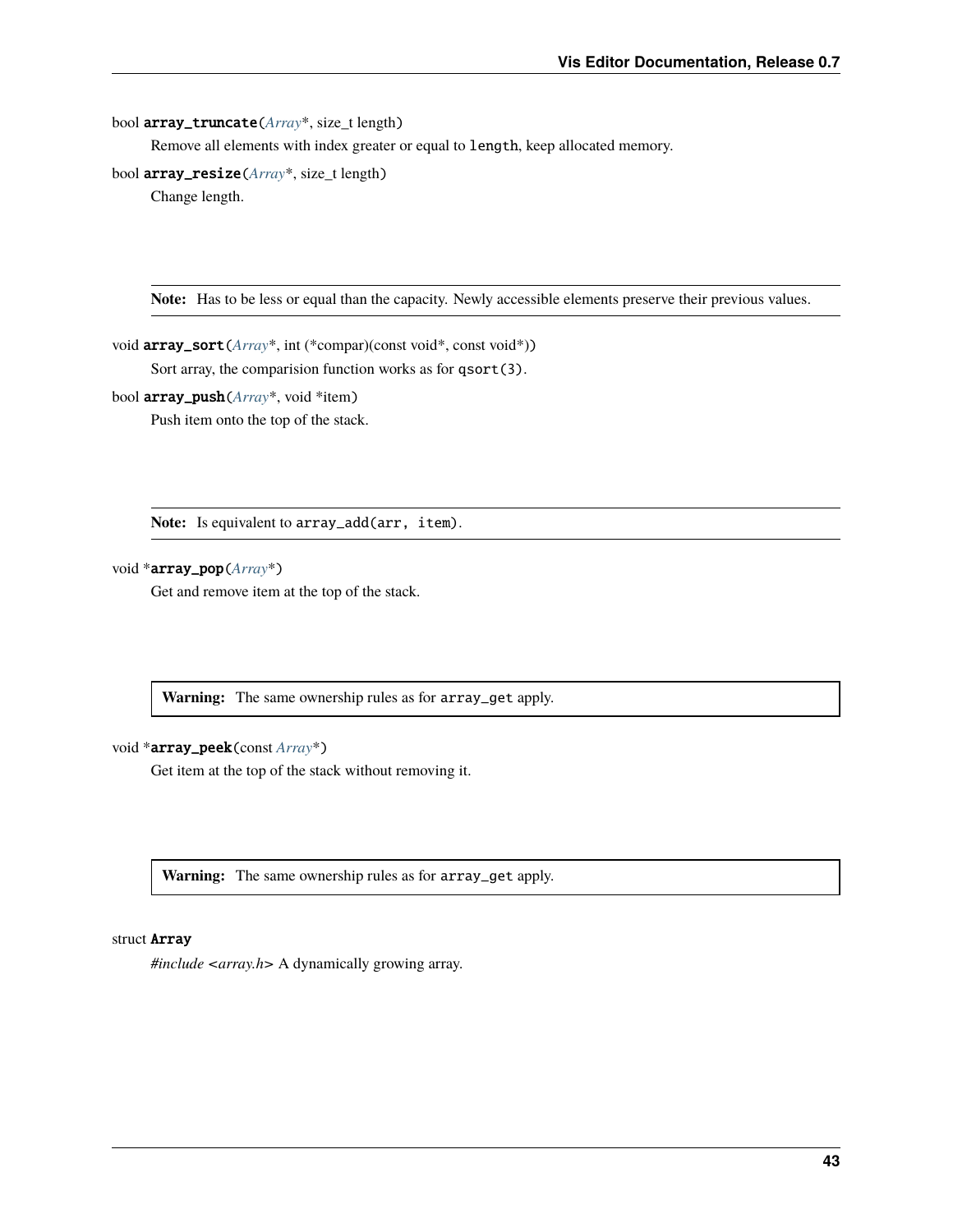#### <span id="page-46-2"></span>bool array\_truncate(*[Array](#page-46-0)*\*, size\_t length)

Remove all elements with index greater or equal to length, keep allocated memory.

bool array\_resize(*[Array](#page-46-0)*\*, size\_t length)

Change length.

**Note:** Has to be less or equal than the capacity. Newly accessible elements preserve their previous values.

void array\_sort(*[Array](#page-46-0)*\*, int (\*compar)(const void\*, const void\*)) Sort array, the comparision function works as for qsort(3).

bool array\_push(*[Array](#page-46-0)*\*, void \*item)

Push item onto the top of the stack.

**Note:** Is equivalent to array\_add(arr, item).

#### void \*array\_pop(*[Array](#page-46-0)*\*)

Get and remove item at the top of the stack.

**Warning:** The same ownership rules as for array\_get apply.

#### void \*array\_peek(const *[Array](#page-46-0)*\*)

Get item at the top of the stack without removing it.

**Warning:** The same ownership rules as for array\_get apply.

#### <span id="page-46-1"></span><span id="page-46-0"></span>struct Array

*#include <array.h>* A dynamically growing array.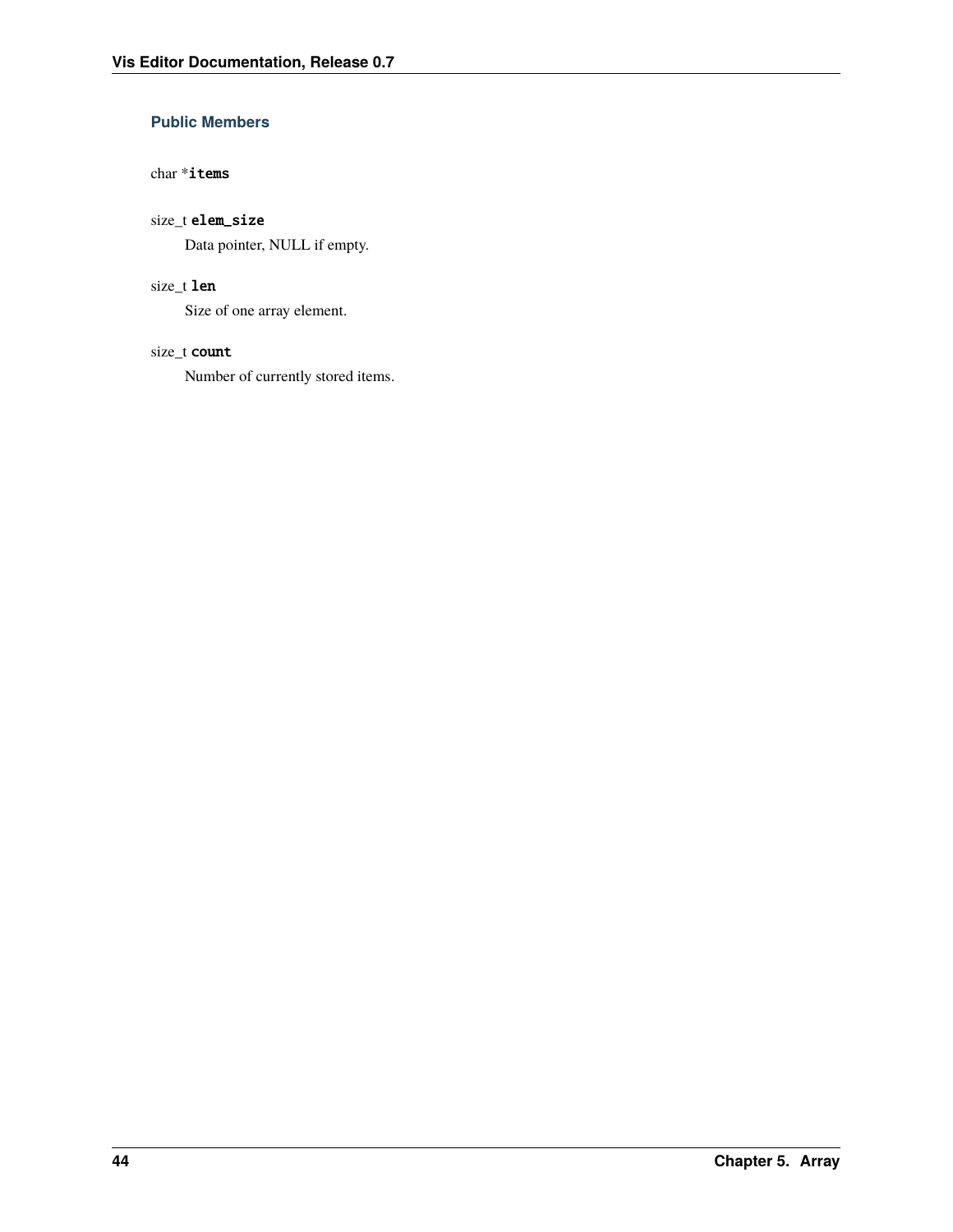### <span id="page-47-0"></span>**Public Members**

#### char \*items

### size\_t elem\_size

Data pointer, NULL if empty.

#### size\_t len

Size of one array element.

### size\_t count

Number of currently stored items.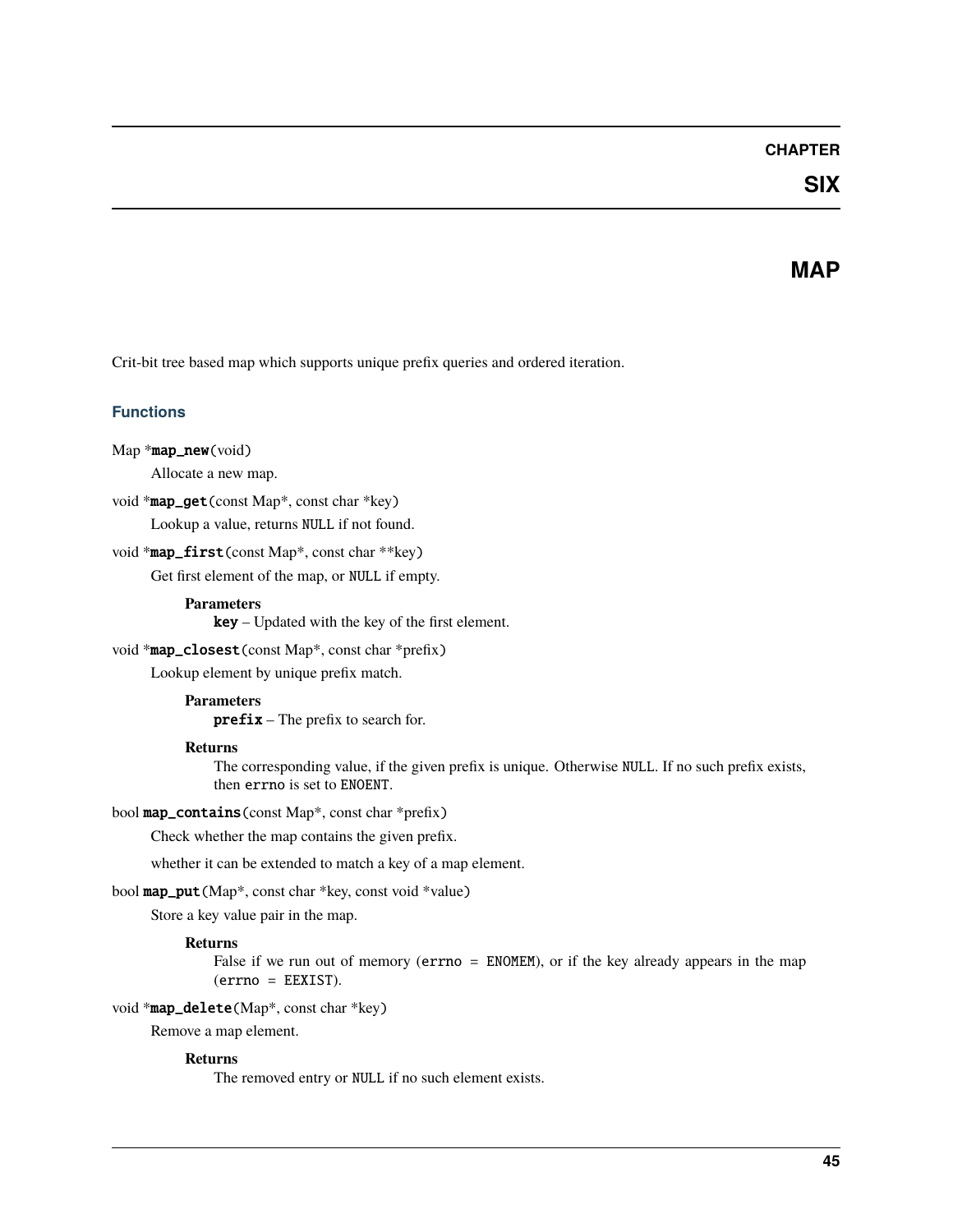### **CHAPTER**

# **SIX**

### **MAP**

<span id="page-48-1"></span><span id="page-48-0"></span>Crit-bit tree based map which supports unique prefix queries and ordered iteration.

### **Functions**

```
Map *map_new(void)
```
Allocate a new map.

void \*map\_get(const Map\*, const char \*key)

Lookup a value, returns NULL if not found.

void \*map\_first(const Map\*, const char \*\*key)

Get first element of the map, or NULL if empty.

#### **Parameters**

key – Updated with the key of the first element.

#### void \*map\_closest(const Map\*, const char \*prefix)

Lookup element by unique prefix match.

#### **Parameters**

prefix – The prefix to search for.

#### **Returns**

The corresponding value, if the given prefix is unique. Otherwise NULL. If no such prefix exists, then errno is set to ENOENT.

#### bool map\_contains(const Map\*, const char \*prefix)

Check whether the map contains the given prefix.

whether it can be extended to match a key of a map element.

bool map\_put(Map\*, const char \*key, const void \*value)

Store a key value pair in the map.

#### **Returns**

False if we run out of memory (errno = ENOMEM), or if the key already appears in the map (errno = EEXIST).

#### void \*map\_delete(Map\*, const char \*key)

Remove a map element.

#### **Returns**

The removed entry or NULL if no such element exists.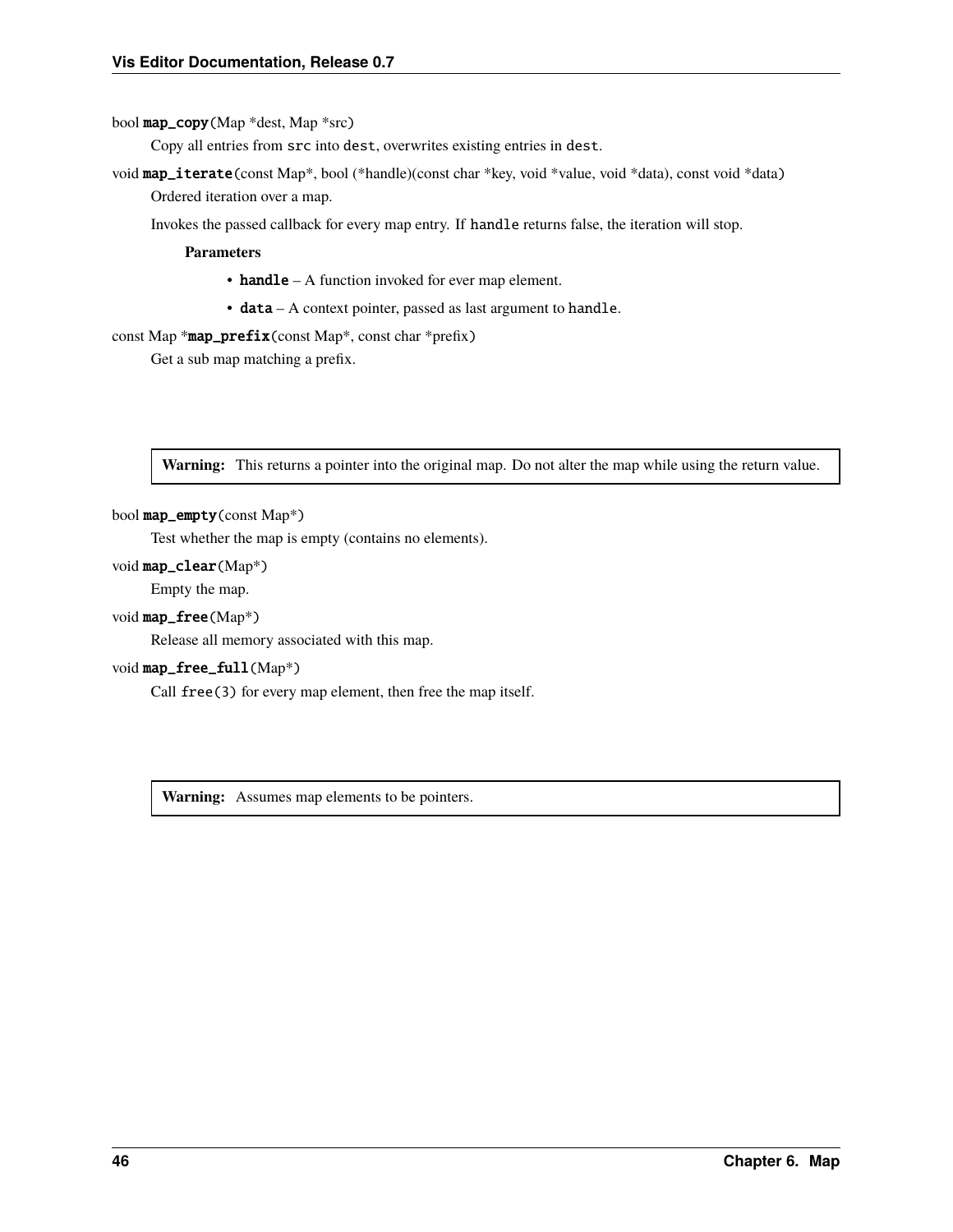<span id="page-49-0"></span>bool map\_copy(Map \*dest, Map \*src)

Copy all entries from src into dest, overwrites existing entries in dest.

void map\_iterate(const Map\*, bool (\*handle)(const char \*key, void \*value, void \*data), const void \*data) Ordered iteration over a map.

Invokes the passed callback for every map entry. If handle returns false, the iteration will stop.

**Parameters**

- handle A function invoked for ever map element.
- data A context pointer, passed as last argument to handle.

const Map  $*$ map\_prefix(const Map<sup>\*</sup>, const char  $*$ prefix)

Get a sub map matching a prefix.

**Warning:** This returns a pointer into the original map. Do not alter the map while using the return value.

#### bool map\_empty(const Map\*)

Test whether the map is empty (contains no elements).

#### void map\_clear(Map\*)

Empty the map.

#### void map\_free(Map\*)

Release all memory associated with this map.

#### void map\_free\_full(Map\*)

Call free(3) for every map element, then free the map itself.

**Warning:** Assumes map elements to be pointers.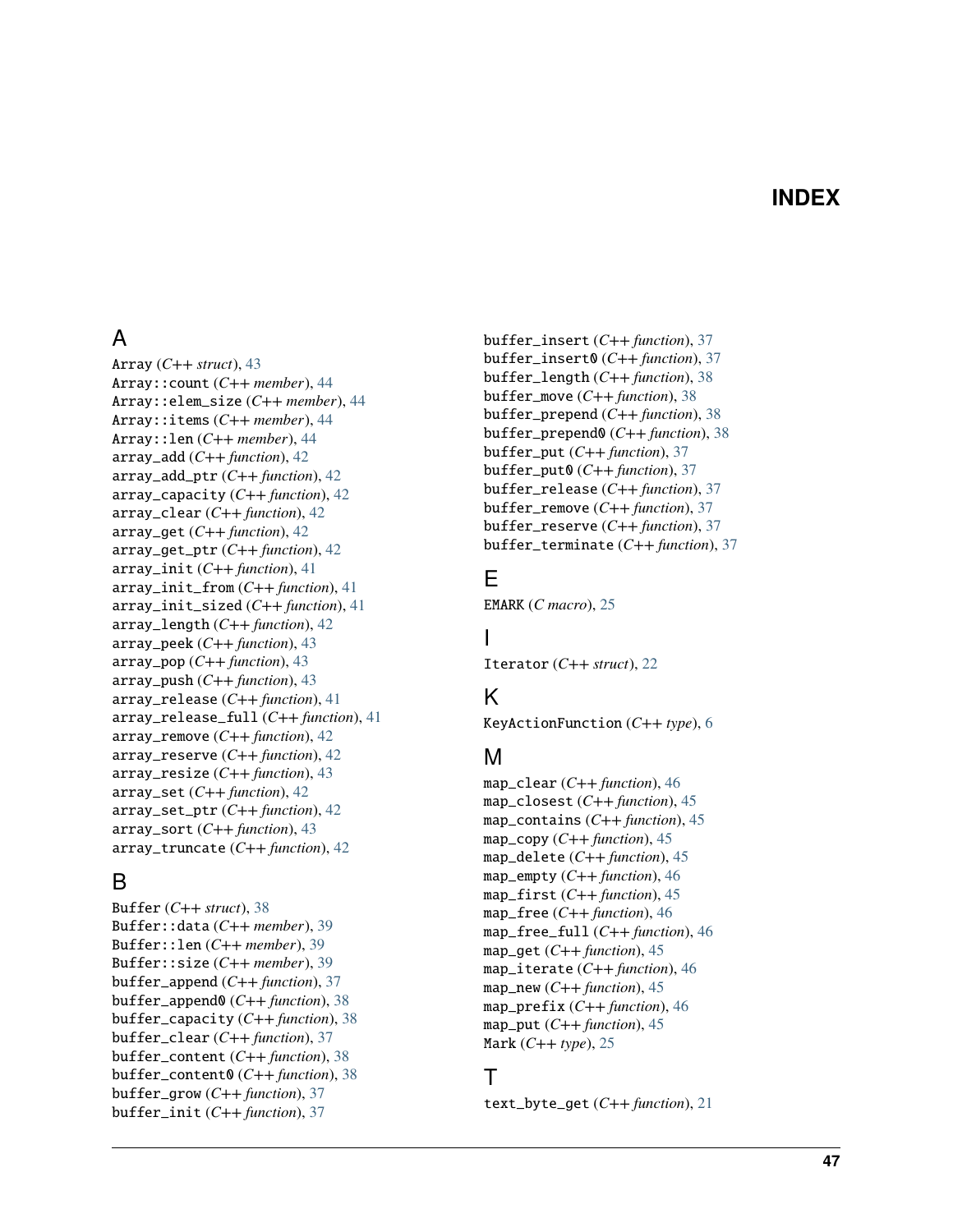# **INDEX**

# <span id="page-50-0"></span>A

Array (*C++ struct*), [43](#page-46-2) Array::count (*C++ member*), [44](#page-47-0) Array::elem\_size (*C++ member*), [44](#page-47-0) Array::items (*C++ member*), [44](#page-47-0) Array::len (*C++ member*), [44](#page-47-0) array\_add (*C++ function*), [42](#page-45-0) array\_add\_ptr (*C++ function*), [42](#page-45-0) array\_capacity (*C++ function*), [42](#page-45-0) array\_clear (*C++ function*), [42](#page-45-0) array\_get (*C++ function*), [42](#page-45-0) array\_get\_ptr (*C++ function*), [42](#page-45-0) array\_init (*C++ function*), [41](#page-44-1) array\_init\_from (*C++ function*), [41](#page-44-1) array\_init\_sized (*C++ function*), [41](#page-44-1) array\_length (*C++ function*), [42](#page-45-0) array\_peek (*C++ function*), [43](#page-46-2) array\_pop (*C++ function*), [43](#page-46-2) array\_push (*C++ function*), [43](#page-46-2) array\_release (*C++ function*), [41](#page-44-1) array\_release\_full (*C++ function*), [41](#page-44-1) array\_remove (*C++ function*), [42](#page-45-0) array\_reserve (*C++ function*), [42](#page-45-0) array\_resize (*C++ function*), [43](#page-46-2) array\_set (*C++ function*), [42](#page-45-0) array\_set\_ptr (*C++ function*), [42](#page-45-0) array\_sort (*C++ function*), [43](#page-46-2) array\_truncate (*C++ function*), [42](#page-45-0)

# B

Buffer (*C++ struct*), [38](#page-41-2) Buffer::data (*C++ member*), [39](#page-42-0) Buffer::len (*C++ member*), [39](#page-42-0) Buffer::size (*C++ member*), [39](#page-42-0) buffer\_append (*C++ function*), [37](#page-40-1) buffer\_append0 (*C++ function*), [38](#page-41-2) buffer\_capacity (*C++ function*), [38](#page-41-2) buffer\_clear (*C++ function*), [37](#page-40-1) buffer\_content (*C++ function*), [38](#page-41-2) buffer\_content0 (*C++ function*), [38](#page-41-2) buffer\_grow (*C++ function*), [37](#page-40-1) buffer\_init (*C++ function*), [37](#page-40-1)

buffer\_insert (*C++ function*), [37](#page-40-1) buffer\_insert0 (*C++ function*), [37](#page-40-1) buffer\_length (*C++ function*), [38](#page-41-2) buffer\_move (*C++ function*), [38](#page-41-2) buffer\_prepend (*C++ function*), [38](#page-41-2) buffer\_prepend0 (*C++ function*), [38](#page-41-2) buffer\_put (*C++ function*), [37](#page-40-1) buffer\_put0 (*C++ function*), [37](#page-40-1) buffer\_release (*C++ function*), [37](#page-40-1) buffer\_remove (*C++ function*), [37](#page-40-1) buffer\_reserve (*C++ function*), [37](#page-40-1) buffer\_terminate (*C++ function*), [37](#page-40-1)

# E

EMARK (*C macro*), [25](#page-28-2)

### I

Iterator (*C++ struct*), [22](#page-25-3)

# K

KeyActionFunction (*C++ type*), [6](#page-9-2)

### M

map\_clear (*C++ function*), [46](#page-49-0) map\_closest (*C++ function*), [45](#page-48-1) map\_contains (*C++ function*), [45](#page-48-1) map\_copy (*C++ function*), [45](#page-48-1) map\_delete (*C++ function*), [45](#page-48-1) map\_empty (*C++ function*), [46](#page-49-0) map\_first (*C++ function*), [45](#page-48-1) map\_free (*C++ function*), [46](#page-49-0) map\_free\_full (*C++ function*), [46](#page-49-0) map\_get (*C++ function*), [45](#page-48-1) map\_iterate (*C++ function*), [46](#page-49-0) map\_new  $(C++$  *function*), [45](#page-48-1) map\_prefix (*C++ function*), [46](#page-49-0) map\_put (*C++ function*), [45](#page-48-1) Mark (*C++ type*), [25](#page-28-2)

# T

text\_byte\_get (*C++ function*), [21](#page-24-2)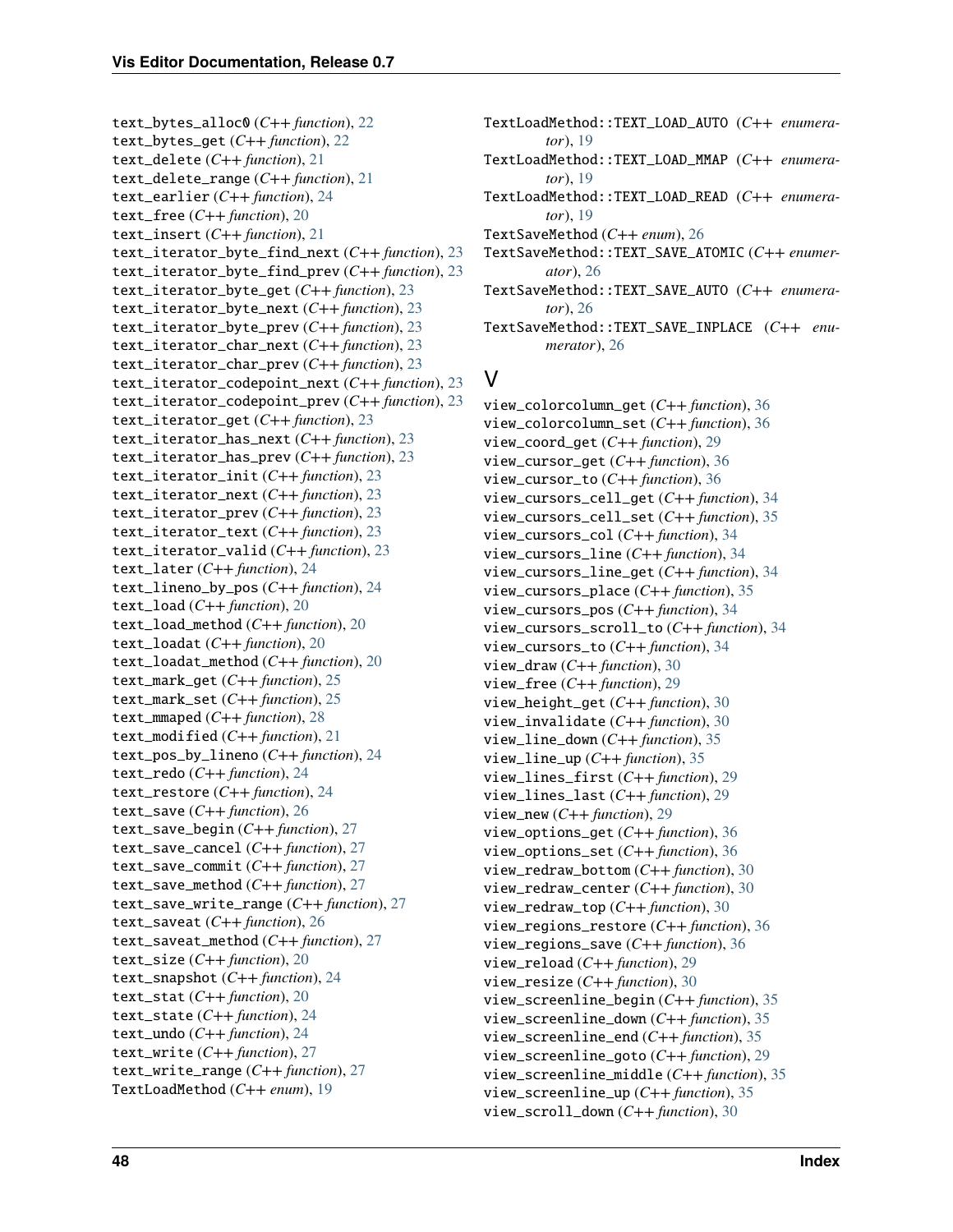text\_bytes\_alloc0 (*C++ function*), [22](#page-25-3) text\_bytes\_get (*C++ function*), [22](#page-25-3) text\_delete (*C++ function*), [21](#page-24-2) text\_delete\_range (*C++ function*), [21](#page-24-2) text\_earlier (*C++ function*), [24](#page-27-2) text\_free (*C++ function*), [20](#page-23-1) text\_insert (*C++ function*), [21](#page-24-2) text\_iterator\_byte\_find\_next (*C++ function*), [23](#page-26-0) text\_iterator\_byte\_find\_prev (*C++ function*), [23](#page-26-0) text\_iterator\_byte\_get (*C++ function*), [23](#page-26-0) text\_iterator\_byte\_next (*C++ function*), [23](#page-26-0) text\_iterator\_byte\_prev (*C++ function*), [23](#page-26-0) text\_iterator\_char\_next (*C++ function*), [23](#page-26-0) text\_iterator\_char\_prev (*C++ function*), [23](#page-26-0) text\_iterator\_codepoint\_next (*C++ function*), [23](#page-26-0) text\_iterator\_codepoint\_prev (*C++ function*), [23](#page-26-0) text\_iterator\_get (*C++ function*), [23](#page-26-0) text\_iterator\_has\_next (*C++ function*), [23](#page-26-0) text\_iterator\_has\_prev (*C++ function*), [23](#page-26-0) text\_iterator\_init (*C++ function*), [23](#page-26-0) text\_iterator\_next (*C++ function*), [23](#page-26-0) text\_iterator\_prev (*C++ function*), [23](#page-26-0) text\_iterator\_text (*C++ function*), [23](#page-26-0) text\_iterator\_valid (*C++ function*), [23](#page-26-0) text\_later (*C++ function*), [24](#page-27-2) text\_lineno\_by\_pos (*C++ function*), [24](#page-27-2) text\_load (*C++ function*), [20](#page-23-1) text\_load\_method (*C++ function*), [20](#page-23-1) text\_loadat (*C++ function*), [20](#page-23-1) text\_loadat\_method (*C++ function*), [20](#page-23-1) text\_mark\_get (*C++ function*), [25](#page-28-2) text\_mark\_set (*C++ function*), [25](#page-28-2) text\_mmaped (*C++ function*), [28](#page-31-1) text\_modified (*C++ function*), [21](#page-24-2) text\_pos\_by\_lineno (*C++ function*), [24](#page-27-2) text\_redo (*C++ function*), [24](#page-27-2) text\_restore (*C++ function*), [24](#page-27-2) text\_save (*C++ function*), [26](#page-29-2) text\_save\_begin (*C++ function*), [27](#page-30-0) text\_save\_cancel (*C++ function*), [27](#page-30-0) text\_save\_commit (*C++ function*), [27](#page-30-0) text\_save\_method (*C++ function*), [27](#page-30-0) text\_save\_write\_range (*C++ function*), [27](#page-30-0) text\_saveat (*C++ function*), [26](#page-29-2) text\_saveat\_method (*C++ function*), [27](#page-30-0) text\_size (*C++ function*), [20](#page-23-1) text\_snapshot (*C++ function*), [24](#page-27-2) text\_stat (*C++ function*), [20](#page-23-1) text\_state (*C++ function*), [24](#page-27-2) text\_undo (*C++ function*), [24](#page-27-2) text\_write (*C++ function*), [27](#page-30-0) text\_write\_range (*C++ function*), [27](#page-30-0) TextLoadMethod (*C++ enum*), [19](#page-22-3)

- TextLoadMethod::TEXT\_LOAD\_AUTO (*C++ enumerator*), [19](#page-22-3)
- TextLoadMethod::TEXT\_LOAD\_MMAP (*C++ enumerator*), [19](#page-22-3)
- TextLoadMethod::TEXT\_LOAD\_READ (*C++ enumerator*), [19](#page-22-3)
- TextSaveMethod (*C++ enum*), [26](#page-29-2)
- TextSaveMethod::TEXT\_SAVE\_ATOMIC (*C++ enumerator*), [26](#page-29-2)
- TextSaveMethod::TEXT\_SAVE\_AUTO (*C++ enumerator*), [26](#page-29-2)
- TextSaveMethod::TEXT\_SAVE\_INPLACE (*C++ enumerator*), [26](#page-29-2)

### V

view\_colorcolumn\_get (*C++ function*), [36](#page-39-1) view\_colorcolumn\_set (*C++ function*), [36](#page-39-1) view\_coord\_get (*C++ function*), [29](#page-32-3) view\_cursor\_get (*C++ function*), [36](#page-39-1) view\_cursor\_to (*C++ function*), [36](#page-39-1) view\_cursors\_cell\_get (*C++ function*), [34](#page-37-0) view\_cursors\_cell\_set (*C++ function*), [35](#page-38-0) view\_cursors\_col (*C++ function*), [34](#page-37-0) view\_cursors\_line (*C++ function*), [34](#page-37-0) view\_cursors\_line\_get (*C++ function*), [34](#page-37-0) view\_cursors\_place (*C++ function*), [35](#page-38-0) view\_cursors\_pos (*C++ function*), [34](#page-37-0) view\_cursors\_scroll\_to (*C++ function*), [34](#page-37-0) view\_cursors\_to (*C++ function*), [34](#page-37-0) view\_draw (*C++ function*), [30](#page-33-3) view\_free (*C++ function*), [29](#page-32-3) view\_height\_get (*C++ function*), [30](#page-33-3) view\_invalidate (*C++ function*), [30](#page-33-3) view\_line\_down (*C++ function*), [35](#page-38-0) view\_line\_up (*C++ function*), [35](#page-38-0) view\_lines\_first (*C++ function*), [29](#page-32-3) view\_lines\_last (*C++ function*), [29](#page-32-3) view\_new (*C++ function*), [29](#page-32-3) view\_options\_get (*C++ function*), [36](#page-39-1) view\_options\_set (*C++ function*), [36](#page-39-1) view\_redraw\_bottom (*C++ function*), [30](#page-33-3) view\_redraw\_center (*C++ function*), [30](#page-33-3) view\_redraw\_top (*C++ function*), [30](#page-33-3) view\_regions\_restore (*C++ function*), [36](#page-39-1) view\_regions\_save (*C++ function*), [36](#page-39-1) view\_reload (*C++ function*), [29](#page-32-3) view\_resize (*C++ function*), [30](#page-33-3) view\_screenline\_begin (*C++ function*), [35](#page-38-0) view\_screenline\_down (*C++ function*), [35](#page-38-0) view\_screenline\_end (*C++ function*), [35](#page-38-0) view\_screenline\_goto (*C++ function*), [29](#page-32-3) view\_screenline\_middle (*C++ function*), [35](#page-38-0) view\_screenline\_up (*C++ function*), [35](#page-38-0) view\_scroll\_down (*C++ function*), [30](#page-33-3)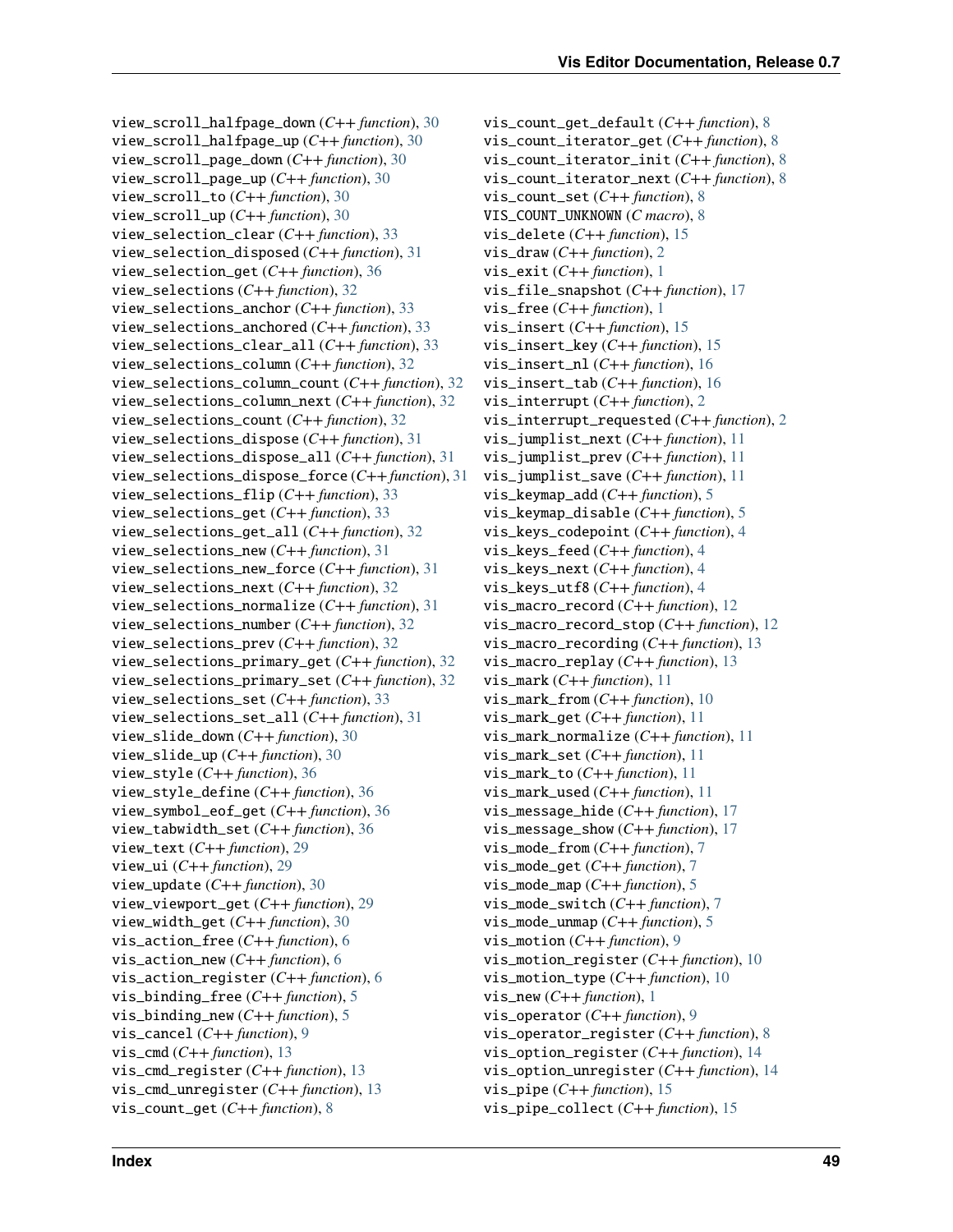view\_scroll\_halfpage\_down (*C++ function*), [30](#page-33-3) view\_scroll\_halfpage\_up (*C++ function*), [30](#page-33-3) view\_scroll\_page\_down (*C++ function*), [30](#page-33-3) view\_scroll\_page\_up (*C++ function*), [30](#page-33-3) view\_scroll\_to (*C++ function*), [30](#page-33-3) view\_scroll\_up (*C++ function*), [30](#page-33-3) view\_selection\_clear (*C++ function*), [33](#page-36-0) view\_selection\_disposed (*C++ function*), [31](#page-34-0) view\_selection\_get (*C++ function*), [36](#page-39-1) view\_selections (*C++ function*), [32](#page-35-0) view\_selections\_anchor (*C++ function*), [33](#page-36-0) view\_selections\_anchored (*C++ function*), [33](#page-36-0) view\_selections\_clear\_all (*C++ function*), [33](#page-36-0) view\_selections\_column (*C++ function*), [32](#page-35-0) view\_selections\_column\_count (*C++ function*), [32](#page-35-0) view\_selections\_column\_next (*C++ function*), [32](#page-35-0) view\_selections\_count (*C++ function*), [32](#page-35-0) view\_selections\_dispose (*C++ function*), [31](#page-34-0) view\_selections\_dispose\_all (*C++ function*), [31](#page-34-0) view\_selections\_dispose\_force (*C++ function*), [31](#page-34-0) view\_selections\_flip (*C++ function*), [33](#page-36-0) view\_selections\_get (*C++ function*), [33](#page-36-0) view\_selections\_get\_all (*C++ function*), [32](#page-35-0) view\_selections\_new (*C++ function*), [31](#page-34-0) view\_selections\_new\_force (*C++ function*), [31](#page-34-0) view\_selections\_next (*C++ function*), [32](#page-35-0) view\_selections\_normalize (*C++ function*), [31](#page-34-0) view\_selections\_number (*C++ function*), [32](#page-35-0) view\_selections\_prev (*C++ function*), [32](#page-35-0) view\_selections\_primary\_get (*C++ function*), [32](#page-35-0) view\_selections\_primary\_set (*C++ function*), [32](#page-35-0) view\_selections\_set (*C++ function*), [33](#page-36-0) view\_selections\_set\_all (*C++ function*), [31](#page-34-0) view\_slide\_down (*C++ function*), [30](#page-33-3) view\_slide\_up (*C++ function*), [30](#page-33-3) view\_style (*C++ function*), [36](#page-39-1) view\_style\_define (*C++ function*), [36](#page-39-1) view\_symbol\_eof\_get (*C++ function*), [36](#page-39-1) view\_tabwidth\_set (*C++ function*), [36](#page-39-1) view\_text (*C++ function*), [29](#page-32-3) view\_ui (*C++ function*), [29](#page-32-3) view\_update (*C++ function*), [30](#page-33-3) view\_viewport\_get (*C++ function*), [29](#page-32-3) view\_width\_get (*C++ function*), [30](#page-33-3) vis\_action\_free (*C++ function*), [6](#page-9-2) vis\_action\_new (*C++ function*), [6](#page-9-2) vis\_action\_register (*C++ function*), [6](#page-9-2) vis\_binding\_free (*C++ function*), [5](#page-8-2) vis\_binding\_new (*C++ function*), [5](#page-8-2) vis\_cancel (*C++ function*), [9](#page-12-2) vis\_cmd (*C++ function*), [13](#page-16-3) vis\_cmd\_register (*C++ function*), [13](#page-16-3) vis\_cmd\_unregister (*C++ function*), [13](#page-16-3) vis\_count\_get (*C++ function*), [8](#page-11-3)

vis\_count\_get\_default (*C++ function*), [8](#page-11-3) vis\_count\_iterator\_get (*C++ function*), [8](#page-11-3) vis\_count\_iterator\_init (*C++ function*), [8](#page-11-3) vis\_count\_iterator\_next (*C++ function*), [8](#page-11-3) vis\_count\_set (*C++ function*), [8](#page-11-3) VIS\_COUNT\_UNKNOWN (*C macro*), [8](#page-11-3) vis\_delete (*C++ function*), [15](#page-18-1) vis\_draw (*C++ function*), [2](#page-5-1) vis\_exit (*C++ function*), [1](#page-4-2) vis\_file\_snapshot (*C++ function*), [17](#page-20-1) vis\_free (*C++ function*), [1](#page-4-2) vis\_insert (*C++ function*), [15](#page-18-1) vis\_insert\_key (*C++ function*), [15](#page-18-1) vis\_insert\_nl (*C++ function*), [16](#page-19-1) vis\_insert\_tab (*C++ function*), [16](#page-19-1) vis\_interrupt (*C++ function*), [2](#page-5-1) vis\_interrupt\_requested (*C++ function*), [2](#page-5-1) vis\_jumplist\_next (*C++ function*), [11](#page-14-0) vis\_jumplist\_prev (*C++ function*), [11](#page-14-0) vis\_jumplist\_save (*C++ function*), [11](#page-14-0) vis\_keymap\_add (*C++ function*), [5](#page-8-2) vis\_keymap\_disable (*C++ function*), [5](#page-8-2) vis\_keys\_codepoint (*C++ function*), [4](#page-7-1) vis\_keys\_feed (*C++ function*), [4](#page-7-1) vis\_keys\_next (*C++ function*), [4](#page-7-1) vis\_keys\_utf8 (*C++ function*), [4](#page-7-1) vis\_macro\_record (*C++ function*), [12](#page-15-2) vis\_macro\_record\_stop (*C++ function*), [12](#page-15-2) vis\_macro\_recording (*C++ function*), [13](#page-16-3) vis\_macro\_replay (*C++ function*), [13](#page-16-3) vis\_mark (*C++ function*), [11](#page-14-0) vis\_mark\_from (*C++ function*), [10](#page-13-2) vis\_mark\_get (*C++ function*), [11](#page-14-0) vis\_mark\_normalize (*C++ function*), [11](#page-14-0) vis\_mark\_set (*C++ function*), [11](#page-14-0) vis\_mark\_to (*C++ function*), [11](#page-14-0) vis\_mark\_used (*C++ function*), [11](#page-14-0) vis\_message\_hide (*C++ function*), [17](#page-20-1) vis\_message\_show (*C++ function*), [17](#page-20-1) vis\_mode\_from (*C++ function*), [7](#page-10-2) vis\_mode\_get (*C++ function*), [7](#page-10-2) vis\_mode\_map (*C++ function*), [5](#page-8-2) vis\_mode\_switch (*C++ function*), [7](#page-10-2) vis\_mode\_unmap (*C++ function*), [5](#page-8-2) vis\_motion (*C++ function*), [9](#page-12-2) vis\_motion\_register (*C++ function*), [10](#page-13-2) vis\_motion\_type (*C++ function*), [10](#page-13-2) vis\_new (*C++ function*), [1](#page-4-2) vis\_operator (*C++ function*), [9](#page-12-2) vis\_operator\_register (*C++ function*), [8](#page-11-3) vis\_option\_register (*C++ function*), [14](#page-17-0) vis\_option\_unregister (*C++ function*), [14](#page-17-0) vis\_pipe (*C++ function*), [15](#page-18-1) vis\_pipe\_collect (*C++ function*), [15](#page-18-1)